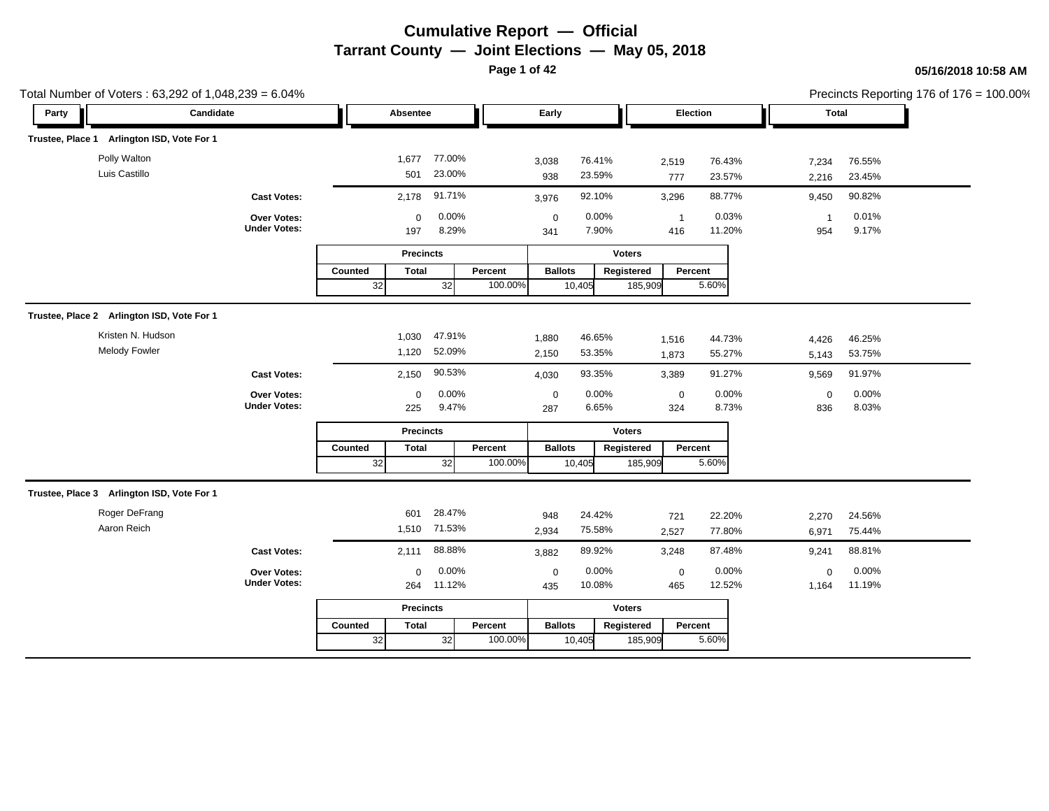**Page 1 of 42**

| Total Number of Voters: 63,292 of 1,048,239 = 6.04% |                                    |                         |                  |         |                    |                   |                       |                  |                     |                  | Precincts Reporting 176 of 176 = 100.00% |
|-----------------------------------------------------|------------------------------------|-------------------------|------------------|---------|--------------------|-------------------|-----------------------|------------------|---------------------|------------------|------------------------------------------|
| Candidate<br>Party                                  |                                    | Absentee                |                  |         | Early              |                   | Election              |                  | Total               |                  |                                          |
| Trustee, Place 1 Arlington ISD, Vote For 1          |                                    |                         |                  |         |                    |                   |                       |                  |                     |                  |                                          |
| Polly Walton<br>Luis Castillo                       |                                    | 1,677<br>501            | 77.00%<br>23.00% |         | 3,038<br>938       | 76.41%<br>23.59%  | 2,519<br>777          | 76.43%<br>23.57% | 7,234<br>2,216      | 76.55%<br>23.45% |                                          |
|                                                     | <b>Cast Votes:</b>                 | 2,178                   | 91.71%           |         | 3,976              | 92.10%            | 3,296                 | 88.77%           | 9,450               | 90.82%           |                                          |
|                                                     | Over Votes:<br><b>Under Votes:</b> | $\mathbf 0$<br>197      | 0.00%<br>8.29%   |         | $\mathbf 0$<br>341 | 0.00%<br>7.90%    | $\overline{1}$<br>416 | 0.03%<br>11.20%  | $\mathbf{1}$<br>954 | 0.01%<br>9.17%   |                                          |
|                                                     |                                    | <b>Precincts</b>        |                  |         |                    | <b>Voters</b>     |                       |                  |                     |                  |                                          |
|                                                     |                                    | Counted<br><b>Total</b> |                  | Percent | <b>Ballots</b>     | Registered        | Percent               |                  |                     |                  |                                          |
|                                                     |                                    | 32                      | 32               | 100.00% |                    | 10,405            | 185,909               | 5.60%            |                     |                  |                                          |
| Trustee, Place 2 Arlington ISD, Vote For 1          |                                    |                         |                  |         |                    |                   |                       |                  |                     |                  |                                          |
| Kristen N. Hudson                                   |                                    | 1,030                   | 47.91%           |         | 1,880              | 46.65%            | 1,516                 | 44.73%           | 4,426               | 46.25%           |                                          |
| <b>Melody Fowler</b>                                |                                    | 1,120                   | 52.09%           |         | 2,150              | 53.35%            | 1,873                 | 55.27%           | 5,143               | 53.75%           |                                          |
|                                                     | <b>Cast Votes:</b>                 | 2,150                   | 90.53%           |         | 4,030              | 93.35%            | 3,389                 | 91.27%           | 9,569               | 91.97%           |                                          |
|                                                     | Over Votes:                        | 0                       | 0.00%            |         | $\pmb{0}$          | 0.00%             | $\mathbf 0$           | 0.00%            | $\mathbf 0$         | 0.00%            |                                          |
|                                                     | <b>Under Votes:</b>                | 225                     | 9.47%            |         | 287                | 6.65%             | 324                   | 8.73%            | 836                 | 8.03%            |                                          |
|                                                     |                                    | <b>Precincts</b>        |                  |         |                    | <b>Voters</b>     |                       |                  |                     |                  |                                          |
|                                                     |                                    | Counted<br><b>Total</b> |                  | Percent | <b>Ballots</b>     | Registered        | Percent               |                  |                     |                  |                                          |
|                                                     |                                    | 32                      | 32               | 100.00% |                    | 10,405<br>185,909 |                       | 5.60%            |                     |                  |                                          |
| Trustee, Place 3 Arlington ISD, Vote For 1          |                                    |                         |                  |         |                    |                   |                       |                  |                     |                  |                                          |
| Roger DeFrang                                       |                                    | 601                     | 28.47%           |         | 948                | 24.42%            | 721                   | 22.20%           | 2,270               | 24.56%           |                                          |
| Aaron Reich                                         |                                    | 1,510                   | 71.53%           |         | 2,934              | 75.58%            | 2,527                 | 77.80%           | 6,971               | 75.44%           |                                          |
|                                                     | <b>Cast Votes:</b>                 | 2,111                   | 88.88%           |         | 3,882              | 89.92%            | 3,248                 | 87.48%           | 9,241               | 88.81%           |                                          |
|                                                     | Over Votes:                        | $\Omega$                | 0.00%            |         | $\mathbf 0$        | 0.00%             | $\mathbf 0$           | 0.00%            | $\mathbf 0$         | 0.00%            |                                          |
|                                                     | <b>Under Votes:</b>                | 264                     | 11.12%           |         | 435                | 10.08%            | 465                   | 12.52%           | 1,164               | 11.19%           |                                          |
|                                                     |                                    | <b>Precincts</b>        |                  |         |                    | <b>Voters</b>     |                       |                  |                     |                  |                                          |
|                                                     |                                    | <b>Total</b><br>Counted |                  | Percent | <b>Ballots</b>     | Registered        | Percent               |                  |                     |                  |                                          |
|                                                     |                                    | 32                      | 32               | 100.00% |                    | 10,405            | 185,909               | 5.60%            |                     |                  |                                          |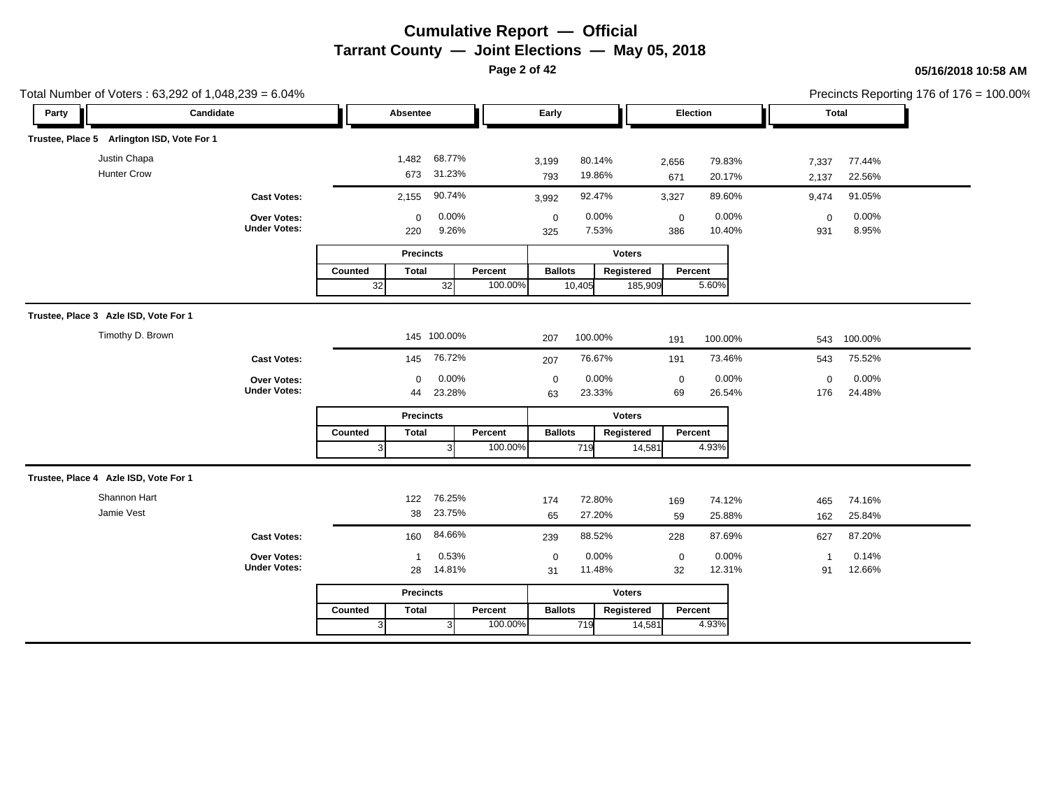**Page 2 of 42**

|       | Total Number of Voters: 63,292 of 1,048,239 = 6.04% |                                           |               |                    |                            |                    |                    |                  |                       |                    |                  |                    |                  | Precincts Reporting 176 of 176 = 100.00% |
|-------|-----------------------------------------------------|-------------------------------------------|---------------|--------------------|----------------------------|--------------------|--------------------|------------------|-----------------------|--------------------|------------------|--------------------|------------------|------------------------------------------|
| Party | Candidate                                           |                                           |               | Absentee           |                            |                    | Early              |                  |                       | Election           |                  |                    | Total            |                                          |
|       | Trustee, Place 5 Arlington ISD, Vote For 1          |                                           |               |                    |                            |                    |                    |                  |                       |                    |                  |                    |                  |                                          |
|       | Justin Chapa<br><b>Hunter Crow</b>                  |                                           |               |                    | 1,482 68.77%<br>673 31.23% |                    | 3,199<br>793       | 80.14%<br>19.86% |                       | 2,656<br>671       | 79.83%<br>20.17% | 7,337<br>2,137     | 77.44%<br>22.56% |                                          |
|       |                                                     | <b>Cast Votes:</b>                        |               | 2,155              | 90.74%                     |                    | 3,992              | 92.47%           |                       | 3,327              | 89.60%           | 9,474              | 91.05%           |                                          |
|       |                                                     | Over Votes:<br><b>Under Votes:</b>        |               | $\mathbf 0$<br>220 | 0.00%<br>9.26%             |                    | $\mathbf 0$<br>325 | 0.00%<br>7.53%   |                       | $\mathbf 0$<br>386 | 0.00%<br>10.40%  | $\mathbf 0$<br>931 | 0.00%<br>8.95%   |                                          |
|       |                                                     |                                           |               | <b>Precincts</b>   |                            |                    |                    |                  | <b>Voters</b>         |                    |                  |                    |                  |                                          |
|       |                                                     |                                           | Counted<br>32 | <b>Total</b>       | 32                         | Percent<br>100.00% | <b>Ballots</b>     | 10,405           | Registered<br>185,909 | Percent            | 5.60%            |                    |                  |                                          |
|       | Trustee, Place 3 Azle ISD, Vote For 1               |                                           |               |                    |                            |                    |                    |                  |                       |                    |                  |                    |                  |                                          |
|       | Timothy D. Brown                                    |                                           |               |                    | 145 100.00%                |                    | 207                | 100.00%          |                       | 191                | 100.00%          | 543                | 100.00%          |                                          |
|       |                                                     | <b>Cast Votes:</b>                        |               | 145                | 76.72%                     |                    | 207                | 76.67%           |                       | 191                | 73.46%           | 543                | 75.52%           |                                          |
|       |                                                     | Over Votes:<br><b>Under Votes:</b>        |               | $\Omega$<br>44     | 0.00%<br>23.28%            |                    | $\mathbf 0$<br>63  | 0.00%<br>23.33%  |                       | $\mathbf 0$<br>69  | 0.00%<br>26.54%  | $\mathbf 0$<br>176 | 0.00%<br>24.48%  |                                          |
|       |                                                     |                                           |               | <b>Precincts</b>   |                            |                    |                    |                  | <b>Voters</b>         |                    |                  |                    |                  |                                          |
|       |                                                     |                                           | Counted<br>3  | <b>Total</b>       |                            | Percent<br>100.00% | <b>Ballots</b>     | 719              | Registered<br>14,581  | Percent            | 4.93%            |                    |                  |                                          |
|       | Trustee, Place 4 Azle ISD, Vote For 1               |                                           |               |                    |                            |                    |                    |                  |                       |                    |                  |                    |                  |                                          |
|       | Shannon Hart                                        |                                           |               | 122                | 76.25%                     |                    | 174                | 72.80%           |                       | 169                | 74.12%           | 465                | 74.16%           |                                          |
|       | Jamie Vest                                          |                                           |               | 38                 | 23.75%                     |                    | 65                 | 27.20%           |                       | 59                 | 25.88%           | 162                | 25.84%           |                                          |
|       |                                                     | <b>Cast Votes:</b>                        |               | 160                | 84.66%                     |                    | 239                | 88.52%           |                       | 228                | 87.69%           | 627                | 87.20%           |                                          |
|       |                                                     | <b>Over Votes:</b><br><b>Under Votes:</b> |               | $\mathbf 1$<br>28  | 0.53%<br>14.81%            |                    | $\mathbf 0$<br>31  | 0.00%<br>11.48%  |                       | $\mathbf 0$<br>32  | 0.00%<br>12.31%  | $\mathbf 1$<br>91  | 0.14%<br>12.66%  |                                          |
|       |                                                     |                                           |               | <b>Precincts</b>   |                            |                    |                    |                  | <b>Voters</b>         |                    |                  |                    |                  |                                          |
|       |                                                     |                                           | Counted       | <b>Total</b>       |                            | Percent            | <b>Ballots</b>     |                  | Registered            | Percent            |                  |                    |                  |                                          |
|       |                                                     |                                           |               |                    | 3                          | 100.00%            |                    | 719              | 14,581                |                    | 4.93%            |                    |                  |                                          |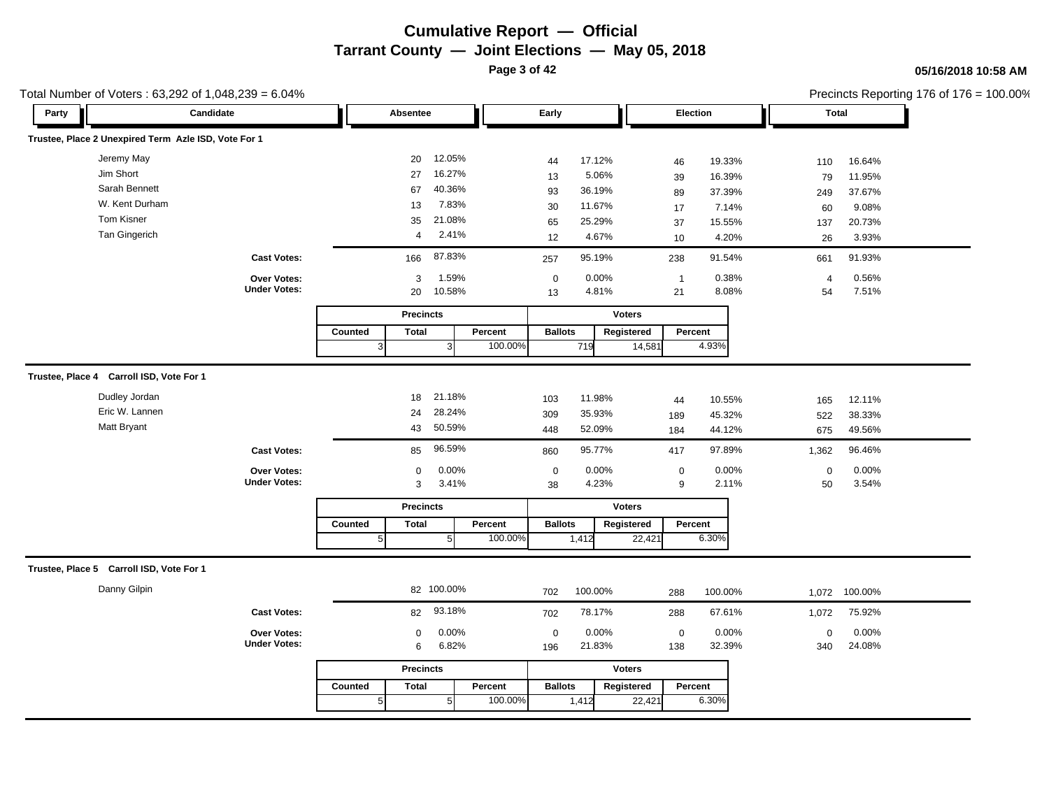**Page 3 of 42**

#### **05/16/2018 10:58 AM**

| Total Number of Voters: 63,292 of 1,048,239 = 6.04%  |                                    |                              |                                      |                                                                  |                      |                         |                                      |                                                                    | Precincts Reporting 176 of 176 = 100.00% |
|------------------------------------------------------|------------------------------------|------------------------------|--------------------------------------|------------------------------------------------------------------|----------------------|-------------------------|--------------------------------------|--------------------------------------------------------------------|------------------------------------------|
| Party                                                | Candidate                          | Absentee                     |                                      | Early                                                            |                      | Election                |                                      | Total                                                              |                                          |
| Trustee, Place 2 Unexpired Term Azle ISD, Vote For 1 |                                    |                              |                                      |                                                                  |                      |                         |                                      |                                                                    |                                          |
| Jeremy May                                           |                                    | 20                           | 12.05%                               | 17.12%<br>44                                                     |                      | 46                      | 19.33%                               | 16.64%<br>110                                                      |                                          |
| Jim Short                                            |                                    | 27                           | 16.27%                               | 5.06%<br>13                                                      |                      | 39                      | 16.39%                               | 79<br>11.95%                                                       |                                          |
| Sarah Bennett                                        |                                    | 67                           | 40.36%                               | 36.19%<br>93                                                     |                      | 89                      | 37.39%                               | 37.67%<br>249                                                      |                                          |
| W. Kent Durham                                       |                                    | 13                           | 7.83%                                | 11.67%<br>30                                                     |                      | 17                      | 7.14%                                | 9.08%<br>60                                                        |                                          |
| Tom Kisner                                           |                                    | 35                           | 21.08%                               | 25.29%<br>65                                                     |                      | 37                      | 15.55%                               | 20.73%<br>137                                                      |                                          |
| <b>Tan Gingerich</b>                                 |                                    | $\overline{4}$               | 2.41%                                | 4.67%<br>12                                                      |                      | 10                      | 4.20%                                | 3.93%<br>26                                                        |                                          |
|                                                      | <b>Cast Votes:</b>                 | 166                          | 87.83%                               | 95.19%<br>257                                                    |                      | 238                     | 91.54%                               | 91.93%<br>661                                                      |                                          |
|                                                      | Over Votes:                        | 3                            | 1.59%                                | 0.00%<br>$\mathbf 0$                                             |                      | $\overline{1}$          | 0.38%                                | 0.56%<br>$\overline{4}$                                            |                                          |
|                                                      | <b>Under Votes:</b>                | 20                           | 10.58%                               | 4.81%<br>13                                                      |                      | 21                      | 8.08%                                | 7.51%<br>54                                                        |                                          |
|                                                      |                                    | <b>Precincts</b>             |                                      |                                                                  | <b>Voters</b>        |                         |                                      |                                                                    |                                          |
|                                                      |                                    | Counted<br><b>Total</b>      | Percent                              | <b>Ballots</b>                                                   | Registered           | Percent                 |                                      |                                                                    |                                          |
|                                                      |                                    | $\mathbf{3}$                 | 100.00%<br>$\mathbf{3}$              | 719                                                              | 14,581               | 4.93%                   |                                      |                                                                    |                                          |
| Dudley Jordan<br>Eric W. Lannen<br>Matt Bryant       | <b>Cast Votes:</b>                 | 18<br>24<br>43<br>85         | 21.18%<br>28.24%<br>50.59%<br>96.59% | 11.98%<br>103<br>35.93%<br>309<br>52.09%<br>448<br>95.77%<br>860 |                      | 44<br>189<br>184<br>417 | 10.55%<br>45.32%<br>44.12%<br>97.89% | 12.11%<br>165<br>522<br>38.33%<br>49.56%<br>675<br>96.46%<br>1,362 |                                          |
|                                                      | Over Votes:<br><b>Under Votes:</b> | $\mathbf 0$<br>3             | 0.00%<br>3.41%                       | 0.00%<br>$\mathbf 0$<br>4.23%<br>38                              |                      | $\boldsymbol{0}$<br>9   | 0.00%<br>2.11%                       | 0.00%<br>$\mathbf 0$<br>50<br>3.54%                                |                                          |
|                                                      |                                    | <b>Precincts</b>             |                                      |                                                                  | <b>Voters</b>        |                         |                                      |                                                                    |                                          |
|                                                      |                                    | Counted<br><b>Total</b><br>5 | Percent<br>100.00%<br>5 <sub>5</sub> | <b>Ballots</b><br>1,412                                          | Registered<br>22,421 | Percent<br>6.30%        |                                      |                                                                    |                                          |
| Trustee, Place 5 Carroll ISD, Vote For 1             |                                    |                              |                                      |                                                                  |                      |                         |                                      |                                                                    |                                          |
| Danny Gilpin                                         |                                    | 82 100.00%                   |                                      | 100.00%<br>702                                                   |                      | 100.00%<br>288          |                                      | 100.00%<br>1,072                                                   |                                          |
|                                                      | <b>Cast Votes:</b>                 | 82                           | 93.18%                               | 78.17%<br>702                                                    |                      | 288                     | 67.61%                               | 75.92%<br>1,072                                                    |                                          |
|                                                      | Over Votes:<br><b>Under Votes:</b> | $\mathbf 0$<br>6             | 0.00%<br>6.82%                       | 0.00%<br>$\mathbf 0$<br>21.83%<br>196                            |                      | $\mathbf 0$<br>138      | 0.00%<br>32.39%                      | 0.00%<br>$\mathbf 0$<br>24.08%<br>340                              |                                          |
|                                                      |                                    | <b>Precincts</b>             |                                      |                                                                  | <b>Voters</b>        |                         |                                      |                                                                    |                                          |
|                                                      |                                    | Counted<br><b>Total</b>      | Percent                              | <b>Ballots</b>                                                   | Registered           | Percent                 |                                      |                                                                    |                                          |
|                                                      |                                    |                              |                                      |                                                                  |                      |                         |                                      |                                                                    |                                          |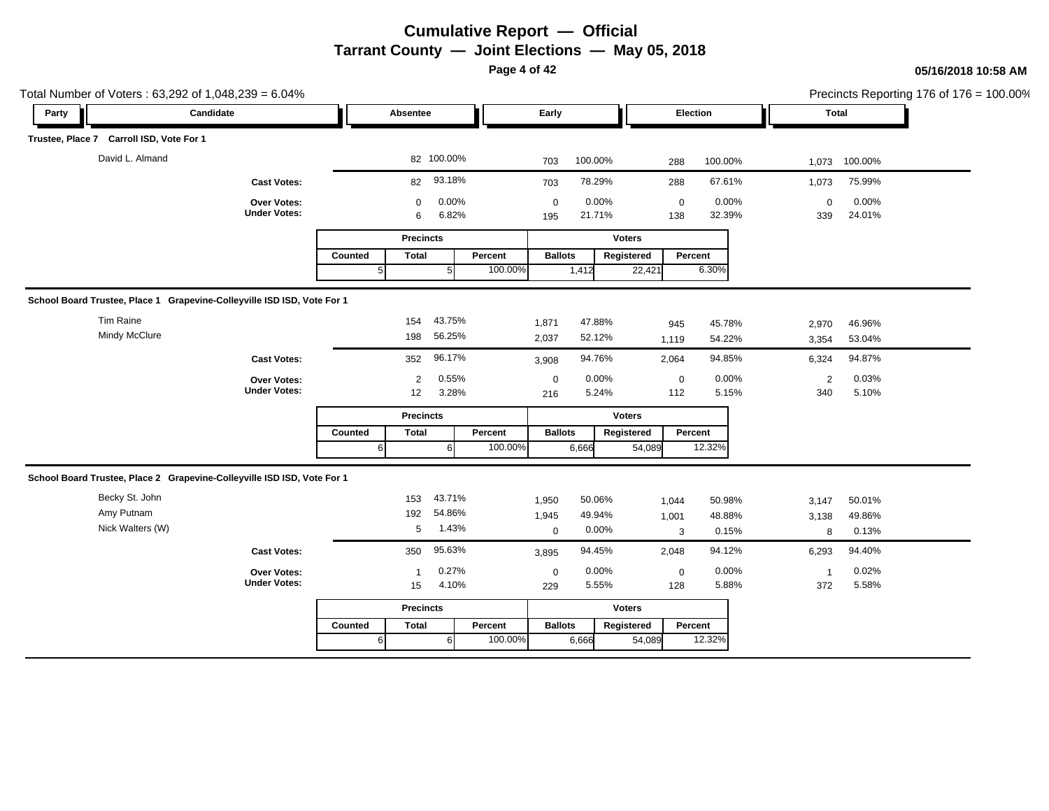**Page 4 of 42**

|       | Total Number of Voters: 63,292 of 1,048,239 = 6.04%                     |                                    |                |                  |                |         |                    |                 |               |                    |                 |                    |                 | Precincts Reporting 176 of 176 = 100.00% |
|-------|-------------------------------------------------------------------------|------------------------------------|----------------|------------------|----------------|---------|--------------------|-----------------|---------------|--------------------|-----------------|--------------------|-----------------|------------------------------------------|
| Party | Candidate                                                               |                                    |                | Absentee         |                |         | Early              |                 |               | Election           |                 |                    | Total           |                                          |
|       | Trustee, Place 7 Carroll ISD, Vote For 1                                |                                    |                |                  |                |         |                    |                 |               |                    |                 |                    |                 |                                          |
|       | David L. Almand                                                         |                                    |                |                  | 82 100.00%     |         | 703                | 100.00%         |               | 288                | 100.00%         | 1,073              | 100.00%         |                                          |
|       |                                                                         | <b>Cast Votes:</b>                 |                | 82               | 93.18%         |         | 703                | 78.29%          |               | 288                | 67.61%          | 1,073              | 75.99%          |                                          |
|       |                                                                         | Over Votes:<br><b>Under Votes:</b> |                | $\mathbf 0$<br>6 | 0.00%<br>6.82% |         | $\mathbf 0$<br>195 | 0.00%<br>21.71% |               | $\mathbf 0$<br>138 | 0.00%<br>32.39% | $\mathbf 0$<br>339 | 0.00%<br>24.01% |                                          |
|       |                                                                         |                                    |                | <b>Precincts</b> |                |         |                    |                 | <b>Voters</b> |                    |                 |                    |                 |                                          |
|       |                                                                         |                                    | <b>Counted</b> | <b>Total</b>     |                | Percent | <b>Ballots</b>     |                 | Registered    | Percent            |                 |                    |                 |                                          |
|       |                                                                         |                                    | 5 <sub>5</sub> |                  | 5 <sub>l</sub> | 100.00% |                    | 1,412           | 22,421        |                    | 6.30%           |                    |                 |                                          |
|       | School Board Trustee, Place 1 Grapevine-Colleyville ISD ISD, Vote For 1 |                                    |                |                  |                |         |                    |                 |               |                    |                 |                    |                 |                                          |
|       | Tim Raine                                                               |                                    |                | 154              | 43.75%         |         | 1,871              | 47.88%          |               | 945                | 45.78%          | 2,970              | 46.96%          |                                          |
|       | <b>Mindy McClure</b>                                                    |                                    |                | 198              | 56.25%         |         | 2,037              | 52.12%          |               | 1,119              | 54.22%          | 3,354              | 53.04%          |                                          |
|       |                                                                         | <b>Cast Votes:</b>                 |                | 352              | 96.17%         |         | 3,908              | 94.76%          |               | 2,064              | 94.85%          | 6,324              | 94.87%          |                                          |
|       |                                                                         | Over Votes:                        |                | $\overline{2}$   | 0.55%          |         | $\mathbf 0$        | 0.00%           |               | $\mathbf 0$        | 0.00%           | $\overline{2}$     | 0.03%           |                                          |
|       |                                                                         | <b>Under Votes:</b>                |                | 12               | 3.28%          |         | 216                | 5.24%           |               | 112                | 5.15%           | 340                | 5.10%           |                                          |
|       |                                                                         |                                    |                | <b>Precincts</b> |                |         |                    |                 | <b>Voters</b> |                    |                 |                    |                 |                                          |
|       |                                                                         |                                    | Counted        | <b>Total</b>     |                | Percent | <b>Ballots</b>     |                 | Registered    | Percent            |                 |                    |                 |                                          |
|       |                                                                         |                                    | 6              |                  | 6              | 100.00% |                    | 6,666           | 54,089        |                    | 12.32%          |                    |                 |                                          |
|       | School Board Trustee, Place 2 Grapevine-Colleyville ISD ISD, Vote For 1 |                                    |                |                  |                |         |                    |                 |               |                    |                 |                    |                 |                                          |
|       | Becky St. John                                                          |                                    |                | 153              | 43.71%         |         | 1,950              | 50.06%          |               | 1,044              | 50.98%          | 3,147              | 50.01%          |                                          |
|       | Amy Putnam                                                              |                                    |                | 192              | 54.86%         |         | 1,945              | 49.94%          |               | 1,001              | 48.88%          | 3,138              | 49.86%          |                                          |
|       | Nick Walters (W)                                                        |                                    |                | 5                | 1.43%          |         | $\mathbf 0$        | 0.00%           |               | 3                  | 0.15%           | 8                  | 0.13%           |                                          |
|       |                                                                         | <b>Cast Votes:</b>                 |                | 350              | 95.63%         |         | 3,895              | 94.45%          |               | 2,048              | 94.12%          | 6,293              | 94.40%          |                                          |
|       |                                                                         | <b>Over Votes:</b>                 |                | $\mathbf{1}$     | 0.27%          |         | $\mathbf 0$        | 0.00%           |               | $\mathbf 0$        | 0.00%           | $\mathbf{1}$       | 0.02%           |                                          |
|       |                                                                         | <b>Under Votes:</b>                |                | 15               | 4.10%          |         | 229                | 5.55%           |               | 128                | 5.88%           | 372                | 5.58%           |                                          |
|       |                                                                         |                                    |                | <b>Precincts</b> |                |         |                    |                 | <b>Voters</b> |                    |                 |                    |                 |                                          |
|       |                                                                         |                                    | Counted        | <b>Total</b>     |                | Percent | <b>Ballots</b>     |                 | Registered    | Percent            |                 |                    |                 |                                          |
|       |                                                                         |                                    | $6 \mid$       |                  | 6              | 100.00% |                    | 6,666           | 54,089        |                    | 12.32%          |                    |                 |                                          |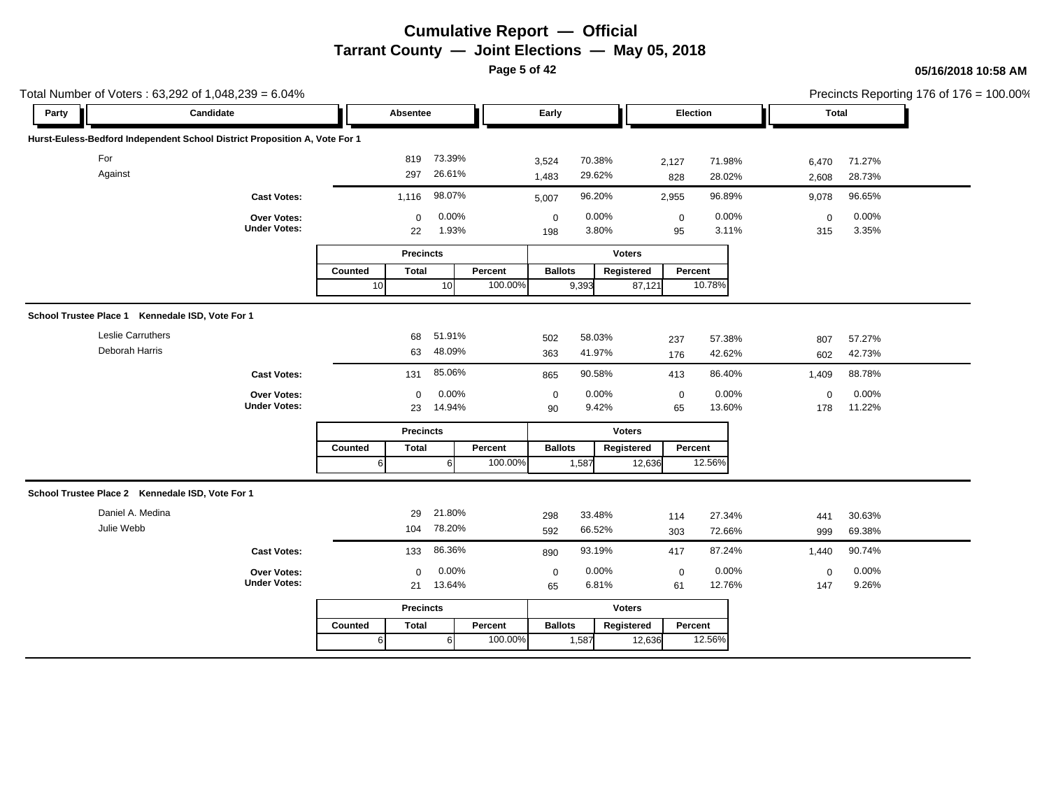**Page 5 of 42**

|            | Total Number of Voters: 63,292 of 1,048,239 = 6.04%                        |         |                                |         |                |                  |               |                                |       |             |                  | Precincts Reporting 176 of 176 = 100.00% |
|------------|----------------------------------------------------------------------------|---------|--------------------------------|---------|----------------|------------------|---------------|--------------------------------|-------|-------------|------------------|------------------------------------------|
| Party      | Candidate                                                                  |         | Absentee                       |         | Early          |                  |               | Election                       |       | Total       |                  |                                          |
|            | Hurst-Euless-Bedford Independent School District Proposition A, Vote For 1 |         |                                |         |                |                  |               |                                |       |             |                  |                                          |
| For        |                                                                            |         | 73.39%<br>819                  |         | 3,524          | 70.38%           | 2,127         | 71.98%                         |       | 6,470       | 71.27%           |                                          |
| Against    |                                                                            |         | 26.61%<br>297                  |         | 1,483          | 29.62%           |               | 828<br>28.02%                  |       | 2,608       | 28.73%           |                                          |
|            | <b>Cast Votes:</b>                                                         | 1,116   | 98.07%                         |         | 5,007          | 96.20%           | 2,955         | 96.89%                         |       | 9,078       | 96.65%           |                                          |
|            | Over Votes:                                                                |         | 0.00%<br>$\mathbf 0$           |         | $\pmb{0}$      | 0.00%            |               | $\mathbf 0$                    | 0.00% | $\mathbf 0$ | 0.00%            |                                          |
|            | <b>Under Votes:</b>                                                        |         | 1.93%<br>22                    |         | 198            | 3.80%            |               | 95                             | 3.11% | 315         | 3.35%            |                                          |
|            |                                                                            |         | <b>Precincts</b>               |         |                |                  | <b>Voters</b> |                                |       |             |                  |                                          |
|            |                                                                            | Counted | <b>Total</b>                   | Percent | <b>Ballots</b> |                  | Registered    | Percent                        |       |             |                  |                                          |
|            |                                                                            | 10      | 10 <sup>1</sup>                | 100.00% |                | 9,393            | 87,121        | 10.78%                         |       |             |                  |                                          |
|            | School Trustee Place 1 Kennedale ISD, Vote For 1                           |         |                                |         |                |                  |               |                                |       |             |                  |                                          |
|            | <b>Leslie Carruthers</b>                                                   |         | 51.91%<br>68                   |         |                |                  |               |                                |       |             |                  |                                          |
|            | Deborah Harris                                                             |         | 48.09%<br>63                   |         | 502<br>363     | 58.03%<br>41.97% |               | 57.38%<br>237<br>42.62%<br>176 |       | 807<br>602  | 57.27%<br>42.73% |                                          |
|            |                                                                            |         |                                |         |                |                  |               |                                |       |             |                  |                                          |
|            | <b>Cast Votes:</b>                                                         |         | 85.06%<br>131                  |         | 865            | 90.58%           |               | 86.40%<br>413                  |       | 1,409       | 88.78%           |                                          |
|            | Over Votes:<br><b>Under Votes:</b>                                         |         | 0.00%<br>$\mathbf 0$<br>14.94% |         | $\pmb{0}$      | 0.00%            |               | 0.00%<br>$\boldsymbol{0}$      |       | $\mathbf 0$ | 0.00%<br>11.22%  |                                          |
|            |                                                                            |         | 23                             |         | 90             | 9.42%            |               | 65<br>13.60%                   |       | 178         |                  |                                          |
|            |                                                                            |         | <b>Precincts</b>               |         |                |                  | <b>Voters</b> |                                |       |             |                  |                                          |
|            |                                                                            | Counted | <b>Total</b>                   | Percent | <b>Ballots</b> |                  | Registered    | Percent                        |       |             |                  |                                          |
|            |                                                                            | 6       | -61                            | 100.00% |                | 1,587            | 12,636        | 12.56%                         |       |             |                  |                                          |
|            | School Trustee Place 2 Kennedale ISD, Vote For 1                           |         |                                |         |                |                  |               |                                |       |             |                  |                                          |
|            | Daniel A. Medina                                                           |         | 21.80%<br>29                   |         | 298            | 33.48%           |               | 27.34%<br>114                  |       | 441         | 30.63%           |                                          |
| Julie Webb |                                                                            |         | 78.20%<br>104                  |         | 592            | 66.52%           |               | 72.66%<br>303                  |       | 999         | 69.38%           |                                          |
|            | <b>Cast Votes:</b>                                                         |         | 86.36%<br>133                  |         | 890            | 93.19%           |               | 87.24%<br>417                  |       | 1,440       | 90.74%           |                                          |
|            | Over Votes:                                                                |         | 0.00%<br>$\mathbf 0$           |         | $\mathbf 0$    | 0.00%            |               | 0.00%<br>$\mathbf 0$           |       | $\mathbf 0$ | 0.00%            |                                          |
|            | <b>Under Votes:</b>                                                        |         | 13.64%<br>21                   |         | 65             | 6.81%            |               | 12.76%<br>61                   |       | 147         | 9.26%            |                                          |
|            |                                                                            |         | <b>Precincts</b>               |         |                |                  | <b>Voters</b> |                                |       |             |                  |                                          |
|            |                                                                            | Counted | <b>Total</b>                   | Percent | <b>Ballots</b> |                  | Registered    | Percent                        |       |             |                  |                                          |
|            |                                                                            | 6       | -61                            | 100.00% |                | 1,587            | 12,636        | 12.56%                         |       |             |                  |                                          |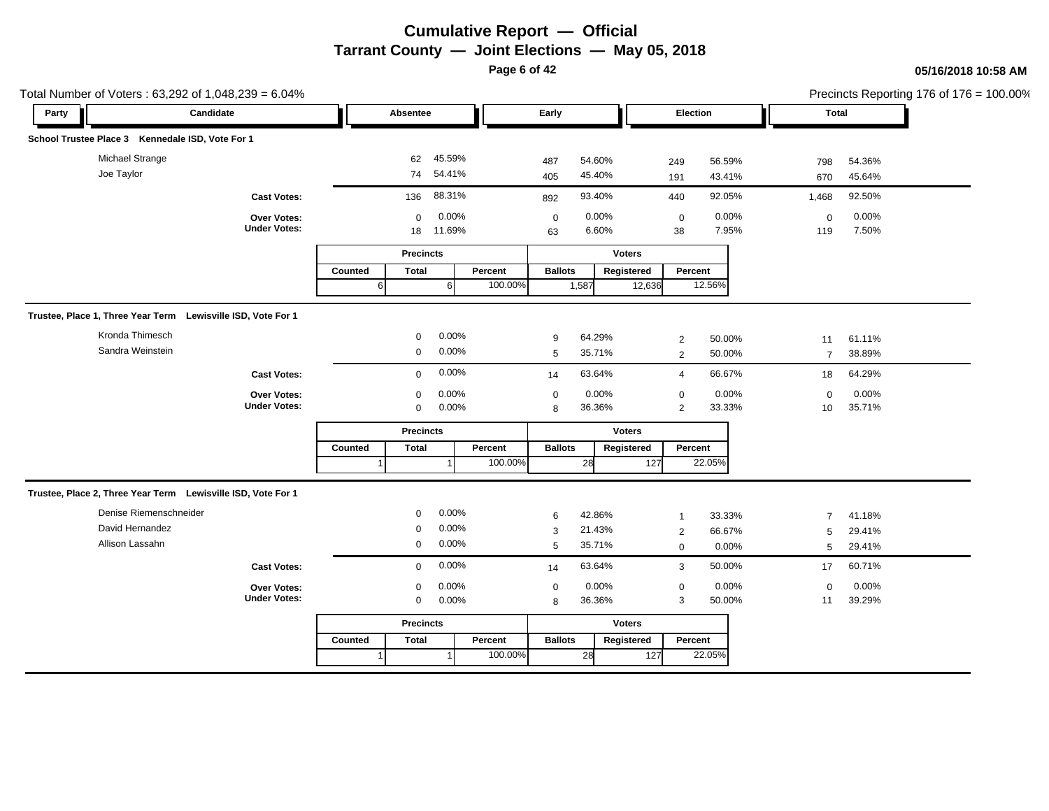**Page 6 of 42**

| Total Number of Voters: 63,292 of 1,048,239 = 6.04%          |                                    |         |                   |                 |         |                   |                |               |                   |                |                    |                | Precincts Reporting 176 of 176 = 100.00% |
|--------------------------------------------------------------|------------------------------------|---------|-------------------|-----------------|---------|-------------------|----------------|---------------|-------------------|----------------|--------------------|----------------|------------------------------------------|
| Candidate<br>Party                                           |                                    |         | Absentee          |                 |         | Early             |                |               | Election          |                | <b>Total</b>       |                |                                          |
| School Trustee Place 3 Kennedale ISD, Vote For 1             |                                    |         |                   |                 |         |                   |                |               |                   |                |                    |                |                                          |
| Michael Strange                                              |                                    |         | 62                | 45.59%          |         | 487               | 54.60%         |               | 249               | 56.59%         | 798                | 54.36%         |                                          |
| Joe Taylor                                                   |                                    |         | 74                | 54.41%          |         | 405               | 45.40%         |               | 191               | 43.41%         | 670                | 45.64%         |                                          |
|                                                              | <b>Cast Votes:</b>                 |         | 136               | 88.31%          |         | 892               | 93.40%         |               | 440               | 92.05%         | 1,468              | 92.50%         |                                          |
|                                                              | Over Votes:<br><b>Under Votes:</b> |         | $\mathbf 0$<br>18 | 0.00%<br>11.69% |         | $\mathbf 0$<br>63 | 0.00%<br>6.60% |               | $\mathbf 0$<br>38 | 0.00%<br>7.95% | $\mathbf 0$<br>119 | 0.00%<br>7.50% |                                          |
|                                                              |                                    |         | <b>Precincts</b>  |                 |         |                   |                | <b>Voters</b> |                   |                |                    |                |                                          |
|                                                              |                                    | Counted | <b>Total</b>      |                 | Percent | <b>Ballots</b>    |                | Registered    | Percent           |                |                    |                |                                          |
|                                                              |                                    | 6       |                   | $6 \mid$        | 100.00% |                   | 1,587          | 12,636        |                   | 12.56%         |                    |                |                                          |
| Trustee, Place 1, Three Year Term Lewisville ISD, Vote For 1 |                                    |         |                   |                 |         |                   |                |               |                   |                |                    |                |                                          |
| Kronda Thimesch                                              |                                    |         | $\mathbf 0$       | 0.00%           |         | 9                 | 64.29%         |               | $\overline{2}$    | 50.00%         | 11                 | 61.11%         |                                          |
| Sandra Weinstein                                             |                                    |         | $\mathbf 0$       | 0.00%           |         | 5                 | 35.71%         |               | 2                 | 50.00%         | $\overline{7}$     | 38.89%         |                                          |
|                                                              | <b>Cast Votes:</b>                 |         | $\mathbf 0$       | 0.00%           |         | 14                | 63.64%         |               | $\overline{4}$    | 66.67%         | 18                 | 64.29%         |                                          |
|                                                              | Over Votes:                        |         | $\mathbf 0$       | 0.00%           |         | $\mathbf 0$       | 0.00%          |               | $\mathbf 0$       | 0.00%          | $\mathbf{0}$       | 0.00%          |                                          |
|                                                              | <b>Under Votes:</b>                |         | 0                 | 0.00%           |         | 8                 | 36.36%         |               | $\overline{2}$    | 33.33%         | 10                 | 35.71%         |                                          |
|                                                              |                                    |         | <b>Precincts</b>  |                 |         |                   |                | <b>Voters</b> |                   |                |                    |                |                                          |
|                                                              |                                    | Counted | <b>Total</b>      |                 | Percent | <b>Ballots</b>    |                | Registered    | Percent           |                |                    |                |                                          |
|                                                              |                                    |         |                   |                 | 100.00% |                   | 28             | 127           |                   | 22.05%         |                    |                |                                          |
| Trustee, Place 2, Three Year Term Lewisville ISD, Vote For 1 |                                    |         |                   |                 |         |                   |                |               |                   |                |                    |                |                                          |
| Denise Riemenschneider                                       |                                    |         | $\Omega$          | 0.00%           |         | 6                 | 42.86%         |               | $\overline{1}$    | 33.33%         | $\overline{7}$     | 41.18%         |                                          |
| David Hernandez                                              |                                    |         | $\Omega$          | 0.00%           |         | 3                 | 21.43%         |               | 2                 | 66.67%         | 5                  | 29.41%         |                                          |
| Allison Lassahn                                              |                                    |         | 0                 | 0.00%           |         | $\sqrt{5}$        | 35.71%         |               | $\mathbf 0$       | 0.00%          | 5                  | 29.41%         |                                          |
|                                                              | <b>Cast Votes:</b>                 |         | $\Omega$          | 0.00%           |         | 14                | 63.64%         |               | 3                 | 50.00%         | 17                 | 60.71%         |                                          |
|                                                              | Over Votes:                        |         | $\mathbf 0$       | 0.00%           |         | $\mathbf 0$       | 0.00%          |               | $\mathbf 0$       | 0.00%          | $\mathbf 0$        | 0.00%          |                                          |
|                                                              | <b>Under Votes:</b>                |         | $\mathbf 0$       | 0.00%           |         | 8                 | 36.36%         |               | 3                 | 50.00%         | 11                 | 39.29%         |                                          |
|                                                              |                                    |         | <b>Precincts</b>  |                 |         |                   |                | <b>Voters</b> |                   |                |                    |                |                                          |
|                                                              |                                    | Counted | <b>Total</b>      |                 | Percent | <b>Ballots</b>    |                | Registered    | Percent           |                |                    |                |                                          |
|                                                              |                                    |         |                   |                 | 100.00% |                   | 28             | 127           |                   | 22.05%         |                    |                |                                          |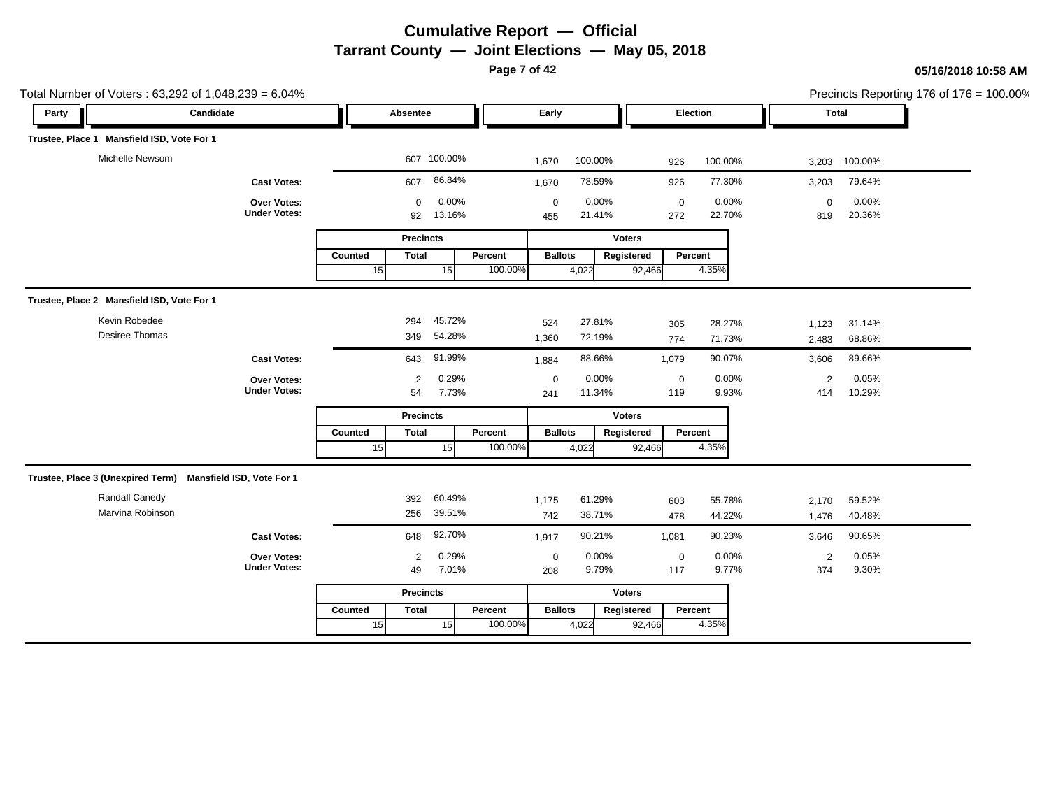**Page 7 of 42**

| Total Number of Voters: 63,292 of 1,048,239 = 6.04%         |                                    |               |                   |                 |                    |                    |                 |                      |                    |                 |                       |                 | Precincts Reporting 176 of 176 = 100.00% |
|-------------------------------------------------------------|------------------------------------|---------------|-------------------|-----------------|--------------------|--------------------|-----------------|----------------------|--------------------|-----------------|-----------------------|-----------------|------------------------------------------|
| Candidate<br>Party                                          |                                    |               | Absentee          |                 |                    | Early              |                 |                      | Election           |                 |                       | Total           |                                          |
| Trustee, Place 1 Mansfield ISD, Vote For 1                  |                                    |               |                   |                 |                    |                    |                 |                      |                    |                 |                       |                 |                                          |
| Michelle Newsom                                             |                                    |               |                   | 607 100.00%     |                    | 1,670              | 100.00%         |                      | 926                | 100.00%         | 3,203                 | 100.00%         |                                          |
|                                                             | <b>Cast Votes:</b>                 |               | 607               | 86.84%          |                    | 1,670              | 78.59%          |                      | 926                | 77.30%          | 3,203                 | 79.64%          |                                          |
|                                                             | Over Votes:<br><b>Under Votes:</b> |               | $\mathbf 0$<br>92 | 0.00%<br>13.16% |                    | $\mathbf 0$<br>455 | 0.00%<br>21.41% |                      | $\pmb{0}$<br>272   | 0.00%<br>22.70% | $\mathbf 0$<br>819    | 0.00%<br>20.36% |                                          |
|                                                             |                                    |               | <b>Precincts</b>  |                 |                    |                    |                 | <b>Voters</b>        |                    |                 |                       |                 |                                          |
|                                                             |                                    | Counted<br>15 | <b>Total</b>      | 15              | Percent<br>100.00% | <b>Ballots</b>     | 4,022           | Registered<br>92,466 | Percent            | 4.35%           |                       |                 |                                          |
| Trustee, Place 2 Mansfield ISD, Vote For 1                  |                                    |               |                   |                 |                    |                    |                 |                      |                    |                 |                       |                 |                                          |
| Kevin Robedee                                               |                                    |               | 294               | 45.72%          |                    | 524                | 27.81%          |                      | 305                | 28.27%          | 1,123                 | 31.14%          |                                          |
| Desiree Thomas                                              |                                    |               | 349               | 54.28%          |                    | 1,360              | 72.19%          |                      | 774                | 71.73%          | 2,483                 | 68.86%          |                                          |
|                                                             | <b>Cast Votes:</b>                 |               | 643               | 91.99%          |                    | 1,884              | 88.66%          |                      | 1,079              | 90.07%          | 3,606                 | 89.66%          |                                          |
|                                                             | Over Votes:<br><b>Under Votes:</b> |               | 2<br>54           | 0.29%<br>7.73%  |                    | $\mathbf 0$<br>241 | 0.00%<br>11.34% |                      | $\pmb{0}$<br>119   | 0.00%<br>9.93%  | $\overline{2}$<br>414 | 0.05%<br>10.29% |                                          |
|                                                             |                                    |               | <b>Precincts</b>  |                 |                    |                    |                 | <b>Voters</b>        |                    |                 |                       |                 |                                          |
|                                                             |                                    | Counted       | <b>Total</b>      |                 | Percent            | <b>Ballots</b>     |                 | Registered           | Percent            |                 |                       |                 |                                          |
|                                                             |                                    | 15            |                   | 15              | 100.00%            |                    | 4,022           | 92,466               |                    | 4.35%           |                       |                 |                                          |
| Trustee, Place 3 (Unexpired Term) Mansfield ISD, Vote For 1 |                                    |               |                   |                 |                    |                    |                 |                      |                    |                 |                       |                 |                                          |
| Randall Canedy                                              |                                    |               | 392               | 60.49%          |                    | 1,175              | 61.29%          |                      | 603                | 55.78%          | 2,170                 | 59.52%          |                                          |
| Marvina Robinson                                            |                                    |               | 256               | 39.51%          |                    | 742                | 38.71%          |                      | 478                | 44.22%          | 1,476                 | 40.48%          |                                          |
|                                                             | <b>Cast Votes:</b>                 |               | 648               | 92.70%          |                    | 1,917              | 90.21%          |                      | 1,081              | 90.23%          | 3,646                 | 90.65%          |                                          |
|                                                             | Over Votes:<br><b>Under Votes:</b> |               | 2<br>49           | 0.29%<br>7.01%  |                    | $\mathbf 0$<br>208 | 0.00%<br>9.79%  |                      | $\mathbf 0$<br>117 | 0.00%<br>9.77%  | $\overline{2}$<br>374 | 0.05%<br>9.30%  |                                          |
|                                                             |                                    |               | <b>Precincts</b>  |                 |                    |                    |                 | <b>Voters</b>        |                    |                 |                       |                 |                                          |
|                                                             |                                    | Counted       | <b>Total</b>      |                 | Percent            | <b>Ballots</b>     |                 | Registered           | Percent            |                 |                       |                 |                                          |
|                                                             |                                    | 15            |                   | 15              | 100.00%            |                    | 4,022           | 92,466               |                    | 4.35%           |                       |                 |                                          |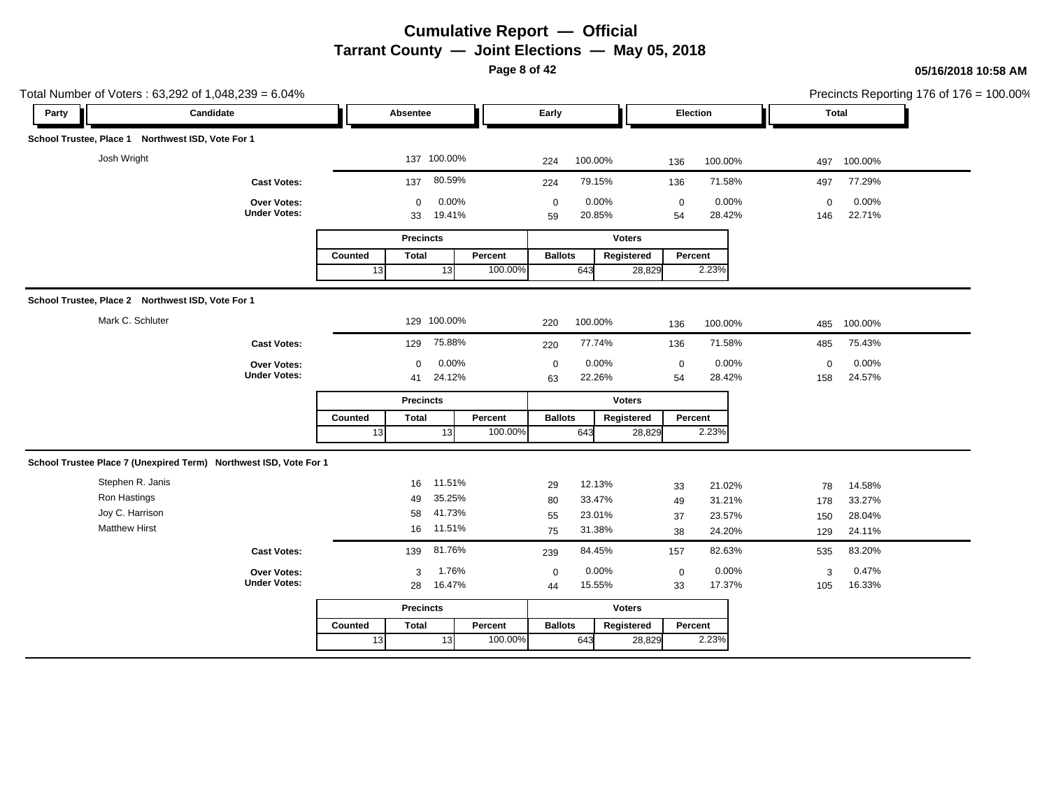**Page 8 of 42**

|       | Total Number of Voters: 63,292 of 1,048,239 = 6.04%               |                                    |         |                   |                 |         |                   |                 |               |                 |                 |                     |                 | Precincts Reporting 176 of 176 = 100.00% |
|-------|-------------------------------------------------------------------|------------------------------------|---------|-------------------|-----------------|---------|-------------------|-----------------|---------------|-----------------|-----------------|---------------------|-----------------|------------------------------------------|
| Party | Candidate                                                         |                                    |         | Absentee          |                 |         | Early             |                 |               | Election        |                 | Total               |                 |                                          |
|       | School Trustee, Place 1 Northwest ISD, Vote For 1                 |                                    |         |                   |                 |         |                   |                 |               |                 |                 |                     |                 |                                          |
|       | Josh Wright                                                       |                                    |         |                   | 137 100.00%     |         | 224               | 100.00%         |               | 136             | 100.00%         |                     | 497 100.00%     |                                          |
|       |                                                                   | <b>Cast Votes:</b>                 |         | 137               | 80.59%          |         | 224               | 79.15%          |               | 136             | 71.58%          | 497                 | 77.29%          |                                          |
|       |                                                                   | Over Votes:<br><b>Under Votes:</b> |         | $\mathbf 0$<br>33 | 0.00%<br>19.41% |         | $\mathbf 0$<br>59 | 0.00%<br>20.85% |               | $\pmb{0}$<br>54 | 0.00%<br>28.42% | $\mathbf{0}$<br>146 | 0.00%<br>22.71% |                                          |
|       |                                                                   |                                    |         | <b>Precincts</b>  |                 |         |                   |                 | <b>Voters</b> |                 |                 |                     |                 |                                          |
|       |                                                                   |                                    | Counted | <b>Total</b>      |                 | Percent | <b>Ballots</b>    |                 | Registered    | Percent         |                 |                     |                 |                                          |
|       |                                                                   |                                    | 13      |                   | 13              | 100.00% |                   | 643             | 28,829        |                 | 2.23%           |                     |                 |                                          |
|       | School Trustee, Place 2 Northwest ISD, Vote For 1                 |                                    |         |                   |                 |         |                   |                 |               |                 |                 |                     |                 |                                          |
|       | Mark C. Schluter                                                  |                                    |         |                   | 129 100.00%     |         | 220               | 100.00%         |               | 136             | 100.00%         | 485                 | 100.00%         |                                          |
|       |                                                                   | <b>Cast Votes:</b>                 |         | 129               | 75.88%          |         | 220               | 77.74%          |               | 136             | 71.58%          | 485                 | 75.43%          |                                          |
|       |                                                                   | Over Votes:                        |         | $\Omega$          | 0.00%           |         | $\mathbf 0$       | 0.00%           |               | $\mathbf 0$     | 0.00%           | $\mathbf 0$         | 0.00%           |                                          |
|       |                                                                   | <b>Under Votes:</b>                |         | 41                | 24.12%          |         | 63                | 22.26%          |               | 54              | 28.42%          | 158                 | 24.57%          |                                          |
|       |                                                                   |                                    |         | <b>Precincts</b>  |                 |         |                   |                 | <b>Voters</b> |                 |                 |                     |                 |                                          |
|       |                                                                   |                                    | Counted | <b>Total</b>      |                 | Percent | <b>Ballots</b>    |                 | Registered    | Percent         |                 |                     |                 |                                          |
|       |                                                                   |                                    | 13      |                   | 13              | 100.00% |                   | 643             | 28,829        |                 | 2.23%           |                     |                 |                                          |
|       | School Trustee Place 7 (Unexpired Term) Northwest ISD, Vote For 1 |                                    |         |                   |                 |         |                   |                 |               |                 |                 |                     |                 |                                          |
|       | Stephen R. Janis                                                  |                                    |         | 16                | 11.51%          |         | 29                | 12.13%          |               | 33              | 21.02%          | 78                  | 14.58%          |                                          |
|       | Ron Hastings                                                      |                                    |         | 49                | 35.25%          |         | 80                | 33.47%          |               | 49              | 31.21%          | 178                 | 33.27%          |                                          |
|       | Joy C. Harrison                                                   |                                    |         | 58                | 41.73%          |         | 55                | 23.01%          |               | 37              | 23.57%          | 150                 | 28.04%          |                                          |
|       | <b>Matthew Hirst</b>                                              |                                    |         | 16                | 11.51%          |         | 75                | 31.38%          |               | 38              | 24.20%          | 129                 | 24.11%          |                                          |
|       |                                                                   | <b>Cast Votes:</b>                 |         | 139               | 81.76%          |         | 239               | 84.45%          |               | 157             | 82.63%          | 535                 | 83.20%          |                                          |
|       |                                                                   | Over Votes:                        |         | 3                 | 1.76%           |         | $\mathbf 0$       | 0.00%           |               | $\mathbf 0$     | 0.00%           | 3                   | 0.47%           |                                          |
|       |                                                                   | <b>Under Votes:</b>                |         | 28                | 16.47%          |         | 44                | 15.55%          |               | 33              | 17.37%          | 105                 | 16.33%          |                                          |
|       |                                                                   |                                    |         | <b>Precincts</b>  |                 |         |                   |                 | <b>Voters</b> |                 |                 |                     |                 |                                          |
|       |                                                                   |                                    |         |                   |                 |         |                   |                 |               |                 |                 |                     |                 |                                          |
|       |                                                                   |                                    | Counted | <b>Total</b>      |                 | Percent | <b>Ballots</b>    |                 | Registered    | Percent         |                 |                     |                 |                                          |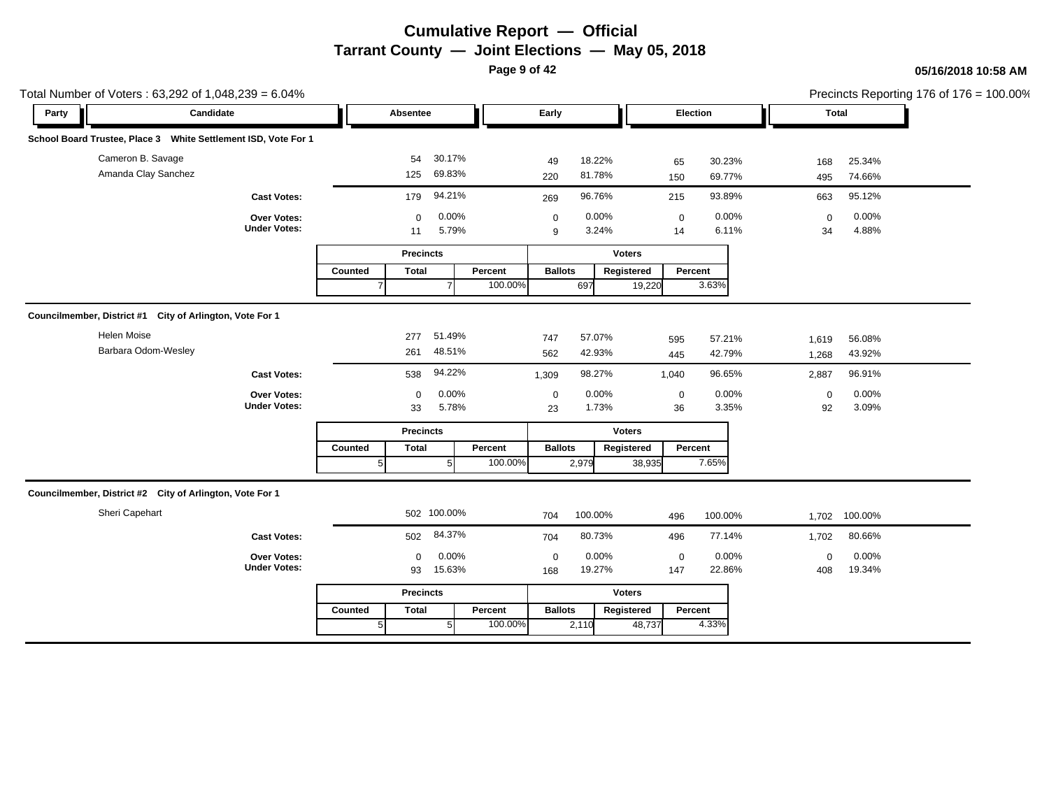**Page 9 of 42**

| Party                                                          | Candidate                                 |         | Absentee          |                |                    | Early             |                  |               |        | Election         |                  |       | <b>Total</b>                        |  |
|----------------------------------------------------------------|-------------------------------------------|---------|-------------------|----------------|--------------------|-------------------|------------------|---------------|--------|------------------|------------------|-------|-------------------------------------|--|
|                                                                |                                           |         |                   |                |                    |                   |                  |               |        |                  |                  |       |                                     |  |
| School Board Trustee, Place 3 White Settlement ISD, Vote For 1 |                                           |         |                   |                |                    |                   |                  |               |        |                  |                  |       |                                     |  |
| Cameron B. Savage                                              |                                           |         | 54                | 30.17%         |                    | 49                | 18.22%           |               |        | 65               | 30.23%           | 168   | 25.34%                              |  |
| Amanda Clay Sanchez                                            |                                           |         | 125               | 69.83%         |                    | 220               | 81.78%           |               |        | 150              | 69.77%           | 495   | 74.66%                              |  |
|                                                                | <b>Cast Votes:</b>                        |         | 179               | 94.21%         |                    | 269               | 96.76%           |               |        | 215              | 93.89%           | 663   | 95.12%                              |  |
|                                                                | Over Votes:                               |         | $\mathbf 0$       | 0.00%          |                    | $\mathbf 0$       | 0.00%            |               |        | $\mathbf 0$      | 0.00%            |       | 0.00%<br>$\mathbf 0$                |  |
|                                                                | <b>Under Votes:</b>                       |         | 11                | 5.79%          |                    | 9                 |                  | 3.24%         |        | 14               | 6.11%            |       | 4.88%<br>34                         |  |
|                                                                |                                           |         | <b>Precincts</b>  |                |                    |                   |                  | <b>Voters</b> |        |                  |                  |       |                                     |  |
|                                                                |                                           | Counted | <b>Total</b>      |                | Percent            | <b>Ballots</b>    |                  | Registered    |        | Percent          |                  |       |                                     |  |
|                                                                |                                           |         |                   | $\overline{7}$ | 100.00%            |                   | 697              |               | 19,220 | 3.63%            |                  |       |                                     |  |
| Councilmember, District #1 City of Arlington, Vote For 1       |                                           |         |                   |                |                    |                   |                  |               |        |                  |                  |       |                                     |  |
| <b>Helen Moise</b>                                             |                                           |         |                   | 51.49%         |                    |                   |                  |               |        |                  |                  |       |                                     |  |
| Barbara Odom-Wesley                                            |                                           |         | 277<br>261        | 48.51%         |                    | 747<br>562        | 57.07%<br>42.93% |               |        | 595<br>445       | 57.21%<br>42.79% | 1,619 | 56.08%<br>43.92%                    |  |
|                                                                |                                           |         |                   | 94.22%         |                    |                   |                  |               |        |                  |                  | 1,268 |                                     |  |
|                                                                | <b>Cast Votes:</b>                        |         | 538               |                |                    | 1,309             | 98.27%           |               | 1,040  |                  | 96.65%           | 2,887 | 96.91%                              |  |
|                                                                | <b>Over Votes:</b><br><b>Under Votes:</b> |         | $\mathbf 0$<br>33 | 0.00%<br>5.78% |                    | $\mathbf 0$<br>23 | 0.00%            | 1.73%         |        | 0<br>36          | 0.00%<br>3.35%   |       | 0.00%<br>$\mathbf 0$<br>3.09%<br>92 |  |
|                                                                |                                           |         |                   |                |                    |                   |                  |               |        |                  |                  |       |                                     |  |
|                                                                |                                           |         | <b>Precincts</b>  |                |                    |                   |                  | <b>Voters</b> |        |                  |                  |       |                                     |  |
|                                                                |                                           | Counted | <b>Total</b>      | 5              | Percent<br>100.00% | <b>Ballots</b>    | 2,979            | Registered    | 38,935 | Percent<br>7.65% |                  |       |                                     |  |
|                                                                |                                           |         |                   |                |                    |                   |                  |               |        |                  |                  |       |                                     |  |
| Councilmember, District #2 City of Arlington, Vote For 1       |                                           |         |                   |                |                    |                   |                  |               |        |                  |                  |       |                                     |  |
| Sheri Capehart                                                 |                                           |         | 502 100.00%       |                |                    | 704               | 100.00%          |               |        | 496              | 100.00%          |       | 1,702 100.00%                       |  |
|                                                                | <b>Cast Votes:</b>                        |         | 502               | 84.37%         |                    | 704               | 80.73%           |               |        | 496              | 77.14%           | 1,702 | 80.66%                              |  |
|                                                                | Over Votes:                               |         | $\mathbf 0$       | 0.00%          |                    | $\mathbf 0$       | 0.00%            |               |        | $\mathbf 0$      | 0.00%            |       | 0.00%<br>$\mathbf 0$                |  |
|                                                                | <b>Under Votes:</b>                       |         | 93                | 15.63%         |                    | 168               | 19.27%           |               |        | 147              | 22.86%           | 408   | 19.34%                              |  |
|                                                                |                                           |         | <b>Precincts</b>  |                |                    |                   |                  | <b>Voters</b> |        |                  |                  |       |                                     |  |
|                                                                |                                           | Counted | <b>Total</b>      |                | Percent            | <b>Ballots</b>    |                  | Registered    |        | Percent          |                  |       |                                     |  |
|                                                                |                                           |         |                   | 5 <sub>l</sub> | 100.00%            |                   | 2,110            |               | 48,737 | 4.33%            |                  |       |                                     |  |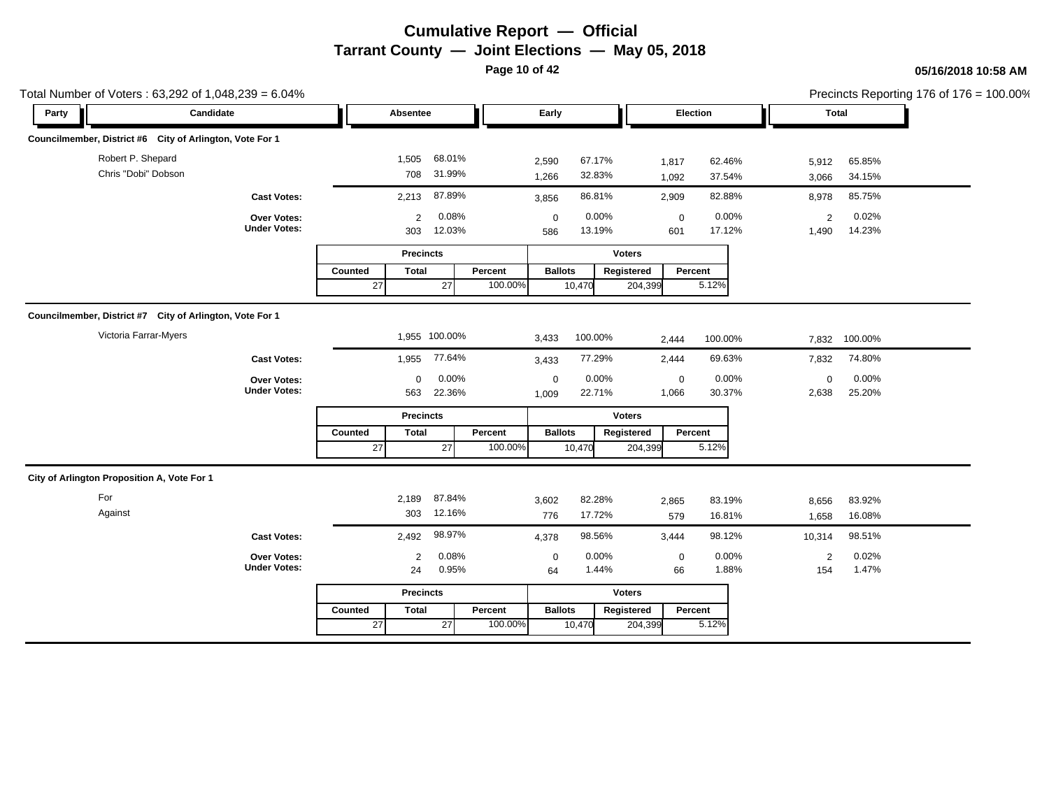**Page 10 of 42**

|       | Total Number of Voters: 63,292 of 1,048,239 = 6.04%      |               |                             |                    |                      |                  |                       |                                     |                         |                  | Precincts Reporting 176 of 176 = 100.00% |
|-------|----------------------------------------------------------|---------------|-----------------------------|--------------------|----------------------|------------------|-----------------------|-------------------------------------|-------------------------|------------------|------------------------------------------|
| Party | Candidate                                                | Absentee      |                             |                    | Early                |                  |                       | Election                            | Total                   |                  |                                          |
|       | Councilmember, District #6 City of Arlington, Vote For 1 |               |                             |                    |                      |                  |                       |                                     |                         |                  |                                          |
|       | Robert P. Shepard<br>Chris "Dobi" Dobson                 | 1,505         | 68.01%<br>708 31.99%        |                    | 2,590<br>1,266       | 67.17%<br>32.83% | 1,817<br>1,092        | 62.46%<br>37.54%                    | 5,912<br>3,066          | 65.85%<br>34.15% |                                          |
|       | <b>Cast Votes:</b>                                       | 2,213         | 87.89%                      |                    | 3,856                | 86.81%           | 2,909                 | 82.88%                              | 8,978                   | 85.75%           |                                          |
|       | Over Votes:<br><b>Under Votes:</b>                       | 303           | 0.08%<br>2<br>12.03%        |                    | $\mathbf 0$<br>586   | 0.00%<br>13.19%  | 601                   | 0.00%<br>$\mathbf 0$<br>17.12%      | $\overline{2}$<br>1,490 | 0.02%<br>14.23%  |                                          |
|       |                                                          |               | <b>Precincts</b>            |                    |                      |                  | <b>Voters</b>         |                                     |                         |                  |                                          |
|       |                                                          | Counted<br>27 | <b>Total</b><br>27          | Percent<br>100.00% | <b>Ballots</b>       | 10,470           | Registered<br>204,399 | Percent<br>5.12%                    |                         |                  |                                          |
|       | Councilmember, District #7 City of Arlington, Vote For 1 |               |                             |                    |                      |                  |                       |                                     |                         |                  |                                          |
|       | Victoria Farrar-Myers                                    |               | 1,955 100.00%               |                    | 3,433                | 100.00%          | 2,444                 | 100.00%                             | 7,832                   | 100.00%          |                                          |
|       | <b>Cast Votes:</b>                                       | 1,955         | 77.64%                      |                    | 3,433                | 77.29%           | 2,444                 | 69.63%                              | 7,832                   | 74.80%           |                                          |
|       | Over Votes:<br><b>Under Votes:</b>                       | 563           | 0.00%<br>$\Omega$<br>22.36% |                    | $\mathbf 0$<br>1,009 | 0.00%<br>22.71%  | 1,066                 | 0.00%<br>$\mathbf 0$<br>30.37%      | $\mathbf 0$<br>2,638    | 0.00%<br>25.20%  |                                          |
|       |                                                          |               | <b>Precincts</b>            |                    |                      |                  | Voters                |                                     |                         |                  |                                          |
|       |                                                          | Counted<br>27 | <b>Total</b><br>27          | Percent<br>100.00% | <b>Ballots</b>       | 10,470           | Registered<br>204,399 | Percent<br>5.12%                    |                         |                  |                                          |
|       | City of Arlington Proposition A, Vote For 1              |               |                             |                    |                      |                  |                       |                                     |                         |                  |                                          |
| For   |                                                          | 2,189         | 87.84%                      |                    | 3,602                | 82.28%           | 2,865                 | 83.19%                              | 8,656                   | 83.92%           |                                          |
|       | Against                                                  |               | 12.16%<br>303               |                    | 776                  | 17.72%           |                       | 16.81%<br>579                       | 1,658                   | 16.08%           |                                          |
|       | <b>Cast Votes:</b>                                       | 2,492         | 98.97%                      |                    | 4,378                | 98.56%           | 3,444                 | 98.12%                              | 10,314                  | 98.51%           |                                          |
|       | Over Votes:<br><b>Under Votes:</b>                       |               | 0.08%<br>2<br>0.95%<br>24   |                    | $\mathbf 0$<br>64    | 0.00%<br>1.44%   |                       | 0.00%<br>$\mathbf 0$<br>1.88%<br>66 | $\overline{2}$<br>154   | 0.02%<br>1.47%   |                                          |
|       |                                                          |               | <b>Precincts</b>            |                    |                      |                  | <b>Voters</b>         |                                     |                         |                  |                                          |
|       |                                                          | Counted       | <b>Total</b>                | Percent            | <b>Ballots</b>       |                  | Registered            | Percent                             |                         |                  |                                          |
|       |                                                          | 27            | 27                          | 100.00%            |                      | 10,470           | 204,399               | 5.12%                               |                         |                  |                                          |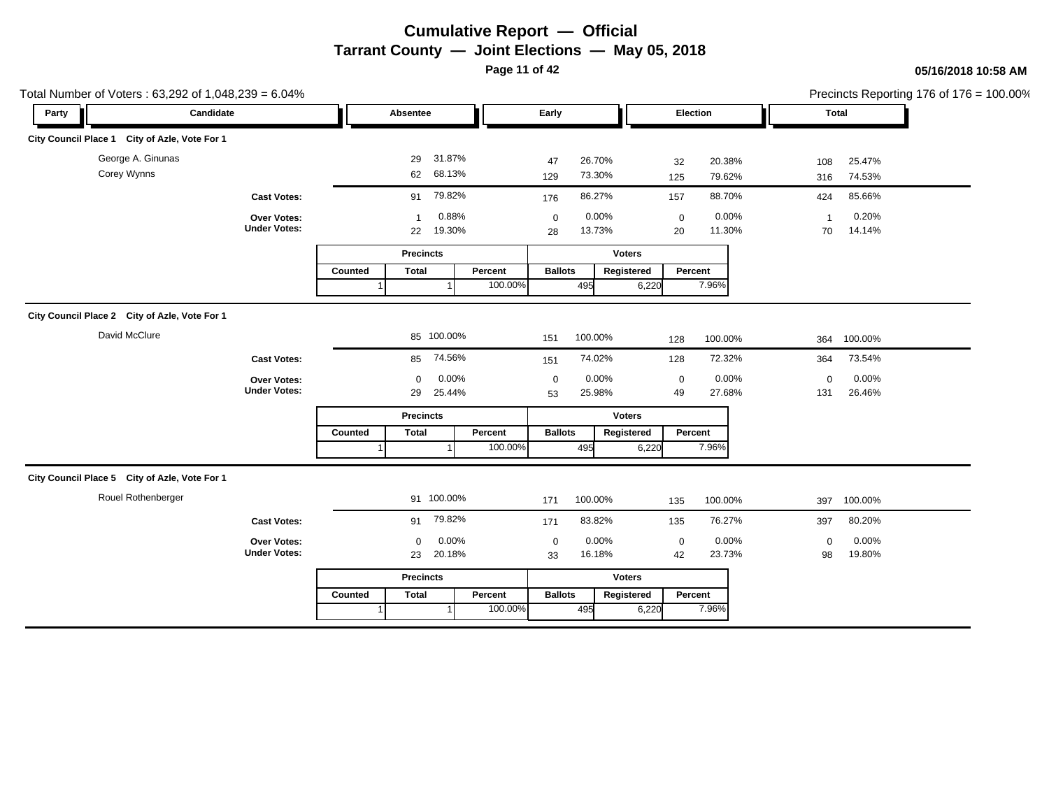**Page 11 of 42**

|       | Total Number of Voters: 63,292 of 1,048,239 = 6.04% |                                           |         |                              |                    |                   |                   |       |                               |       |                      |                  | Precincts Reporting 176 of 176 = 100.00% |
|-------|-----------------------------------------------------|-------------------------------------------|---------|------------------------------|--------------------|-------------------|-------------------|-------|-------------------------------|-------|----------------------|------------------|------------------------------------------|
| Party | Candidate                                           |                                           |         | Absentee                     |                    | Early             |                   |       | Election                      |       |                      | Total            |                                          |
|       | City Council Place 1 City of Azle, Vote For 1       |                                           |         |                              |                    |                   |                   |       |                               |       |                      |                  |                                          |
|       | George A. Ginunas<br>Corey Wynns                    |                                           |         | 31.87%<br>29<br>62 68.13%    |                    | 47<br>129         | 26.70%<br>73.30%  |       | 20.38%<br>32<br>79.62%<br>125 |       | 108<br>316           | 25.47%<br>74.53% |                                          |
|       |                                                     | <b>Cast Votes:</b>                        |         | 91 79.82%                    |                    | 176               | 86.27%            |       | 88.70%<br>157                 |       | 424                  | 85.66%           |                                          |
|       |                                                     | Over Votes:<br><b>Under Votes:</b>        |         | $\mathbf{1}$<br>19.30%<br>22 | 0.88%              | $\mathbf 0$<br>28 | 0.00%<br>13.73%   |       | $\pmb{0}$<br>11.30%<br>20     | 0.00% | $\overline{1}$<br>70 | 0.20%<br>14.14%  |                                          |
|       |                                                     |                                           |         | <b>Precincts</b>             |                    |                   | <b>Voters</b>     |       |                               |       |                      |                  |                                          |
|       |                                                     |                                           | Counted | <b>Total</b>                 | Percent<br>100.00% | <b>Ballots</b>    | Registered<br>495 | 6,220 | Percent<br>7.96%              |       |                      |                  |                                          |
|       | City Council Place 2 City of Azle, Vote For 1       |                                           |         |                              |                    |                   |                   |       |                               |       |                      |                  |                                          |
|       | David McClure                                       |                                           |         | 85 100.00%                   |                    | 151               | 100.00%           |       | 100.00%<br>128                |       | 364                  | 100.00%          |                                          |
|       |                                                     | <b>Cast Votes:</b>                        |         | 74.56%<br>85                 |                    | 151               | 74.02%            |       | 72.32%<br>128                 |       | 364                  | 73.54%           |                                          |
|       |                                                     | Over Votes:<br><b>Under Votes:</b>        |         | $\mathbf 0$<br>25.44%<br>29  | 0.00%              | $\mathbf 0$<br>53 | 0.00%<br>25.98%   |       | $\mathbf 0$<br>27.68%<br>49   | 0.00% | $\mathbf 0$<br>131   | 0.00%<br>26.46%  |                                          |
|       |                                                     |                                           |         | <b>Precincts</b>             |                    |                   | <b>Voters</b>     |       |                               |       |                      |                  |                                          |
|       |                                                     |                                           | Counted | <b>Total</b>                 | Percent<br>100.00% | <b>Ballots</b>    | Registered<br>495 | 6,220 | Percent<br>7.96%              |       |                      |                  |                                          |
|       | City Council Place 5 City of Azle, Vote For 1       |                                           |         |                              |                    |                   |                   |       |                               |       |                      |                  |                                          |
|       | Rouel Rothenberger                                  |                                           |         | 91 100.00%                   |                    | 171               | 100.00%           |       | 100.00%<br>135                |       | 397                  | 100.00%          |                                          |
|       |                                                     | <b>Cast Votes:</b>                        |         | 79.82%<br>91                 |                    | 171               | 83.82%            |       | 76.27%<br>135                 |       | 397                  | 80.20%           |                                          |
|       |                                                     | <b>Over Votes:</b><br><b>Under Votes:</b> |         | 0<br>20.18%<br>23            | 0.00%              | $\mathbf 0$<br>33 | 0.00%<br>16.18%   |       | $\mathbf 0$<br>23.73%<br>42   | 0.00% | $\mathsf 0$<br>98    | 0.00%<br>19.80%  |                                          |
|       |                                                     |                                           |         | <b>Precincts</b>             |                    |                   | <b>Voters</b>     |       |                               |       |                      |                  |                                          |
|       |                                                     |                                           | Counted | <b>Total</b>                 | Percent<br>100.00% | <b>Ballots</b>    | Registered<br>495 | 6,220 | Percent<br>7.96%              |       |                      |                  |                                          |
|       |                                                     |                                           |         |                              |                    |                   |                   |       |                               |       |                      |                  |                                          |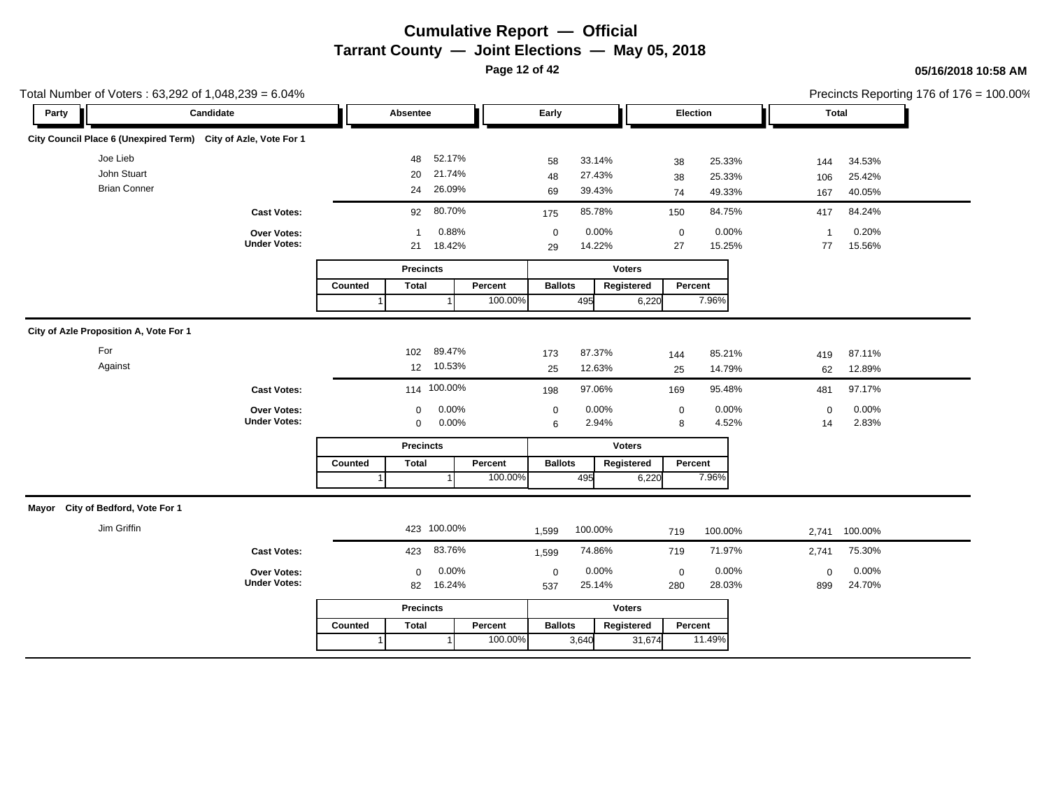**Page 12 of 42**

| Total Number of Voters: 63,292 of 1,048,239 = 6.04%            |                                           |                                              |                                                           |                                       |                                        | Precincts Reporting 176 of 176 = 100.00% |
|----------------------------------------------------------------|-------------------------------------------|----------------------------------------------|-----------------------------------------------------------|---------------------------------------|----------------------------------------|------------------------------------------|
| Party                                                          | Candidate                                 | Absentee                                     | Early                                                     | Election                              | Total                                  |                                          |
| City Council Place 6 (Unexpired Term) City of Azle, Vote For 1 |                                           |                                              |                                                           |                                       |                                        |                                          |
| Joe Lieb<br>John Stuart                                        |                                           | 52.17%<br>48<br>21.74%<br>20                 | 33.14%<br>58<br>27.43%<br>48                              | 25.33%<br>38                          | 34.53%<br>144                          |                                          |
| <b>Brian Conner</b>                                            |                                           | 26.09%<br>24                                 | 39.43%<br>69                                              | 25.33%<br>38<br>49.33%<br>74          | 25.42%<br>106<br>40.05%<br>167         |                                          |
|                                                                | <b>Cast Votes:</b>                        | 80.70%<br>92                                 | 85.78%<br>175                                             | 84.75%<br>150                         | 84.24%<br>417                          |                                          |
|                                                                | Over Votes:<br><b>Under Votes:</b>        | 0.88%<br>$\mathbf{1}$<br>18.42%<br>21        | 0.00%<br>$\mathbf 0$<br>14.22%<br>29                      | 0.00%<br>$\pmb{0}$<br>15.25%<br>27    | 0.20%<br>$\mathbf{1}$<br>15.56%<br>77  |                                          |
|                                                                |                                           | <b>Precincts</b>                             | <b>Voters</b>                                             |                                       |                                        |                                          |
|                                                                |                                           | <b>Total</b><br>Counted                      | Percent<br><b>Ballots</b><br>Registered<br>100.00%<br>495 | Percent<br>7.96%<br>6,220             |                                        |                                          |
| City of Azle Proposition A, Vote For 1                         |                                           |                                              |                                                           |                                       |                                        |                                          |
| For<br>Against                                                 |                                           | 89.47%<br>102<br>12 10.53%                   | 87.37%<br>173<br>12.63%<br>25                             | 85.21%<br>144<br>14.79%<br>25         | 87.11%<br>419<br>12.89%<br>62          |                                          |
|                                                                | <b>Cast Votes:</b>                        | 114 100.00%                                  | 97.06%<br>198                                             | 95.48%<br>169                         | 97.17%<br>481                          |                                          |
|                                                                | Over Votes:<br><b>Under Votes:</b>        | 0.00%<br>$\mathbf 0$<br>0.00%<br>$\mathbf 0$ | 0.00%<br>$\mathbf 0$<br>2.94%<br>6                        | 0.00%<br>$\pmb{0}$<br>4.52%<br>8      | 0.00%<br>$\mathbf 0$<br>2.83%<br>14    |                                          |
|                                                                |                                           | <b>Precincts</b>                             | <b>Voters</b>                                             |                                       |                                        |                                          |
|                                                                |                                           | Counted<br><b>Total</b>                      | Percent<br><b>Ballots</b><br>Registered<br>100.00%<br>495 | Percent<br>7.96%<br>6,220             |                                        |                                          |
| Mayor City of Bedford, Vote For 1                              |                                           |                                              |                                                           |                                       |                                        |                                          |
| Jim Griffin                                                    |                                           | 423 100.00%                                  | 100.00%<br>1,599                                          | 100.00%<br>719                        | 100.00%<br>2,741                       |                                          |
|                                                                | <b>Cast Votes:</b>                        | 83.76%<br>423                                | 74.86%<br>1,599                                           | 71.97%<br>719                         | 75.30%<br>2,741                        |                                          |
|                                                                | <b>Over Votes:</b><br><b>Under Votes:</b> | 0.00%<br>$\Omega$<br>16.24%<br>82            | 0.00%<br>$\mathbf 0$<br>25.14%<br>537                     | 0.00%<br>$\mathbf 0$<br>28.03%<br>280 | 0.00%<br>$\mathbf{0}$<br>24.70%<br>899 |                                          |
|                                                                |                                           | <b>Precincts</b>                             | <b>Voters</b>                                             |                                       |                                        |                                          |
|                                                                |                                           | <b>Total</b><br>Counted                      | <b>Ballots</b><br>Registered<br>Percent                   | Percent                               |                                        |                                          |
|                                                                |                                           |                                              | 100.00%<br>3,640                                          | 11.49%<br>31,674                      |                                        |                                          |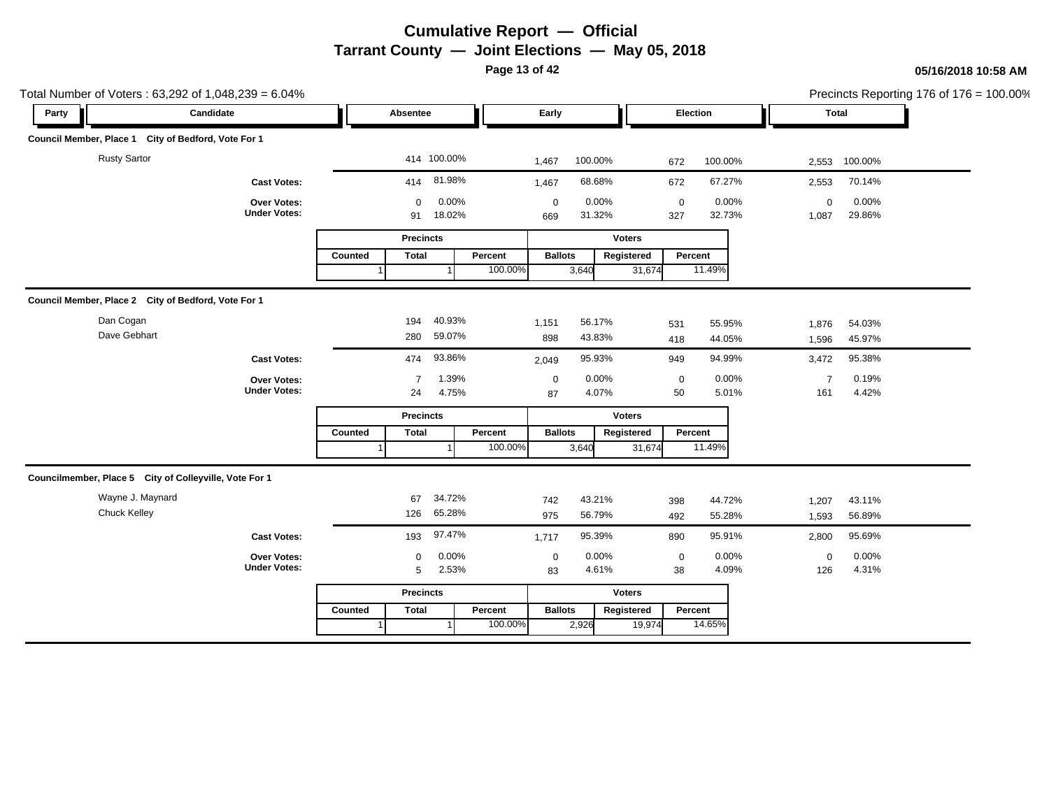**Page 13 of 42**

| Total Number of Voters: 63,292 of 1,048,239 = 6.04%    |                                    |                         |                 |                                       |                                       | Precincts Reporting 176 of 176 = 100.00% |  |
|--------------------------------------------------------|------------------------------------|-------------------------|-----------------|---------------------------------------|---------------------------------------|------------------------------------------|--|
| Party                                                  | Candidate                          | Absentee                |                 | Early                                 | Election                              | <b>Total</b>                             |  |
| Council Member, Place 1 City of Bedford, Vote For 1    |                                    |                         |                 |                                       |                                       |                                          |  |
| <b>Rusty Sartor</b>                                    |                                    | 414 100.00%             |                 | 100.00%<br>1,467                      | 100.00%<br>672                        | 100.00%<br>2,553                         |  |
|                                                        | <b>Cast Votes:</b>                 | 414                     | 81.98%          | 68.68%<br>1,467                       | 67.27%<br>672                         | 70.14%<br>2,553                          |  |
|                                                        | Over Votes:<br><b>Under Votes:</b> | $\mathbf 0$<br>91       | 0.00%<br>18.02% | 0.00%<br>$\mathbf 0$<br>31.32%<br>669 | 0.00%<br>$\mathbf 0$<br>32.73%<br>327 | 0.00%<br>$\mathbf 0$<br>29.86%<br>1,087  |  |
|                                                        |                                    | <b>Precincts</b>        |                 |                                       | <b>Voters</b>                         |                                          |  |
|                                                        |                                    | Counted<br><b>Total</b> | Percent         | <b>Ballots</b>                        | Percent<br>Registered                 |                                          |  |
|                                                        |                                    |                         | 100.00%         | 3,640                                 | 11.49%<br>31,674                      |                                          |  |
| Council Member, Place 2 City of Bedford, Vote For 1    |                                    |                         |                 |                                       |                                       |                                          |  |
| Dan Cogan                                              |                                    | 194                     | 40.93%          | 56.17%<br>1,151                       | 55.95%<br>531                         | 1,876<br>54.03%                          |  |
| Dave Gebhart                                           |                                    | 280                     | 59.07%          | 43.83%<br>898                         | 418<br>44.05%                         | 45.97%<br>1,596                          |  |
|                                                        | <b>Cast Votes:</b>                 | 474                     | 93.86%          | 95.93%<br>2,049                       | 94.99%<br>949                         | 95.38%<br>3,472                          |  |
|                                                        | <b>Over Votes:</b>                 | 7                       | 1.39%           | 0.00%<br>$\mathbf 0$                  | 0.00%<br>0                            | 0.19%<br>$\overline{7}$                  |  |
|                                                        | <b>Under Votes:</b>                | 24                      | 4.75%           | 4.07%<br>87                           | 50<br>5.01%                           | 4.42%<br>161                             |  |
|                                                        |                                    | <b>Precincts</b>        |                 |                                       | <b>Voters</b>                         |                                          |  |
|                                                        |                                    | <b>Total</b><br>Counted | Percent         | <b>Ballots</b>                        | Percent<br>Registered                 |                                          |  |
|                                                        |                                    |                         | 100.00%         | 3,640                                 | 11.49%<br>31,674                      |                                          |  |
| Councilmember, Place 5 City of Colleyville, Vote For 1 |                                    |                         |                 |                                       |                                       |                                          |  |
| Wayne J. Maynard                                       |                                    | 67                      | 34.72%          | 43.21%<br>742                         | 44.72%<br>398                         | 43.11%<br>1,207                          |  |
| Chuck Kelley                                           |                                    | 126                     | 65.28%          | 56.79%<br>975                         | 55.28%<br>492                         | 1,593<br>56.89%                          |  |
|                                                        | <b>Cast Votes:</b>                 | 193                     | 97.47%          | 95.39%<br>1,717                       | 95.91%<br>890                         | 95.69%<br>2,800                          |  |
|                                                        | Over Votes:                        | $\mathbf 0$             | 0.00%           | 0.00%<br>$\mathbf 0$                  | 0.00%<br>$\mathbf 0$                  | 0.00%<br>$\mathbf 0$                     |  |
|                                                        | <b>Under Votes:</b>                | 5                       | 2.53%           | 4.61%<br>83                           | 4.09%<br>38                           | 4.31%<br>126                             |  |
|                                                        |                                    | <b>Precincts</b>        |                 |                                       | <b>Voters</b>                         |                                          |  |
|                                                        |                                    | <b>Total</b><br>Counted | Percent         | <b>Ballots</b>                        | Registered<br>Percent                 |                                          |  |
|                                                        |                                    |                         | 100.00%         | 2,926                                 | 14.65%<br>19,974                      |                                          |  |
|                                                        |                                    |                         |                 |                                       |                                       |                                          |  |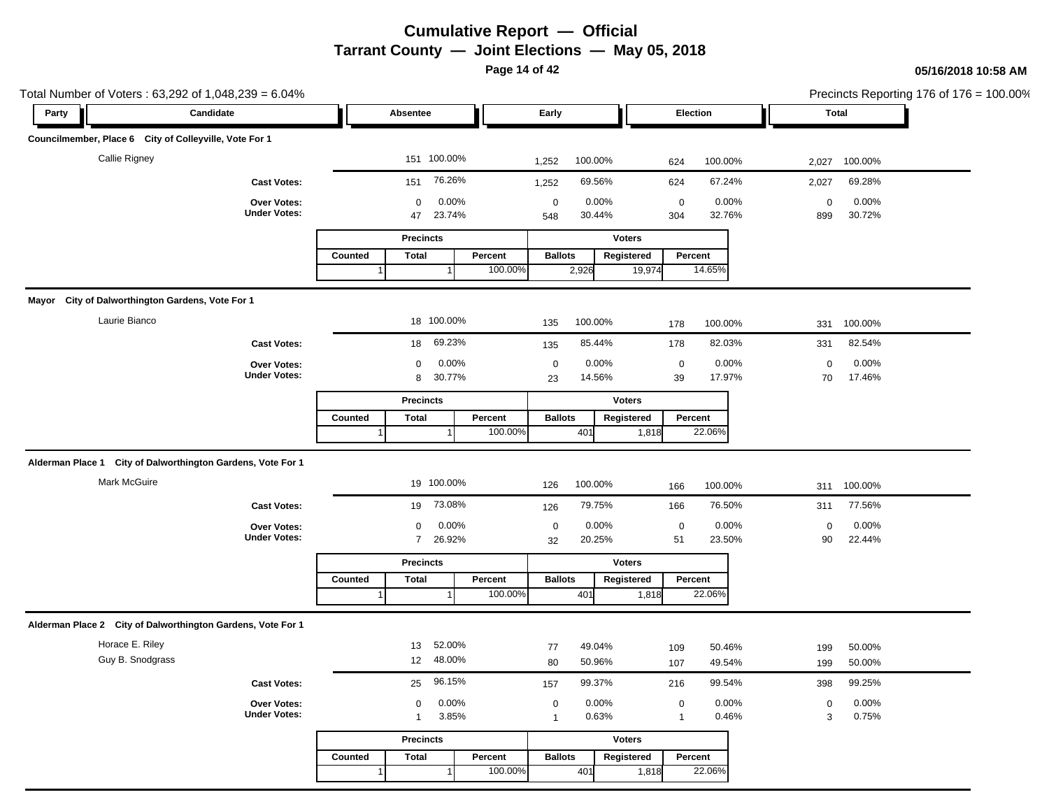**Page 14 of 42**

| Party | Candidate                                                   |                             |                                      |                                       |                                                    |                                    |  |
|-------|-------------------------------------------------------------|-----------------------------|--------------------------------------|---------------------------------------|----------------------------------------------------|------------------------------------|--|
|       |                                                             | Absentee                    |                                      | Early                                 | Election                                           | Total                              |  |
|       | Councilmember, Place 6 City of Colleyville, Vote For 1      |                             |                                      |                                       |                                                    |                                    |  |
|       | Callie Rigney                                               |                             | 151 100.00%                          | 100.00%<br>1,252                      | 100.00%<br>624                                     | 100.00%<br>2,027                   |  |
|       | <b>Cast Votes:</b>                                          | 151                         | 76.26%                               | 69.56%<br>1,252                       | 67.24%<br>624                                      | 69.28%<br>2,027                    |  |
|       | Over Votes:                                                 | 0                           | 0.00%                                | $\mathbf 0$<br>0.00%                  | 0.00%<br>$\mathbf 0$                               | 0.00%<br>$\mathbf 0$               |  |
|       | <b>Under Votes:</b>                                         | 47                          | 23.74%                               | 30.44%<br>548                         | 32.76%<br>304                                      | 30.72%<br>899                      |  |
|       |                                                             | <b>Precincts</b>            |                                      | <b>Voters</b>                         |                                                    |                                    |  |
|       |                                                             | Counted<br><b>Total</b>     | Percent<br>100.00%                   | <b>Ballots</b><br>Registered<br>2,926 | Percent<br>14.65%<br>19,974                        |                                    |  |
|       |                                                             |                             |                                      |                                       |                                                    |                                    |  |
|       | Mayor City of Dalworthington Gardens, Vote For 1            |                             |                                      |                                       |                                                    |                                    |  |
|       | Laurie Bianco                                               |                             | 18 100.00%                           | 100.00%<br>135                        | 100.00%<br>178                                     | 100.00%<br>331                     |  |
|       | <b>Cast Votes:</b>                                          | 18                          | 69.23%                               | 85.44%<br>135                         | 82.03%<br>178                                      | 82.54%<br>331                      |  |
|       | Over Votes:<br><b>Under Votes:</b>                          | 0                           | 0.00%                                | 0.00%<br>$\mathbf 0$                  | 0.00%<br>$\mathbf 0$                               | 0.00%<br>$\mathbf 0$<br>17.46%     |  |
|       |                                                             | 8                           | 30.77%                               | 14.56%<br>23                          | 39<br>17.97%                                       | 70                                 |  |
|       |                                                             | <b>Precincts</b>            |                                      | <b>Voters</b>                         |                                                    |                                    |  |
|       |                                                             | <b>Total</b><br>Counted     | Percent<br>100.00%                   | <b>Ballots</b><br>Registered<br>401   | Percent<br>22.06%<br>1,818                         |                                    |  |
|       |                                                             |                             |                                      |                                       |                                                    |                                    |  |
|       | Alderman Place 1 City of Dalworthington Gardens, Vote For 1 |                             |                                      |                                       |                                                    |                                    |  |
|       | Mark McGuire                                                |                             | 19 100.00%                           | 100.00%<br>126                        | 100.00%<br>166                                     | 100.00%<br>311                     |  |
|       | <b>Cast Votes:</b>                                          | 19                          | 73.08%                               | 79.75%<br>126                         | 76.50%<br>166                                      | 77.56%<br>311                      |  |
|       | Over Votes:                                                 | 0                           | 0.00%                                | 0.00%<br>$\mathbf 0$                  | 0.00%<br>$\pmb{0}$                                 | 0.00%<br>$\mathbf 0$               |  |
|       | <b>Under Votes:</b>                                         | $7^{\circ}$                 | 26.92%                               | 20.25%<br>32                          | 23.50%<br>51                                       | 90<br>22.44%                       |  |
|       |                                                             | <b>Precincts</b>            |                                      | <b>Voters</b>                         |                                                    |                                    |  |
|       |                                                             | Counted<br><b>Total</b>     | Percent<br>100.00%                   | <b>Ballots</b><br>Registered<br>401   | Percent<br>22.06%<br>1,818                         |                                    |  |
|       |                                                             |                             |                                      |                                       |                                                    |                                    |  |
|       | Alderman Place 2 City of Dalworthington Gardens, Vote For 1 |                             |                                      |                                       |                                                    |                                    |  |
|       | Horace E. Riley                                             | 13                          | 52.00%                               | 49.04%<br>77                          | 50.46%<br>109                                      | 50.00%<br>199                      |  |
|       | Guy B. Snodgrass                                            | 12                          | 48.00%                               | 50.96%<br>80                          | 49.54%<br>107                                      | 50.00%<br>199                      |  |
|       | <b>Cast Votes:</b>                                          | 25                          | 96.15%                               | 99.37%<br>157                         | 99.54%<br>216                                      | 99.25%<br>398                      |  |
|       | Over Votes:<br><b>Under Votes:</b>                          | $\mathbf 0$<br>$\mathbf{1}$ | 0.00%<br>3.85%                       | 0.00%<br>$\mathbf 0$<br>0.63%         | 0.00%<br>$\boldsymbol{0}$<br>0.46%<br>$\mathbf{1}$ | 0.00%<br>$\mathbf 0$<br>0.75%<br>3 |  |
|       |                                                             |                             |                                      | $\overline{1}$                        |                                                    |                                    |  |
|       |                                                             | <b>Precincts</b>            |                                      | <b>Voters</b>                         |                                                    |                                    |  |
|       |                                                             | Counted<br>Total            | Percent<br>100.00%<br>$\overline{1}$ | <b>Ballots</b><br>Registered<br>401   | Percent<br>22.06%<br>1,818                         |                                    |  |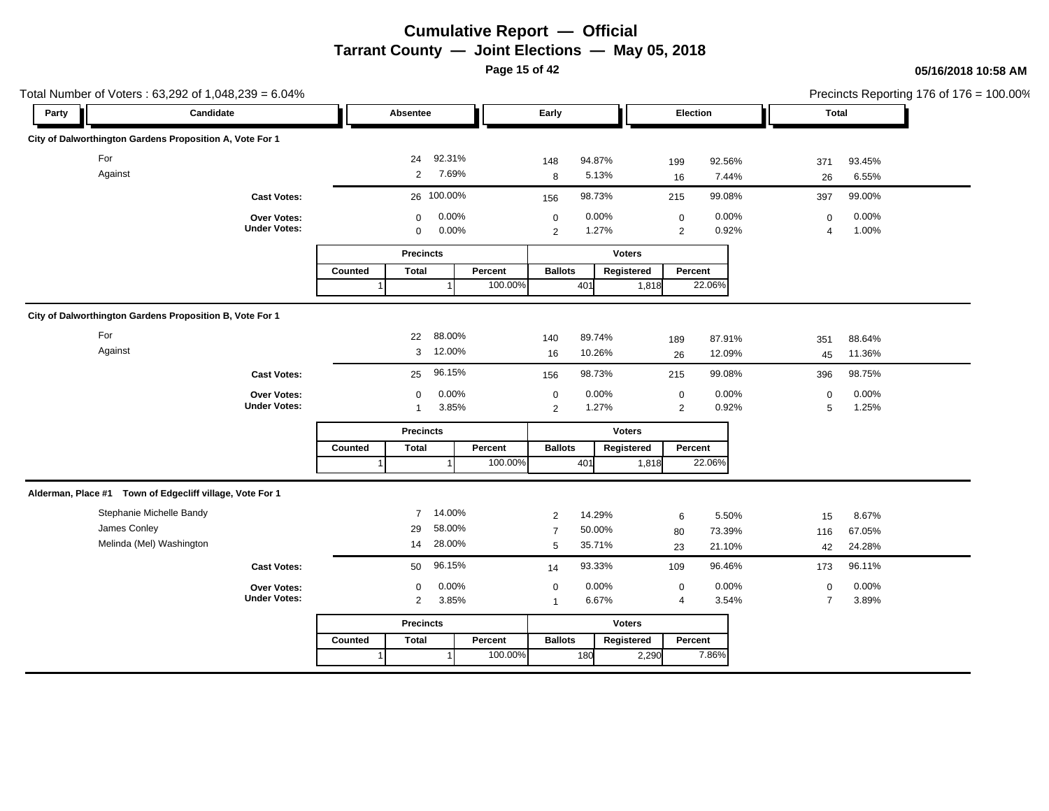**Page 15 of 42**

| Total Number of Voters: 63,292 of 1,048,239 = 6.04%      |                                    |         |                  |                |         |                  |                |               |                                    |                |                  |                | Precincts Reporting 176 of 176 = 100.00% |
|----------------------------------------------------------|------------------------------------|---------|------------------|----------------|---------|------------------|----------------|---------------|------------------------------------|----------------|------------------|----------------|------------------------------------------|
| Party                                                    | Candidate                          |         | Absentee         |                |         | Early            |                |               | Election                           |                |                  | Total          |                                          |
| City of Dalworthington Gardens Proposition A, Vote For 1 |                                    |         |                  |                |         |                  |                |               |                                    |                |                  |                |                                          |
| For                                                      |                                    |         | 24               | 92.31%         |         | 148              | 94.87%         |               | 199                                | 92.56%         | 371              | 93.45%         |                                          |
| Against                                                  |                                    |         | $\overline{2}$   | 7.69%          |         | 8                | 5.13%          |               | 16                                 | 7.44%          | 26               | 6.55%          |                                          |
|                                                          | <b>Cast Votes:</b>                 |         |                  | 26 100.00%     |         | 156              | 98.73%         |               | 215                                | 99.08%         | 397              | 99.00%         |                                          |
|                                                          | Over Votes:<br><b>Under Votes:</b> |         | $\mathbf 0$<br>0 | 0.00%<br>0.00% |         | $\mathbf 0$<br>2 | 0.00%<br>1.27% |               | $\boldsymbol{0}$<br>$\overline{2}$ | 0.00%<br>0.92% | $\mathbf 0$<br>4 | 0.00%<br>1.00% |                                          |
|                                                          |                                    |         | <b>Precincts</b> |                |         |                  |                | Voters        |                                    |                |                  |                |                                          |
|                                                          |                                    | Counted | <b>Total</b>     |                | Percent | <b>Ballots</b>   |                | Registered    | Percent                            |                |                  |                |                                          |
|                                                          |                                    |         |                  |                | 100.00% |                  | 401            | 1,818         |                                    | 22.06%         |                  |                |                                          |
| City of Dalworthington Gardens Proposition B, Vote For 1 |                                    |         |                  |                |         |                  |                |               |                                    |                |                  |                |                                          |
| For                                                      |                                    |         | 22               | 88.00%         |         | 140              | 89.74%         |               | 189                                | 87.91%         | 351              | 88.64%         |                                          |
| Against                                                  |                                    |         | 3                | 12.00%         |         | 16               | 10.26%         |               | 26                                 | 12.09%         | 45               | 11.36%         |                                          |
|                                                          | <b>Cast Votes:</b>                 |         | 25               | 96.15%         |         | 156              | 98.73%         |               | 215                                | 99.08%         | 396              | 98.75%         |                                          |
|                                                          | <b>Over Votes:</b>                 |         | $\mathbf 0$      | 0.00%          |         | $\mathbf 0$      | 0.00%          |               | $\mathbf 0$                        | 0.00%          | $\mathbf 0$      | 0.00%          |                                          |
|                                                          | <b>Under Votes:</b>                |         | $\overline{1}$   | 3.85%          |         | $\overline{2}$   | 1.27%          |               | $\overline{2}$                     | 0.92%          | 5                | 1.25%          |                                          |
|                                                          |                                    |         | <b>Precincts</b> |                |         |                  |                | <b>Voters</b> |                                    |                |                  |                |                                          |
|                                                          |                                    | Counted | <b>Total</b>     |                | Percent | <b>Ballots</b>   |                | Registered    | Percent                            |                |                  |                |                                          |
|                                                          |                                    |         |                  |                | 100.00% |                  | 401            | 1,818         |                                    | 22.06%         |                  |                |                                          |
| Alderman, Place #1 Town of Edgecliff village, Vote For 1 |                                    |         |                  |                |         |                  |                |               |                                    |                |                  |                |                                          |
| Stephanie Michelle Bandy                                 |                                    |         | $\overline{7}$   | 14.00%         |         | $\overline{c}$   | 14.29%         |               | 6                                  | 5.50%          | 15               | 8.67%          |                                          |
| James Conley                                             |                                    |         | 29               | 58.00%         |         | $\overline{7}$   | 50.00%         |               | 80                                 | 73.39%         | 116              | 67.05%         |                                          |
| Melinda (Mel) Washington                                 |                                    |         | 14               | 28.00%         |         | 5                | 35.71%         |               | 23                                 | 21.10%         | 42               | 24.28%         |                                          |
|                                                          | <b>Cast Votes:</b>                 |         | 50               | 96.15%         |         | 14               | 93.33%         |               | 109                                | 96.46%         | 173              | 96.11%         |                                          |
|                                                          | Over Votes:                        |         | $\mathbf 0$      | 0.00%          |         | $\mathbf 0$      | 0.00%          |               | $\mathbf 0$                        | 0.00%          | $\mathsf 0$      | 0.00%          |                                          |
|                                                          | <b>Under Votes:</b>                |         | $\overline{2}$   | 3.85%          |         | $\mathbf{1}$     | 6.67%          |               | 4                                  | 3.54%          | $\overline{7}$   | 3.89%          |                                          |
|                                                          |                                    |         | <b>Precincts</b> |                |         |                  |                | <b>Voters</b> |                                    |                |                  |                |                                          |
|                                                          |                                    | Counted | <b>Total</b>     |                | Percent | <b>Ballots</b>   |                | Registered    | Percent                            |                |                  |                |                                          |
|                                                          |                                    |         |                  |                | 100.00% |                  | 180            | 2,290         |                                    | 7.86%          |                  |                |                                          |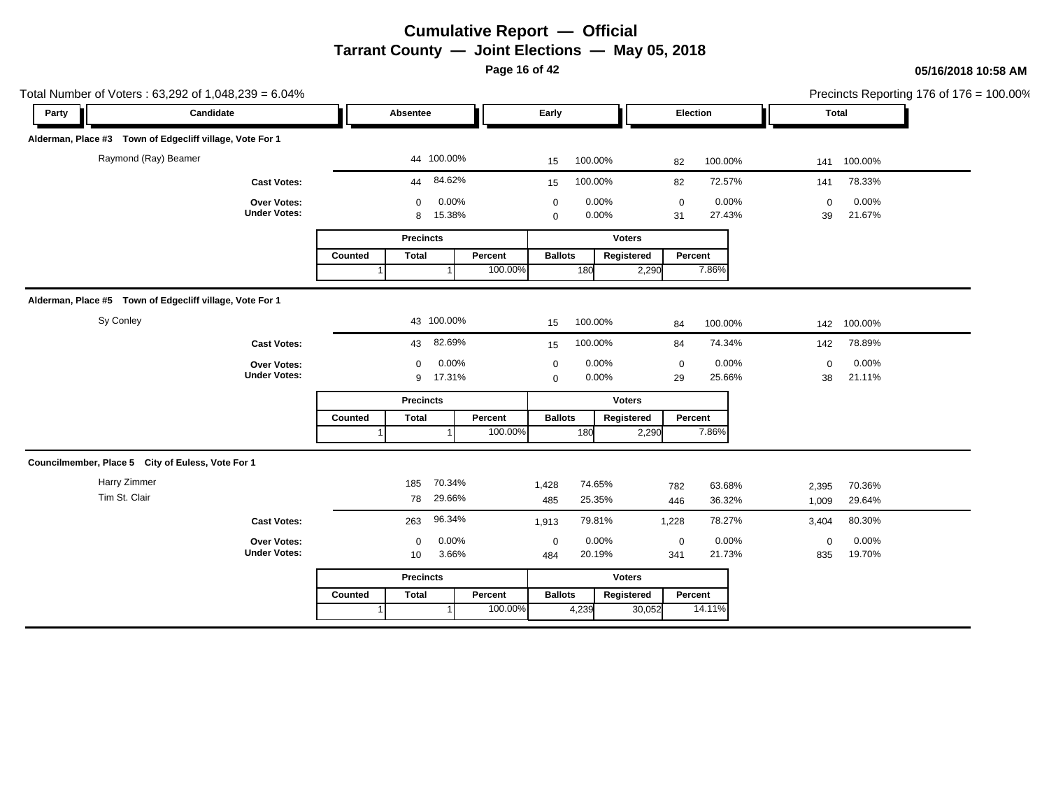**Page 16 of 42**

|       | Total Number of Voters: 63,292 of 1,048,239 = 6.04%      |                                    |                  |                  |                 |         |                            |               |                |                   |                 |                   |                 | Precincts Reporting 176 of 176 = 100.00% |
|-------|----------------------------------------------------------|------------------------------------|------------------|------------------|-----------------|---------|----------------------------|---------------|----------------|-------------------|-----------------|-------------------|-----------------|------------------------------------------|
| Party | Candidate                                                |                                    |                  | Absentee         |                 |         | Early                      |               |                |                   | Election        |                   | Total           |                                          |
|       | Alderman, Place #3 Town of Edgecliff village, Vote For 1 |                                    |                  |                  |                 |         |                            |               |                |                   |                 |                   |                 |                                          |
|       | Raymond (Ray) Beamer                                     |                                    |                  |                  | 44 100.00%      |         | 15                         | 100.00%       |                | 82                | 100.00%         |                   | 141 100.00%     |                                          |
|       |                                                          | <b>Cast Votes:</b>                 |                  | 44               | 84.62%          |         | 15                         | 100.00%       |                | 82                | 72.57%          | 141               | 78.33%          |                                          |
|       |                                                          | Over Votes:<br><b>Under Votes:</b> |                  | $\mathbf 0$<br>8 | 0.00%<br>15.38% |         | $\mathbf 0$<br>$\mathbf 0$ |               | 0.00%<br>0.00% | $\mathbf 0$<br>31 | 0.00%<br>27.43% | $\mathbf 0$<br>39 | 0.00%<br>21.67% |                                          |
|       |                                                          |                                    |                  | <b>Precincts</b> |                 |         |                            |               | <b>Voters</b>  |                   |                 |                   |                 |                                          |
|       |                                                          |                                    | Counted          | <b>Total</b>     |                 | Percent | <b>Ballots</b>             |               | Registered     |                   | Percent         |                   |                 |                                          |
|       |                                                          |                                    |                  |                  |                 | 100.00% |                            | 180           | 2,290          |                   | 7.86%           |                   |                 |                                          |
|       | Alderman, Place #5 Town of Edgecliff village, Vote For 1 |                                    |                  |                  |                 |         |                            |               |                |                   |                 |                   |                 |                                          |
|       | Sy Conley                                                |                                    |                  |                  | 43 100.00%      |         | 15                         | 100.00%       |                | 84                | 100.00%         | 142               | 100.00%         |                                          |
|       |                                                          | <b>Cast Votes:</b>                 |                  | 43               | 82.69%          |         | 15                         | 100.00%       |                | 84                | 74.34%          | 142               | 78.89%          |                                          |
|       |                                                          | Over Votes:                        |                  | $\mathbf 0$      | 0.00%           |         | $\mathbf 0$                |               | 0.00%          | $\pmb{0}$         | 0.00%           | $\mathsf 0$       | 0.00%           |                                          |
|       |                                                          | <b>Under Votes:</b>                |                  | 9                | 17.31%          |         | $\mathbf 0$                |               | 0.00%          | 29                | 25.66%          | 38                | 21.11%          |                                          |
|       |                                                          |                                    |                  | <b>Precincts</b> |                 |         |                            |               | <b>Voters</b>  |                   |                 |                   |                 |                                          |
|       |                                                          |                                    | Counted          | <b>Total</b>     |                 | Percent | <b>Ballots</b>             |               | Registered     |                   | Percent         |                   |                 |                                          |
|       |                                                          |                                    |                  |                  |                 | 100.00% |                            | 180           | 2,290          |                   | 7.86%           |                   |                 |                                          |
|       | Councilmember, Place 5 City of Euless, Vote For 1        |                                    |                  |                  |                 |         |                            |               |                |                   |                 |                   |                 |                                          |
|       | Harry Zimmer                                             |                                    |                  | 185              | 70.34%          |         | 1,428                      | 74.65%        |                | 782               | 63.68%          | 2,395             | 70.36%          |                                          |
|       | Tim St. Clair                                            |                                    |                  | 78               | 29.66%          |         | 485                        | 25.35%        |                | 446               | 36.32%          | 1,009             | 29.64%          |                                          |
|       |                                                          | <b>Cast Votes:</b>                 |                  | 263              | 96.34%          |         | 1,913                      | 79.81%        |                | 1,228             | 78.27%          | 3,404             | 80.30%          |                                          |
|       |                                                          | Over Votes:                        |                  | $\mathbf 0$      | 0.00%           |         | $\mathbf 0$                |               | 0.00%          | $\pmb{0}$         | 0.00%           | $\mathsf 0$       | 0.00%           |                                          |
|       |                                                          | <b>Under Votes:</b>                |                  | 10               | 3.66%           |         | 484                        | 20.19%        |                | 341               | 21.73%          | 835               | 19.70%          |                                          |
|       |                                                          |                                    | <b>Precincts</b> |                  |                 |         |                            | <b>Voters</b> |                |                   |                 |                   |                 |                                          |
|       |                                                          |                                    | Counted          | <b>Total</b>     |                 | Percent | <b>Ballots</b>             |               | Registered     |                   | Percent         |                   |                 |                                          |
|       |                                                          |                                    |                  |                  |                 | 100.00% |                            | 4,239         | 30,052         |                   | 14.11%          |                   |                 |                                          |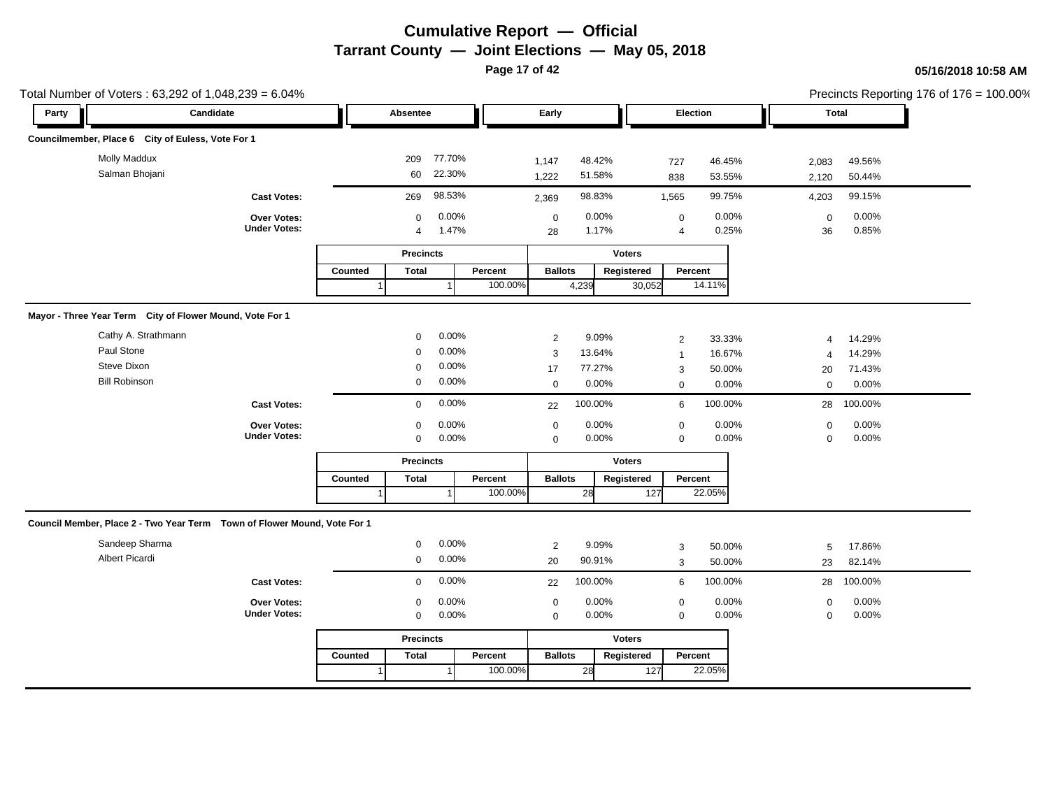**Page 17 of 42**

|       | Total Number of Voters: 63,292 of 1,048,239 = 6.04%                       |                                           |         |                               |                  |                    |                            |                  |                      |                             |                  |                            |                  | Precincts Reporting 176 of 176 = 100.00% |
|-------|---------------------------------------------------------------------------|-------------------------------------------|---------|-------------------------------|------------------|--------------------|----------------------------|------------------|----------------------|-----------------------------|------------------|----------------------------|------------------|------------------------------------------|
| Party | Candidate                                                                 |                                           |         | Absentee                      |                  |                    | Early                      |                  |                      | <b>Election</b>             |                  | <b>Total</b>               |                  |                                          |
|       | Councilmember, Place 6 City of Euless, Vote For 1                         |                                           |         |                               |                  |                    |                            |                  |                      |                             |                  |                            |                  |                                          |
|       | <b>Molly Maddux</b><br>Salman Bhojani                                     |                                           |         | 209<br>60                     | 77.70%<br>22.30% |                    | 1,147<br>1,222             | 48.42%<br>51.58% |                      | 727<br>838                  | 46.45%<br>53.55% | 2,083<br>2,120             | 49.56%<br>50.44% |                                          |
|       |                                                                           | <b>Cast Votes:</b>                        |         | 269                           | 98.53%           |                    | 2,369                      | 98.83%           |                      | 1,565                       | 99.75%           | 4,203                      | 99.15%           |                                          |
|       |                                                                           | Over Votes:<br><b>Under Votes:</b>        |         | $\mathbf 0$<br>$\overline{4}$ | 0.00%<br>1.47%   |                    | $\mathbf 0$<br>28          | 0.00%<br>1.17%   |                      | $\pmb{0}$<br>$\overline{4}$ | 0.00%<br>0.25%   | $\mathbf 0$<br>36          | 0.00%<br>0.85%   |                                          |
|       |                                                                           |                                           |         | <b>Precincts</b>              |                  |                    |                            |                  | <b>Voters</b>        |                             |                  |                            |                  |                                          |
|       |                                                                           |                                           | Counted | <b>Total</b>                  | $\overline{1}$   | Percent<br>100.00% | <b>Ballots</b>             | 4,239            | Registered<br>30,052 | Percent                     | 14.11%           |                            |                  |                                          |
|       |                                                                           |                                           |         |                               |                  |                    |                            |                  |                      |                             |                  |                            |                  |                                          |
|       | Mayor - Three Year Term City of Flower Mound, Vote For 1                  |                                           |         |                               |                  |                    |                            |                  |                      |                             |                  |                            |                  |                                          |
|       | Cathy A. Strathmann                                                       |                                           |         | $\mathbf 0$                   | 0.00%            |                    | 2                          | 9.09%            |                      | $\overline{2}$              | 33.33%           | 4                          | 14.29%           |                                          |
|       | Paul Stone                                                                |                                           |         | $\Omega$                      | 0.00%            |                    | $\mathbf{3}$               | 13.64%           |                      | $\overline{1}$              | 16.67%           | $\overline{4}$             | 14.29%           |                                          |
|       | Steve Dixon                                                               |                                           |         | $\mathbf 0$                   | 0.00%            |                    | 17                         | 77.27%           |                      | 3                           | 50.00%           | 20                         | 71.43%           |                                          |
|       | <b>Bill Robinson</b>                                                      |                                           |         | 0                             | 0.00%            |                    | $\mathbf 0$                | 0.00%            |                      | $\mathbf 0$                 | 0.00%            | $\mathbf{0}$               | 0.00%            |                                          |
|       |                                                                           | <b>Cast Votes:</b>                        |         | $\mathbf 0$                   | 0.00%            |                    | 22                         | 100.00%          |                      | 6                           | 100.00%          | 28                         | 100.00%          |                                          |
|       |                                                                           | Over Votes:<br><b>Under Votes:</b>        |         | 0<br>$\mathsf 0$              | 0.00%<br>0.00%   |                    | $\mathbf 0$<br>$\mathbf 0$ | 0.00%<br>0.00%   |                      | 0<br>$\mathbf 0$            | 0.00%<br>0.00%   | $\mathbf 0$<br>$\mathbf 0$ | 0.00%<br>0.00%   |                                          |
|       |                                                                           |                                           |         | <b>Precincts</b>              |                  |                    |                            |                  | <b>Voters</b>        |                             |                  |                            |                  |                                          |
|       |                                                                           |                                           | Counted | <b>Total</b>                  |                  | Percent            | <b>Ballots</b>             |                  | Registered           | Percent                     |                  |                            |                  |                                          |
|       |                                                                           |                                           |         |                               |                  | 100.00%            |                            | 28               | 127                  |                             | 22.05%           |                            |                  |                                          |
|       | Council Member, Place 2 - Two Year Term  Town of Flower Mound, Vote For 1 |                                           |         |                               |                  |                    |                            |                  |                      |                             |                  |                            |                  |                                          |
|       | Sandeep Sharma                                                            |                                           |         | $\mathbf 0$                   | 0.00%            |                    | 2                          | 9.09%            |                      | 3                           | 50.00%           | 5                          | 17.86%           |                                          |
|       | Albert Picardi                                                            |                                           |         | $\mathbf 0$                   | 0.00%            |                    | 20                         | 90.91%           |                      | 3                           | 50.00%           | 23                         | 82.14%           |                                          |
|       |                                                                           | <b>Cast Votes:</b>                        |         | $\mathbf 0$                   | 0.00%            |                    | 22                         | 100.00%          |                      | 6                           | 100.00%          | 28                         | 100.00%          |                                          |
|       |                                                                           | <b>Over Votes:</b><br><b>Under Votes:</b> |         | $\mathbf 0$<br>$\mathbf 0$    | 0.00%<br>0.00%   |                    | $\mathbf 0$<br>$\mathbf 0$ | 0.00%<br>0.00%   |                      | $\mathbf 0$<br>$\mathbf 0$  | 0.00%<br>0.00%   | $\mathbf 0$<br>$\mathbf 0$ | 0.00%<br>0.00%   |                                          |
|       |                                                                           |                                           |         | <b>Precincts</b>              |                  |                    |                            |                  | <b>Voters</b>        |                             |                  |                            |                  |                                          |
|       |                                                                           |                                           | Counted | <b>Total</b>                  |                  | Percent            | <b>Ballots</b>             |                  | Registered           | Percent                     |                  |                            |                  |                                          |
|       |                                                                           |                                           |         |                               |                  | 100.00%            |                            | 28               | 127                  |                             | 22.05%           |                            |                  |                                          |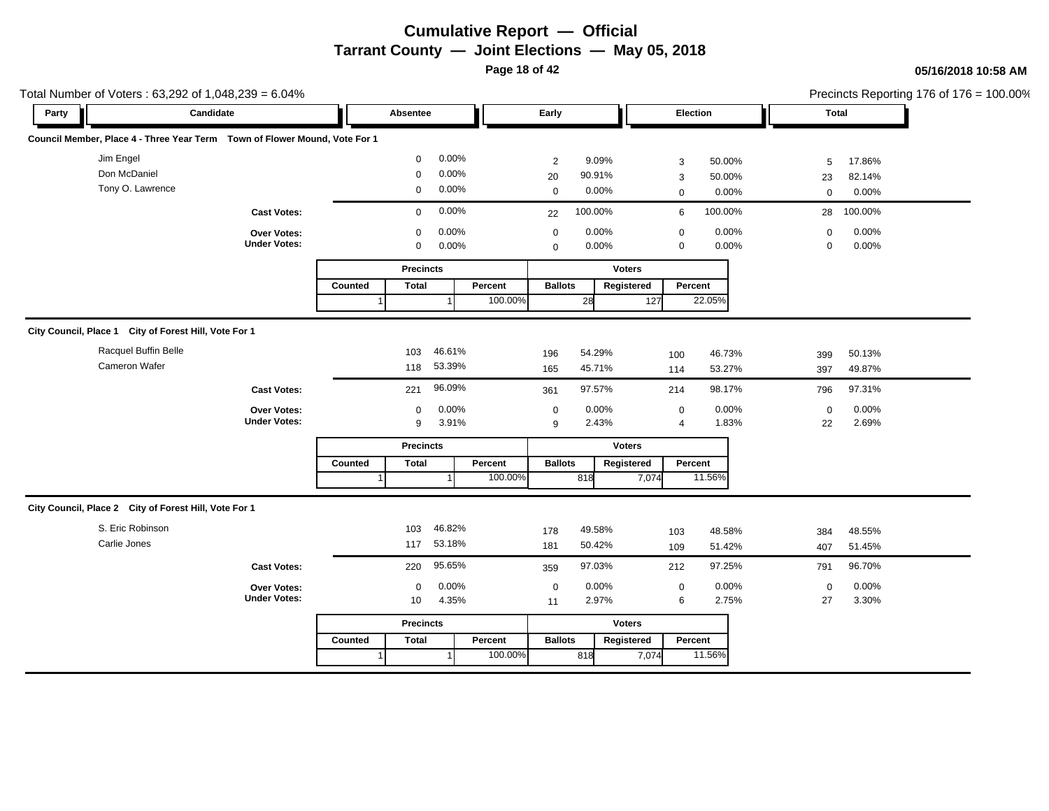**Page 18 of 42**

| Candidate<br>Early<br>Election<br><b>Total</b><br>Party<br>Absentee<br>Council Member, Place 4 - Three Year Term  Town of Flower Mound, Vote For 1<br>Jim Engel<br>0.00%<br>$\mathbf 0$<br>9.09%<br>2<br>50.00%<br>17.86%<br>3<br>5<br>Don McDaniel<br>0.00%<br>$\mathbf 0$<br>90.91%<br>20<br>50.00%<br>23<br>82.14%<br>3<br>Tony O. Lawrence<br>0.00%<br>0<br>0.00%<br>0.00%<br>0.00%<br>$\mathbf 0$<br>$\boldsymbol{0}$<br>$\mathbf 0$<br>0.00%<br>100.00%<br>100.00%<br>100.00%<br>$\mathbf 0$<br>6<br>28<br><b>Cast Votes:</b><br>22<br>0.00%<br>0.00%<br>0.00%<br>0.00%<br>$\mathbf 0$<br>Over Votes:<br>$\mathbf 0$<br>$\mathbf 0$<br>$\mathbf 0$<br><b>Under Votes:</b><br>0.00%<br>0.00%<br>0.00%<br>0.00%<br>$\mathbf 0$<br>$\Omega$<br>0<br>$\Omega$<br><b>Precincts</b><br><b>Voters</b><br>Percent<br><b>Ballots</b><br>Percent<br>Counted<br>Total<br>Registered<br>100.00%<br>22.05%<br>28<br>127<br>City Council, Place 1 City of Forest Hill, Vote For 1<br>Racquel Buffin Belle<br>46.61%<br>103<br>54.29%<br>196<br>46.73%<br>50.13%<br>100<br>399<br>Cameron Wafer<br>53.39%<br>118<br>45.71%<br>165<br>53.27%<br>49.87%<br>114<br>397<br>96.09%<br>97.57%<br>98.17%<br>97.31%<br><b>Cast Votes:</b><br>221<br>214<br>796<br>361<br>0.00%<br>0.00%<br>0.00%<br>0.00%<br>Over Votes:<br>$\mathbf 0$<br>$\mathbf 0$<br>$\mathbf 0$<br>0<br><b>Under Votes:</b><br>3.91%<br>2.43%<br>2.69%<br>9<br>$\overline{4}$<br>1.83%<br>22<br>9<br><b>Precincts</b><br><b>Voters</b><br><b>Total</b><br>Percent<br><b>Ballots</b><br>Percent<br>Counted<br>Registered<br>11.56%<br>100.00%<br>818<br>7,074<br>City Council, Place 2 City of Forest Hill, Vote For 1<br>S. Eric Robinson<br>46.82%<br>103<br>49.58%<br>178<br>48.58%<br>48.55%<br>103<br>384<br>Carlie Jones<br>53.18%<br>117<br>50.42%<br>181<br>51.42%<br>51.45%<br>109<br>407<br>95.65%<br>97.03%<br>97.25%<br>96.70%<br><b>Cast Votes:</b><br>220<br>212<br>791<br>359<br>0.00%<br>0.00%<br>0.00%<br>0.00%<br>$\boldsymbol{0}$<br>Over Votes:<br>$\mathbf 0$<br>$\mathbf 0$<br>$\mathbf 0$<br><b>Under Votes:</b><br>4.35%<br>2.97%<br>6<br>2.75%<br>3.30%<br>27<br>10<br>11<br><b>Precincts</b><br><b>Voters</b><br><b>Ballots</b><br>Percent<br>Counted<br><b>Total</b><br>Percent<br>Registered | Total Number of Voters: 63,292 of 1,048,239 = 6.04% |  |  |  |  |  |  | Precincts Reporting 176 of 176 = 100.00% |
|------------------------------------------------------------------------------------------------------------------------------------------------------------------------------------------------------------------------------------------------------------------------------------------------------------------------------------------------------------------------------------------------------------------------------------------------------------------------------------------------------------------------------------------------------------------------------------------------------------------------------------------------------------------------------------------------------------------------------------------------------------------------------------------------------------------------------------------------------------------------------------------------------------------------------------------------------------------------------------------------------------------------------------------------------------------------------------------------------------------------------------------------------------------------------------------------------------------------------------------------------------------------------------------------------------------------------------------------------------------------------------------------------------------------------------------------------------------------------------------------------------------------------------------------------------------------------------------------------------------------------------------------------------------------------------------------------------------------------------------------------------------------------------------------------------------------------------------------------------------------------------------------------------------------------------------------------------------------------------------------------------------------------------------------------------------------------------------------------------------------------------------------------------------------------------------------------------------------------------------------------------------------------|-----------------------------------------------------|--|--|--|--|--|--|------------------------------------------|
|                                                                                                                                                                                                                                                                                                                                                                                                                                                                                                                                                                                                                                                                                                                                                                                                                                                                                                                                                                                                                                                                                                                                                                                                                                                                                                                                                                                                                                                                                                                                                                                                                                                                                                                                                                                                                                                                                                                                                                                                                                                                                                                                                                                                                                                                              |                                                     |  |  |  |  |  |  |                                          |
|                                                                                                                                                                                                                                                                                                                                                                                                                                                                                                                                                                                                                                                                                                                                                                                                                                                                                                                                                                                                                                                                                                                                                                                                                                                                                                                                                                                                                                                                                                                                                                                                                                                                                                                                                                                                                                                                                                                                                                                                                                                                                                                                                                                                                                                                              |                                                     |  |  |  |  |  |  |                                          |
|                                                                                                                                                                                                                                                                                                                                                                                                                                                                                                                                                                                                                                                                                                                                                                                                                                                                                                                                                                                                                                                                                                                                                                                                                                                                                                                                                                                                                                                                                                                                                                                                                                                                                                                                                                                                                                                                                                                                                                                                                                                                                                                                                                                                                                                                              |                                                     |  |  |  |  |  |  |                                          |
|                                                                                                                                                                                                                                                                                                                                                                                                                                                                                                                                                                                                                                                                                                                                                                                                                                                                                                                                                                                                                                                                                                                                                                                                                                                                                                                                                                                                                                                                                                                                                                                                                                                                                                                                                                                                                                                                                                                                                                                                                                                                                                                                                                                                                                                                              |                                                     |  |  |  |  |  |  |                                          |
|                                                                                                                                                                                                                                                                                                                                                                                                                                                                                                                                                                                                                                                                                                                                                                                                                                                                                                                                                                                                                                                                                                                                                                                                                                                                                                                                                                                                                                                                                                                                                                                                                                                                                                                                                                                                                                                                                                                                                                                                                                                                                                                                                                                                                                                                              |                                                     |  |  |  |  |  |  |                                          |
|                                                                                                                                                                                                                                                                                                                                                                                                                                                                                                                                                                                                                                                                                                                                                                                                                                                                                                                                                                                                                                                                                                                                                                                                                                                                                                                                                                                                                                                                                                                                                                                                                                                                                                                                                                                                                                                                                                                                                                                                                                                                                                                                                                                                                                                                              |                                                     |  |  |  |  |  |  |                                          |
|                                                                                                                                                                                                                                                                                                                                                                                                                                                                                                                                                                                                                                                                                                                                                                                                                                                                                                                                                                                                                                                                                                                                                                                                                                                                                                                                                                                                                                                                                                                                                                                                                                                                                                                                                                                                                                                                                                                                                                                                                                                                                                                                                                                                                                                                              |                                                     |  |  |  |  |  |  |                                          |
|                                                                                                                                                                                                                                                                                                                                                                                                                                                                                                                                                                                                                                                                                                                                                                                                                                                                                                                                                                                                                                                                                                                                                                                                                                                                                                                                                                                                                                                                                                                                                                                                                                                                                                                                                                                                                                                                                                                                                                                                                                                                                                                                                                                                                                                                              |                                                     |  |  |  |  |  |  |                                          |
|                                                                                                                                                                                                                                                                                                                                                                                                                                                                                                                                                                                                                                                                                                                                                                                                                                                                                                                                                                                                                                                                                                                                                                                                                                                                                                                                                                                                                                                                                                                                                                                                                                                                                                                                                                                                                                                                                                                                                                                                                                                                                                                                                                                                                                                                              |                                                     |  |  |  |  |  |  |                                          |
|                                                                                                                                                                                                                                                                                                                                                                                                                                                                                                                                                                                                                                                                                                                                                                                                                                                                                                                                                                                                                                                                                                                                                                                                                                                                                                                                                                                                                                                                                                                                                                                                                                                                                                                                                                                                                                                                                                                                                                                                                                                                                                                                                                                                                                                                              |                                                     |  |  |  |  |  |  |                                          |
|                                                                                                                                                                                                                                                                                                                                                                                                                                                                                                                                                                                                                                                                                                                                                                                                                                                                                                                                                                                                                                                                                                                                                                                                                                                                                                                                                                                                                                                                                                                                                                                                                                                                                                                                                                                                                                                                                                                                                                                                                                                                                                                                                                                                                                                                              |                                                     |  |  |  |  |  |  |                                          |
|                                                                                                                                                                                                                                                                                                                                                                                                                                                                                                                                                                                                                                                                                                                                                                                                                                                                                                                                                                                                                                                                                                                                                                                                                                                                                                                                                                                                                                                                                                                                                                                                                                                                                                                                                                                                                                                                                                                                                                                                                                                                                                                                                                                                                                                                              |                                                     |  |  |  |  |  |  |                                          |
|                                                                                                                                                                                                                                                                                                                                                                                                                                                                                                                                                                                                                                                                                                                                                                                                                                                                                                                                                                                                                                                                                                                                                                                                                                                                                                                                                                                                                                                                                                                                                                                                                                                                                                                                                                                                                                                                                                                                                                                                                                                                                                                                                                                                                                                                              |                                                     |  |  |  |  |  |  |                                          |
|                                                                                                                                                                                                                                                                                                                                                                                                                                                                                                                                                                                                                                                                                                                                                                                                                                                                                                                                                                                                                                                                                                                                                                                                                                                                                                                                                                                                                                                                                                                                                                                                                                                                                                                                                                                                                                                                                                                                                                                                                                                                                                                                                                                                                                                                              |                                                     |  |  |  |  |  |  |                                          |
|                                                                                                                                                                                                                                                                                                                                                                                                                                                                                                                                                                                                                                                                                                                                                                                                                                                                                                                                                                                                                                                                                                                                                                                                                                                                                                                                                                                                                                                                                                                                                                                                                                                                                                                                                                                                                                                                                                                                                                                                                                                                                                                                                                                                                                                                              |                                                     |  |  |  |  |  |  |                                          |
|                                                                                                                                                                                                                                                                                                                                                                                                                                                                                                                                                                                                                                                                                                                                                                                                                                                                                                                                                                                                                                                                                                                                                                                                                                                                                                                                                                                                                                                                                                                                                                                                                                                                                                                                                                                                                                                                                                                                                                                                                                                                                                                                                                                                                                                                              |                                                     |  |  |  |  |  |  |                                          |
|                                                                                                                                                                                                                                                                                                                                                                                                                                                                                                                                                                                                                                                                                                                                                                                                                                                                                                                                                                                                                                                                                                                                                                                                                                                                                                                                                                                                                                                                                                                                                                                                                                                                                                                                                                                                                                                                                                                                                                                                                                                                                                                                                                                                                                                                              |                                                     |  |  |  |  |  |  |                                          |
|                                                                                                                                                                                                                                                                                                                                                                                                                                                                                                                                                                                                                                                                                                                                                                                                                                                                                                                                                                                                                                                                                                                                                                                                                                                                                                                                                                                                                                                                                                                                                                                                                                                                                                                                                                                                                                                                                                                                                                                                                                                                                                                                                                                                                                                                              |                                                     |  |  |  |  |  |  |                                          |
|                                                                                                                                                                                                                                                                                                                                                                                                                                                                                                                                                                                                                                                                                                                                                                                                                                                                                                                                                                                                                                                                                                                                                                                                                                                                                                                                                                                                                                                                                                                                                                                                                                                                                                                                                                                                                                                                                                                                                                                                                                                                                                                                                                                                                                                                              |                                                     |  |  |  |  |  |  |                                          |
|                                                                                                                                                                                                                                                                                                                                                                                                                                                                                                                                                                                                                                                                                                                                                                                                                                                                                                                                                                                                                                                                                                                                                                                                                                                                                                                                                                                                                                                                                                                                                                                                                                                                                                                                                                                                                                                                                                                                                                                                                                                                                                                                                                                                                                                                              |                                                     |  |  |  |  |  |  |                                          |
|                                                                                                                                                                                                                                                                                                                                                                                                                                                                                                                                                                                                                                                                                                                                                                                                                                                                                                                                                                                                                                                                                                                                                                                                                                                                                                                                                                                                                                                                                                                                                                                                                                                                                                                                                                                                                                                                                                                                                                                                                                                                                                                                                                                                                                                                              |                                                     |  |  |  |  |  |  |                                          |
|                                                                                                                                                                                                                                                                                                                                                                                                                                                                                                                                                                                                                                                                                                                                                                                                                                                                                                                                                                                                                                                                                                                                                                                                                                                                                                                                                                                                                                                                                                                                                                                                                                                                                                                                                                                                                                                                                                                                                                                                                                                                                                                                                                                                                                                                              |                                                     |  |  |  |  |  |  |                                          |
| 11.56%<br>100.00%<br>818<br>7,074                                                                                                                                                                                                                                                                                                                                                                                                                                                                                                                                                                                                                                                                                                                                                                                                                                                                                                                                                                                                                                                                                                                                                                                                                                                                                                                                                                                                                                                                                                                                                                                                                                                                                                                                                                                                                                                                                                                                                                                                                                                                                                                                                                                                                                            |                                                     |  |  |  |  |  |  |                                          |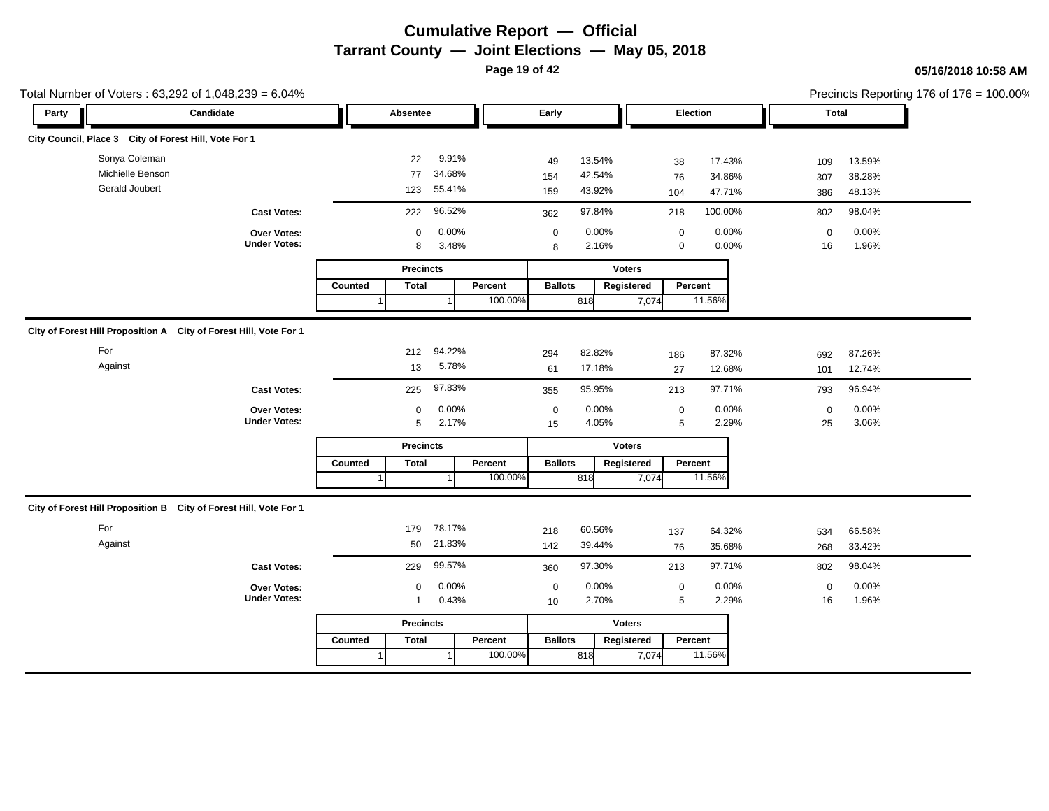**Page 19 of 42**

| Total Number of Voters: 63,292 of 1,048,239 = 6.04%               |                                    |                                              |                    |                                                |                                               |                                                 | Precincts Reporting 176 of 176 = 100.00% |
|-------------------------------------------------------------------|------------------------------------|----------------------------------------------|--------------------|------------------------------------------------|-----------------------------------------------|-------------------------------------------------|------------------------------------------|
| Party                                                             | Candidate                          | Absentee                                     |                    | Early                                          | Election                                      | <b>Total</b>                                    |                                          |
| City Council, Place 3 City of Forest Hill, Vote For 1             |                                    |                                              |                    |                                                |                                               |                                                 |                                          |
| Sonya Coleman<br>Michielle Benson<br>Gerald Joubert               |                                    | 9.91%<br>22<br>34.68%<br>77<br>55.41%<br>123 |                    | 13.54%<br>49<br>42.54%<br>154<br>43.92%<br>159 | 17.43%<br>38<br>34.86%<br>76<br>47.71%<br>104 | 13.59%<br>109<br>38.28%<br>307<br>48.13%<br>386 |                                          |
|                                                                   | <b>Cast Votes:</b>                 | 96.52%<br>222                                |                    | 97.84%<br>362                                  | 100.00%<br>218                                | 98.04%<br>802                                   |                                          |
|                                                                   | Over Votes:<br><b>Under Votes:</b> | 0.00%<br>$\mathbf 0$<br>3.48%<br>8           |                    | 0.00%<br>$\pmb{0}$<br>2.16%<br>8               | 0.00%<br>$\pmb{0}$<br>0.00%<br>$\mathbf 0$    | 0.00%<br>$\mathbf 0$<br>1.96%<br>16             |                                          |
|                                                                   |                                    | <b>Precincts</b>                             |                    | <b>Voters</b>                                  |                                               |                                                 |                                          |
|                                                                   |                                    | <b>Total</b><br>Counted                      | Percent<br>100.00% | Registered<br><b>Ballots</b><br>818            | Percent<br>11.56%<br>7,074                    |                                                 |                                          |
| City of Forest Hill Proposition A City of Forest Hill, Vote For 1 |                                    |                                              |                    |                                                |                                               |                                                 |                                          |
| For<br>Against                                                    |                                    | 94.22%<br>212<br>5.78%<br>13                 |                    | 82.82%<br>294<br>17.18%<br>61                  | 87.32%<br>186<br>12.68%<br>27                 | 87.26%<br>692<br>12.74%<br>101                  |                                          |
|                                                                   | <b>Cast Votes:</b>                 | 97.83%<br>225                                |                    | 95.95%<br>355                                  | 97.71%<br>213                                 | 96.94%<br>793                                   |                                          |
|                                                                   | Over Votes:<br><b>Under Votes:</b> | 0.00%<br>$\mathbf 0$<br>5<br>2.17%           |                    | 0.00%<br>$\mathbf 0$<br>4.05%<br>15            | 0.00%<br>$\pmb{0}$<br>5<br>2.29%              | 0.00%<br>$\mathbf 0$<br>3.06%<br>25             |                                          |
|                                                                   |                                    | <b>Precincts</b>                             |                    | <b>Voters</b>                                  |                                               |                                                 |                                          |
|                                                                   |                                    | Counted<br><b>Total</b>                      | Percent<br>100.00% | <b>Ballots</b><br>Registered<br>818            | Percent<br>11.56%<br>7,074                    |                                                 |                                          |
| City of Forest Hill Proposition B City of Forest Hill, Vote For 1 |                                    |                                              |                    |                                                |                                               |                                                 |                                          |
| For<br>Against                                                    |                                    | 78.17%<br>179<br>50 21.83%                   |                    | 60.56%<br>218<br>39.44%<br>142                 | 64.32%<br>137<br>35.68%<br>76                 | 66.58%<br>534<br>33.42%<br>268                  |                                          |
|                                                                   | <b>Cast Votes:</b>                 | 99.57%<br>229                                |                    | 97.30%<br>360                                  | 97.71%<br>213                                 | 98.04%<br>802                                   |                                          |
|                                                                   | Over Votes:<br><b>Under Votes:</b> | 0.00%<br>0<br>0.43%<br>$\mathbf{1}$          |                    | 0.00%<br>$\boldsymbol{0}$<br>2.70%<br>10       | 0.00%<br>$\pmb{0}$<br>2.29%<br>5              | 0.00%<br>$\mathsf 0$<br>1.96%<br>16             |                                          |
|                                                                   |                                    | <b>Precincts</b>                             |                    | <b>Voters</b>                                  |                                               |                                                 |                                          |
|                                                                   |                                    | Counted<br><b>Total</b>                      | Percent<br>100.00% | <b>Ballots</b><br>Registered<br>818            | Percent<br>11.56%<br>7,074                    |                                                 |                                          |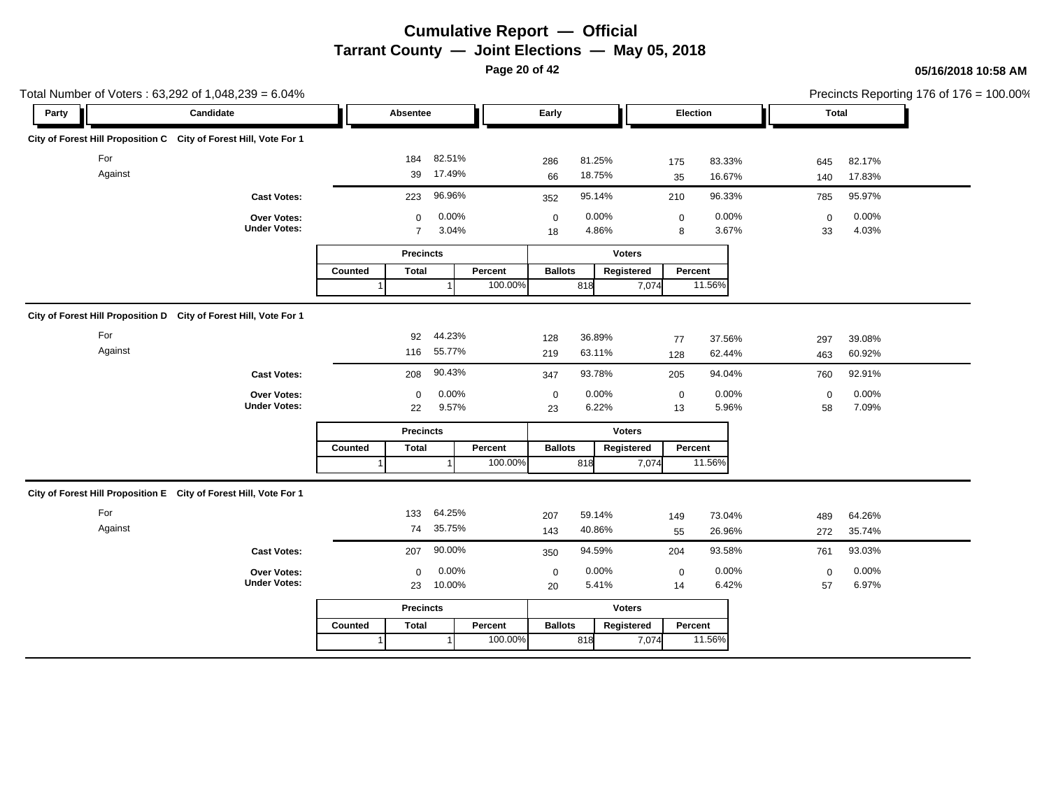**Page 20 of 42**

| Total Number of Voters: 63,292 of 1,048,239 = 6.04%                |                                    |         |                     |                |         |                   |                |               |                  |                |                   |                | Precincts Reporting 176 of 176 = 100.00% |
|--------------------------------------------------------------------|------------------------------------|---------|---------------------|----------------|---------|-------------------|----------------|---------------|------------------|----------------|-------------------|----------------|------------------------------------------|
| Party                                                              | Candidate                          |         | Absentee            |                |         | Early             |                |               | Election         |                | Total             |                |                                          |
| City of Forest Hill Proposition C City of Forest Hill, Vote For 1  |                                    |         |                     |                |         |                   |                |               |                  |                |                   |                |                                          |
| For                                                                |                                    |         | 184                 | 82.51%         |         | 286               | 81.25%         |               | 175              | 83.33%         | 645               | 82.17%         |                                          |
| Against                                                            |                                    |         | 39                  | 17.49%         |         | 66                | 18.75%         |               | 35               | 16.67%         | 140               | 17.83%         |                                          |
|                                                                    | <b>Cast Votes:</b>                 |         | 223                 | 96.96%         |         | 352               | 95.14%         |               | 210              | 96.33%         | 785               | 95.97%         |                                          |
|                                                                    | Over Votes:<br><b>Under Votes:</b> |         | 0<br>$\overline{7}$ | 0.00%<br>3.04% |         | $\mathbf 0$<br>18 | 0.00%<br>4.86% |               | $\mathbf 0$<br>8 | 0.00%<br>3.67% | $\mathbf 0$<br>33 | 0.00%<br>4.03% |                                          |
|                                                                    |                                    |         | <b>Precincts</b>    |                |         |                   |                | <b>Voters</b> |                  |                |                   |                |                                          |
|                                                                    |                                    | Counted | <b>Total</b>        |                | Percent | <b>Ballots</b>    |                | Registered    | Percent          |                |                   |                |                                          |
|                                                                    |                                    |         |                     |                | 100.00% |                   | 818            | 7,074         |                  | 11.56%         |                   |                |                                          |
| City of Forest Hill Proposition D City of Forest Hill, Vote For 1  |                                    |         |                     |                |         |                   |                |               |                  |                |                   |                |                                          |
| For                                                                |                                    |         | 92                  | 44.23%         |         | 128               | 36.89%         |               | 77               | 37.56%         | 297               | 39.08%         |                                          |
| Against                                                            |                                    |         | 116                 | 55.77%         |         | 219               | 63.11%         |               | 128              | 62.44%         | 463               | 60.92%         |                                          |
|                                                                    | <b>Cast Votes:</b>                 |         | 208                 | 90.43%         |         | 347               | 93.78%         |               | 205              | 94.04%         | 760               | 92.91%         |                                          |
|                                                                    | Over Votes:                        |         | $\mathbf 0$         | $0.00\%$       |         | $\boldsymbol{0}$  | 0.00%          |               | $\pmb{0}$        | 0.00%          | $\mathsf 0$       | 0.00%          |                                          |
|                                                                    | <b>Under Votes:</b>                |         | 22                  | 9.57%          |         | 23                | 6.22%          |               | 13               | 5.96%          | 58                | 7.09%          |                                          |
|                                                                    |                                    |         | <b>Precincts</b>    |                |         |                   |                | <b>Voters</b> |                  |                |                   |                |                                          |
|                                                                    |                                    | Counted | <b>Total</b>        |                | Percent | <b>Ballots</b>    |                | Registered    | Percent          |                |                   |                |                                          |
|                                                                    |                                    |         |                     |                | 100.00% |                   | 818            | 7,074         |                  | 11.56%         |                   |                |                                          |
| City of Forest Hill Proposition E  City of Forest Hill, Vote For 1 |                                    |         |                     |                |         |                   |                |               |                  |                |                   |                |                                          |
| For                                                                |                                    |         | 133                 | 64.25%         |         | 207               | 59.14%         |               | 149              | 73.04%         | 489               | 64.26%         |                                          |
| Against                                                            |                                    |         | 74                  | 35.75%         |         | 143               | 40.86%         |               | 55               | 26.96%         | 272               | 35.74%         |                                          |
|                                                                    | <b>Cast Votes:</b>                 |         | 207                 | 90.00%         |         | 350               | 94.59%         |               | 204              | 93.58%         | 761               | 93.03%         |                                          |
|                                                                    | <b>Over Votes:</b>                 |         | $\Omega$            | 0.00%          |         | $\mathbf 0$       | 0.00%          |               | $\mathbf 0$      | 0.00%          | $\mathbf 0$       | 0.00%          |                                          |
|                                                                    | <b>Under Votes:</b>                |         | 23                  | 10.00%         |         | 20                | 5.41%          |               | 14               | 6.42%          | 57                | 6.97%          |                                          |
|                                                                    |                                    |         | <b>Precincts</b>    |                |         |                   |                | <b>Voters</b> |                  |                |                   |                |                                          |
|                                                                    |                                    | Counted | <b>Total</b>        |                | Percent | <b>Ballots</b>    |                | Registered    | Percent          |                |                   |                |                                          |
|                                                                    |                                    |         |                     |                | 100.00% |                   | 818            | 7,074         |                  | 11.56%         |                   |                |                                          |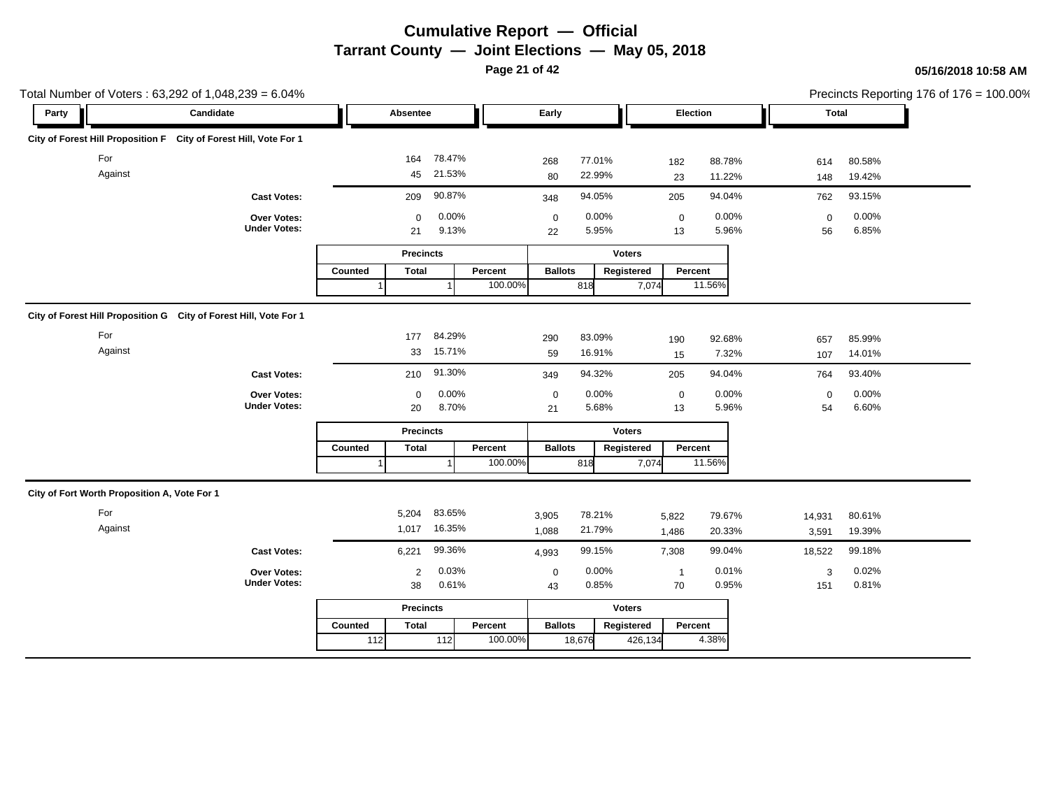**Page 21 of 42**

| Total Number of Voters: 63,292 of 1,048,239 = 6.04%               |                                    |                         |                  |                           |                  |                 |                  |                   |                  | Precincts Reporting 176 of 176 = 100.00% |
|-------------------------------------------------------------------|------------------------------------|-------------------------|------------------|---------------------------|------------------|-----------------|------------------|-------------------|------------------|------------------------------------------|
| Party                                                             | Candidate                          | Absentee                |                  | Early                     |                  | Election        |                  | <b>Total</b>      |                  |                                          |
| City of Forest Hill Proposition F City of Forest Hill, Vote For 1 |                                    |                         |                  |                           |                  |                 |                  |                   |                  |                                          |
| For<br>Against                                                    |                                    | 164<br>45               | 78.47%<br>21.53% | 268<br>80                 | 77.01%<br>22.99% | 182<br>23       | 88.78%<br>11.22% | 614<br>148        | 80.58%<br>19.42% |                                          |
|                                                                   | <b>Cast Votes:</b>                 | 209                     | 90.87%           | 348                       | 94.05%           | 205             | 94.04%           | 762               | 93.15%           |                                          |
|                                                                   | Over Votes:<br><b>Under Votes:</b> | $\Omega$<br>21          | 0.00%<br>9.13%   | $\mathbf 0$<br>22         | 0.00%<br>5.95%   | $\pmb{0}$<br>13 | 0.00%<br>5.96%   | $\mathbf 0$<br>56 | 0.00%<br>6.85%   |                                          |
|                                                                   |                                    | <b>Precincts</b>        |                  |                           | <b>Voters</b>    |                 |                  |                   |                  |                                          |
|                                                                   |                                    | Counted<br><b>Total</b> |                  | <b>Ballots</b><br>Percent | Registered       | Percent         |                  |                   |                  |                                          |
|                                                                   |                                    |                         |                  | 100.00%                   | 818              | 7,074           | 11.56%           |                   |                  |                                          |
| City of Forest Hill Proposition G City of Forest Hill, Vote For 1 |                                    |                         |                  |                           |                  |                 |                  |                   |                  |                                          |
| For                                                               |                                    | 177                     | 84.29%           | 290                       | 83.09%           | 190             | 92.68%           | 657               | 85.99%           |                                          |
| Against                                                           |                                    | 33                      | 15.71%           | 59                        | 16.91%           | 15              | 7.32%            | 107               | 14.01%           |                                          |
|                                                                   | <b>Cast Votes:</b>                 | 210                     | 91.30%           | 349                       | 94.32%           | 205             | 94.04%           | 764               | 93.40%           |                                          |
|                                                                   | Over Votes:                        | $\mathbf 0$             | 0.00%            | $\mathbf 0$               | 0.00%            | $\mathbf 0$     | 0.00%            | $\mathbf 0$       | 0.00%            |                                          |
|                                                                   | <b>Under Votes:</b>                | 20                      | 8.70%            | 21                        | 5.68%            | 13              | 5.96%            | 54                | 6.60%            |                                          |
|                                                                   |                                    | <b>Precincts</b>        |                  |                           | <b>Voters</b>    |                 |                  |                   |                  |                                          |
|                                                                   |                                    | Counted<br><b>Total</b> |                  | Percent<br><b>Ballots</b> | Registered       | Percent         |                  |                   |                  |                                          |
|                                                                   |                                    |                         |                  | 100.00%                   | 818              | 7,074           | 11.56%           |                   |                  |                                          |
| City of Fort Worth Proposition A, Vote For 1                      |                                    |                         |                  |                           |                  |                 |                  |                   |                  |                                          |
| For                                                               |                                    | 5,204                   | 83.65%           | 3,905                     | 78.21%           | 5,822           | 79.67%           | 14,931            | 80.61%           |                                          |
| Against                                                           |                                    |                         | 1,017 16.35%     | 1,088                     | 21.79%           | 1,486           | 20.33%           | 3,591             | 19.39%           |                                          |
|                                                                   | <b>Cast Votes:</b>                 | 6,221                   | 99.36%           | 4,993                     | 99.15%           | 7,308           | 99.04%           | 18,522            | 99.18%           |                                          |
|                                                                   | Over Votes:                        | $\overline{2}$          | 0.03%            | $\pmb{0}$                 | 0.00%            | $\overline{1}$  | 0.01%            | 3                 | 0.02%            |                                          |
|                                                                   | <b>Under Votes:</b>                | 38                      | 0.61%            | 43                        | 0.85%            | 70              | 0.95%            | 151               | 0.81%            |                                          |
|                                                                   |                                    | <b>Precincts</b>        |                  |                           | <b>Voters</b>    |                 |                  |                   |                  |                                          |
|                                                                   |                                    | <b>Total</b><br>Counted |                  | <b>Ballots</b><br>Percent | Registered       | Percent         |                  |                   |                  |                                          |
|                                                                   |                                    | 112                     | $112$            | 100.00%                   | 18,676           | 426,134         | 4.38%            |                   |                  |                                          |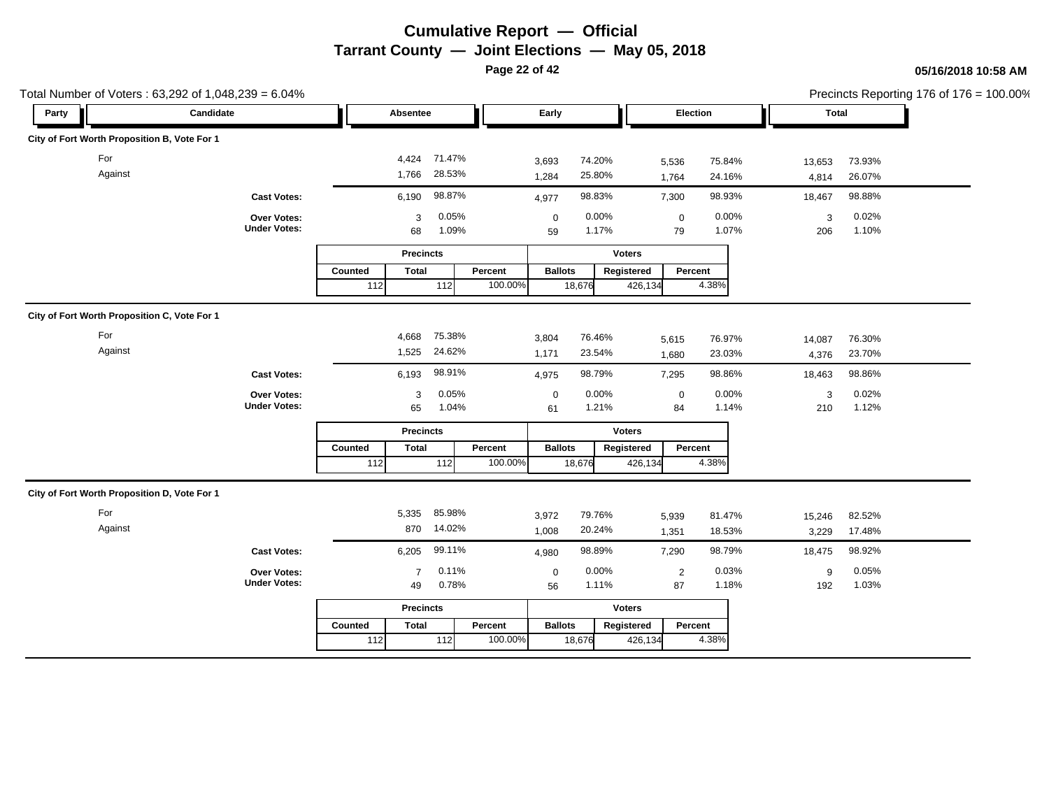**Page 22 of 42**

| Total Number of Voters: 63,292 of 1,048,239 = 6.04% |                                    |                         |                        |         |                   |                  |                 |                  |                 |                  | Precincts Reporting 176 of 176 = 100.00% |
|-----------------------------------------------------|------------------------------------|-------------------------|------------------------|---------|-------------------|------------------|-----------------|------------------|-----------------|------------------|------------------------------------------|
| Candidate<br>Party                                  |                                    | Absentee                |                        |         | Early             |                  | Election        |                  | <b>Total</b>    |                  |                                          |
| City of Fort Worth Proposition B, Vote For 1        |                                    |                         |                        |         |                   |                  |                 |                  |                 |                  |                                          |
| For<br>Against                                      |                                    | 1,766                   | 4,424 71.47%<br>28.53% |         | 3,693<br>1,284    | 74.20%<br>25.80% | 5,536<br>1,764  | 75.84%<br>24.16% | 13,653<br>4,814 | 73.93%<br>26.07% |                                          |
|                                                     | <b>Cast Votes:</b>                 | 6,190                   | 98.87%                 |         | 4,977             | 98.83%           | 7,300           | 98.93%           | 18,467          | 98.88%           |                                          |
|                                                     | Over Votes:<br><b>Under Votes:</b> | 3<br>68                 | 0.05%<br>1.09%         |         | $\mathbf 0$<br>59 | 0.00%<br>1.17%   | $\pmb{0}$<br>79 | 0.00%<br>1.07%   | 3<br>206        | 0.02%<br>1.10%   |                                          |
|                                                     |                                    |                         | <b>Precincts</b>       |         |                   | <b>Voters</b>    |                 |                  |                 |                  |                                          |
|                                                     |                                    | Counted<br><b>Total</b> |                        | Percent | <b>Ballots</b>    | Registered       | Percent         |                  |                 |                  |                                          |
|                                                     |                                    | 112                     | 112                    | 100.00% |                   | 18,676           | 426,134         | 4.38%            |                 |                  |                                          |
| City of Fort Worth Proposition C, Vote For 1        |                                    |                         |                        |         |                   |                  |                 |                  |                 |                  |                                          |
| For                                                 |                                    | 4,668                   | 75.38%                 |         | 3,804             | 76.46%           | 5,615           | 76.97%           | 14,087          | 76.30%           |                                          |
| Against                                             |                                    | 1,525                   | 24.62%                 |         | 1,171             | 23.54%           | 1,680           | 23.03%           | 4,376           | 23.70%           |                                          |
|                                                     | <b>Cast Votes:</b>                 | 6,193                   | 98.91%                 |         | 4,975             | 98.79%           | 7,295           | 98.86%           | 18,463          | 98.86%           |                                          |
|                                                     | Over Votes:                        | 3                       | 0.05%                  |         | $\mathbf 0$       | 0.00%            | $\mathbf 0$     | 0.00%            | 3               | 0.02%            |                                          |
|                                                     | <b>Under Votes:</b>                | 65                      | 1.04%                  |         | 61                | 1.21%            | 84              | 1.14%            | 210             | 1.12%            |                                          |
|                                                     |                                    |                         | <b>Precincts</b>       |         |                   | <b>Voters</b>    |                 |                  |                 |                  |                                          |
|                                                     |                                    | Counted<br><b>Total</b> |                        | Percent | <b>Ballots</b>    | Registered       | Percent         |                  |                 |                  |                                          |
|                                                     |                                    | 112                     | 112                    | 100.00% |                   | 18,676           | 426,134         | 4.38%            |                 |                  |                                          |
| City of Fort Worth Proposition D, Vote For 1        |                                    |                         |                        |         |                   |                  |                 |                  |                 |                  |                                          |
| For                                                 |                                    | 5,335                   | 85.98%                 |         | 3,972             | 79.76%           | 5,939           | 81.47%           | 15,246          | 82.52%           |                                          |
| Against                                             |                                    | 870                     | 14.02%                 |         | 1,008             | 20.24%           | 1,351           | 18.53%           | 3,229           | 17.48%           |                                          |
|                                                     | <b>Cast Votes:</b>                 | 6,205                   | 99.11%                 |         | 4,980             | 98.89%           | 7,290           | 98.79%           | 18,475          | 98.92%           |                                          |
|                                                     | Over Votes:                        | $\overline{7}$          | 0.11%                  |         | $\pmb{0}$         | 0.00%            | $\sqrt{2}$      | 0.03%            | 9               | 0.05%            |                                          |
|                                                     | <b>Under Votes:</b>                | 49                      | 0.78%                  |         | 56                | 1.11%            | 87              | 1.18%            | 192             | 1.03%            |                                          |
|                                                     |                                    |                         | <b>Precincts</b>       |         |                   | <b>Voters</b>    |                 |                  |                 |                  |                                          |
|                                                     |                                    | <b>Total</b><br>Counted |                        | Percent | <b>Ballots</b>    | Registered       | Percent         |                  |                 |                  |                                          |
|                                                     |                                    | 112                     | $112$                  | 100.00% |                   | 18,676           | 426,134         | 4.38%            |                 |                  |                                          |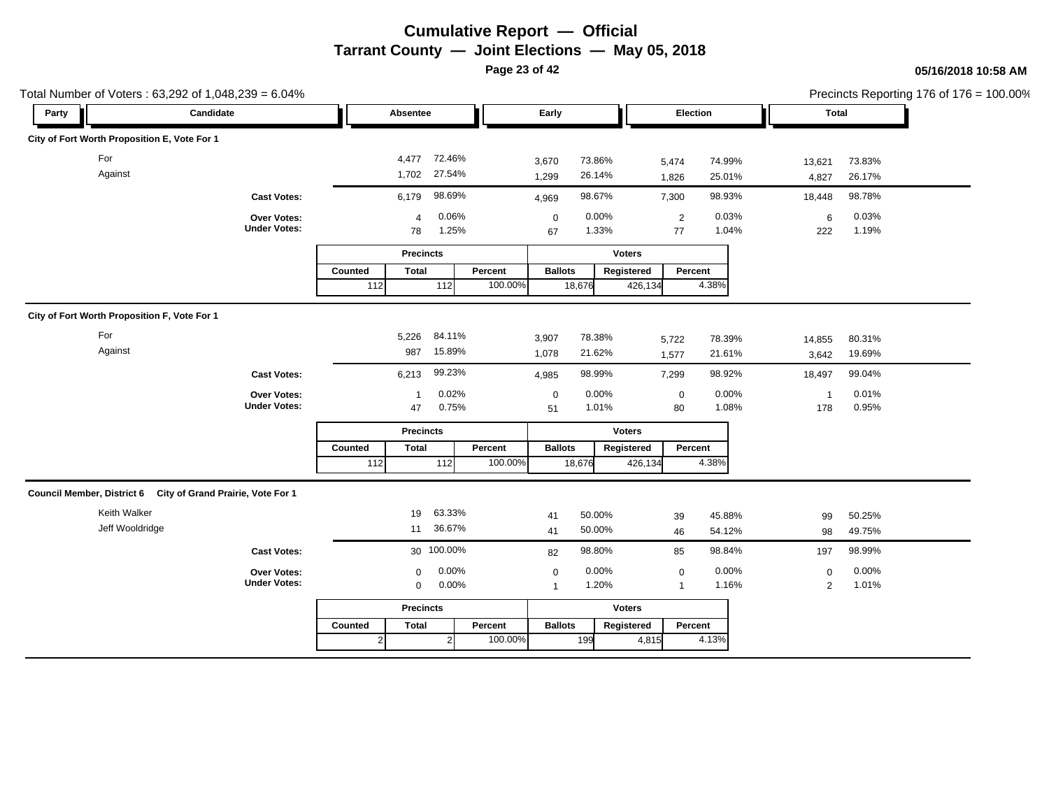**Page 23 of 42**

|       | Total Number of Voters: 63,292 of 1,048,239 = 6.04%          |                                    |                  |                  |                              |         |                   |                  |               |                      |                  |                 |                  | Precincts Reporting 176 of 176 = 100.00% |
|-------|--------------------------------------------------------------|------------------------------------|------------------|------------------|------------------------------|---------|-------------------|------------------|---------------|----------------------|------------------|-----------------|------------------|------------------------------------------|
| Party | Candidate                                                    |                                    |                  | Absentee         |                              |         | Early             |                  |               | Election             |                  |                 | Total            |                                          |
|       | City of Fort Worth Proposition E, Vote For 1                 |                                    |                  |                  |                              |         |                   |                  |               |                      |                  |                 |                  |                                          |
|       | For<br>Against                                               |                                    |                  |                  | 4,477 72.46%<br>1,702 27.54% |         | 3,670<br>1,299    | 73.86%<br>26.14% |               | 5,474<br>1,826       | 74.99%<br>25.01% | 13,621<br>4,827 | 73.83%<br>26.17% |                                          |
|       |                                                              | <b>Cast Votes:</b>                 |                  | 6,179            | 98.69%                       |         | 4,969             | 98.67%           |               | 7,300                | 98.93%           | 18,448          | 98.78%           |                                          |
|       |                                                              | Over Votes:<br><b>Under Votes:</b> |                  | 4<br>78          | 0.06%<br>1.25%               |         | $\mathbf 0$<br>67 | 0.00%<br>1.33%   |               | $\overline{2}$<br>77 | 0.03%<br>1.04%   | 6<br>222        | 0.03%<br>1.19%   |                                          |
|       |                                                              |                                    |                  | <b>Precincts</b> |                              |         |                   |                  | <b>Voters</b> |                      |                  |                 |                  |                                          |
|       |                                                              |                                    | Counted          | <b>Total</b>     |                              | Percent | <b>Ballots</b>    |                  | Registered    | Percent              |                  |                 |                  |                                          |
|       |                                                              |                                    | $112$            |                  | 112                          | 100.00% |                   | 18,676           | 426,134       |                      | 4.38%            |                 |                  |                                          |
|       | City of Fort Worth Proposition F, Vote For 1                 |                                    |                  |                  |                              |         |                   |                  |               |                      |                  |                 |                  |                                          |
|       | For                                                          |                                    |                  | 5,226            | 84.11%                       |         | 3,907             | 78.38%           |               | 5,722                | 78.39%           | 14,855          | 80.31%           |                                          |
|       | Against                                                      |                                    |                  | 987              | 15.89%                       |         | 1,078             | 21.62%           |               | 1,577                | 21.61%           | 3,642           | 19.69%           |                                          |
|       |                                                              | <b>Cast Votes:</b>                 |                  | 6,213            | 99.23%                       |         | 4,985             | 98.99%           |               | 7,299                | 98.92%           | 18,497          | 99.04%           |                                          |
|       |                                                              | Over Votes:                        |                  | $\mathbf{1}$     | 0.02%                        |         | $\mathbf 0$       | 0.00%            |               | $\pmb{0}$            | 0.00%            | $\mathbf{1}$    | 0.01%            |                                          |
|       |                                                              | <b>Under Votes:</b>                |                  | 47               | 0.75%                        |         | 51                | 1.01%            |               | 80                   | 1.08%            | 178             | 0.95%            |                                          |
|       |                                                              |                                    |                  | <b>Precincts</b> |                              |         |                   |                  | <b>Voters</b> |                      |                  |                 |                  |                                          |
|       |                                                              |                                    | Counted          | <b>Total</b>     |                              | Percent | <b>Ballots</b>    |                  | Registered    | Percent              |                  |                 |                  |                                          |
|       |                                                              |                                    | $\overline{112}$ |                  | $\boxed{112}$                | 100.00% |                   | 18,676           | 426,134       |                      | 4.38%            |                 |                  |                                          |
|       | Council Member, District 6 City of Grand Prairie, Vote For 1 |                                    |                  |                  |                              |         |                   |                  |               |                      |                  |                 |                  |                                          |
|       | Keith Walker                                                 |                                    |                  | 19               | 63.33%                       |         | 41                | 50.00%           |               | 39                   | 45.88%           | 99              | 50.25%           |                                          |
|       | Jeff Wooldridge                                              |                                    |                  | 11               | 36.67%                       |         | 41                | 50.00%           |               | 46                   | 54.12%           | 98              | 49.75%           |                                          |
|       |                                                              | <b>Cast Votes:</b>                 |                  |                  | 30 100.00%                   |         | 82                | 98.80%           |               | 85                   | 98.84%           | 197             | 98.99%           |                                          |
|       |                                                              | Over Votes:                        |                  | $\Omega$         | 0.00%                        |         | $\mathbf 0$       | 0.00%            |               | $\mathbf 0$          | 0.00%            | $\mathbf 0$     | 0.00%            |                                          |
|       |                                                              | <b>Under Votes:</b>                |                  | $\mathbf 0$      | 0.00%                        |         | $\overline{1}$    | 1.20%            |               | $\overline{1}$       | 1.16%            | $\overline{2}$  | 1.01%            |                                          |
|       |                                                              |                                    |                  | <b>Precincts</b> |                              |         |                   |                  | <b>Voters</b> |                      |                  |                 |                  |                                          |
|       |                                                              |                                    | Counted          | <b>Total</b>     |                              | Percent | <b>Ballots</b>    |                  | Registered    | Percent              |                  |                 |                  |                                          |
|       |                                                              |                                    | $\overline{2}$   |                  | $\overline{2}$               | 100.00% |                   | 199              | 4,815         |                      | 4.13%            |                 |                  |                                          |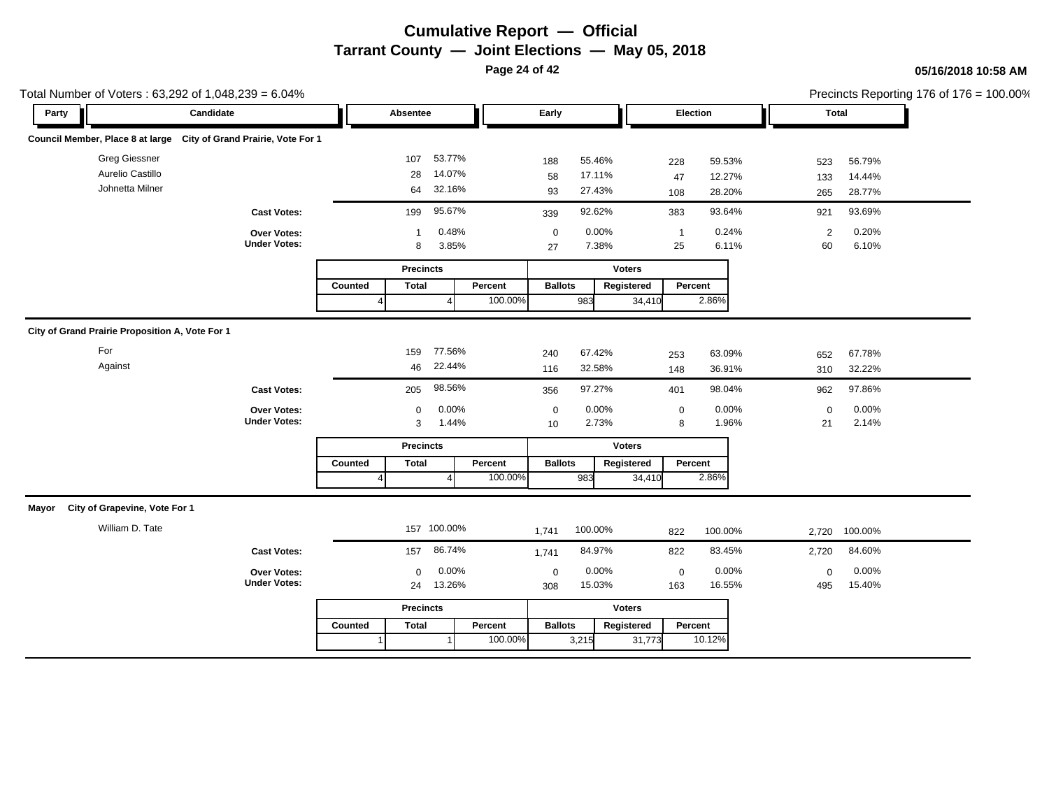**Page 24 of 42**

### **05/16/2018 10:58 AM**

|       | Total Number of Voters: 63,292 of 1,048,239 = 6.04%                |                     |         |                  |         |                |         |                  |          |                |         | Precincts Reporting 176 of $176 = 100.00\%$ |
|-------|--------------------------------------------------------------------|---------------------|---------|------------------|---------|----------------|---------|------------------|----------|----------------|---------|---------------------------------------------|
| Party | Candidate                                                          |                     |         | Absentee         |         | Early          |         |                  | Election |                | Total   |                                             |
|       | Council Member, Place 8 at large City of Grand Prairie, Vote For 1 |                     |         |                  |         |                |         |                  |          |                |         |                                             |
|       | <b>Greg Giessner</b>                                               |                     |         | 107              | 53.77%  | 188            | 55.46%  | 228              | 59.53%   | 523            | 56.79%  |                                             |
|       | Aurelio Castillo                                                   |                     |         | 28               | 14.07%  | 58             | 17.11%  | 47               | 12.27%   | 133            | 14.44%  |                                             |
|       | Johnetta Milner                                                    |                     |         | 64               | 32.16%  | 93             | 27.43%  | 108              | 28.20%   | 265            | 28.77%  |                                             |
|       |                                                                    | <b>Cast Votes:</b>  |         | 199              | 95.67%  | 339            | 92.62%  | 383              | 93.64%   | 921            | 93.69%  |                                             |
|       |                                                                    | Over Votes:         |         | $\mathbf 1$      | 0.48%   | $\mathbf 0$    | 0.00%   | $\overline{1}$   | 0.24%    | $\overline{2}$ | 0.20%   |                                             |
|       |                                                                    | <b>Under Votes:</b> |         | 8                | 3.85%   | 27             | 7.38%   | 25               | 6.11%    | 60             | 6.10%   |                                             |
|       |                                                                    |                     |         | <b>Precincts</b> |         |                |         | <b>Voters</b>    |          |                |         |                                             |
|       |                                                                    |                     | Counted | <b>Total</b>     | Percent | <b>Ballots</b> |         | Registered       | Percent  |                |         |                                             |
|       |                                                                    |                     |         |                  | 100.00% |                | 983     | 34,410           | 2.86%    |                |         |                                             |
|       |                                                                    |                     |         |                  |         |                |         |                  |          |                |         |                                             |
|       | City of Grand Prairie Proposition A, Vote For 1                    |                     |         |                  |         |                |         |                  |          |                |         |                                             |
|       | For                                                                |                     |         | 159              | 77.56%  | 240            | 67.42%  | 253              | 63.09%   | 652            | 67.78%  |                                             |
|       | Against                                                            |                     |         | 46               | 22.44%  | 116            | 32.58%  | 148              | 36.91%   | 310            | 32.22%  |                                             |
|       |                                                                    | <b>Cast Votes:</b>  |         | 205              | 98.56%  | 356            | 97.27%  | 401              | 98.04%   | 962            | 97.86%  |                                             |
|       |                                                                    | Over Votes:         |         | 0                | 0.00%   | $\pmb{0}$      | 0.00%   | $\boldsymbol{0}$ | 0.00%    | $\mathsf 0$    | 0.00%   |                                             |
|       |                                                                    | <b>Under Votes:</b> |         | 3                | 1.44%   | 10             | 2.73%   | 8                | 1.96%    | 21             | 2.14%   |                                             |
|       |                                                                    |                     |         | <b>Precincts</b> |         |                |         | <b>Voters</b>    |          |                |         |                                             |
|       |                                                                    |                     | Counted | <b>Total</b>     | Percent | <b>Ballots</b> |         | Registered       | Percent  |                |         |                                             |
|       |                                                                    |                     |         |                  | 100.00% |                | 983     | 34,410           | 2.86%    |                |         |                                             |
|       | Mayor City of Grapevine, Vote For 1                                |                     |         |                  |         |                |         |                  |          |                |         |                                             |
|       | William D. Tate                                                    |                     |         | 157 100.00%      |         |                | 100.00% |                  |          |                |         |                                             |
|       |                                                                    |                     |         |                  |         | 1,741          |         | 822              | 100.00%  | 2,720          | 100.00% |                                             |
|       |                                                                    | <b>Cast Votes:</b>  |         | 157              | 86.74%  | 1,741          | 84.97%  | 822              | 83.45%   | 2,720          | 84.60%  |                                             |
|       |                                                                    | Over Votes:         |         | $\Omega$         | 0.00%   | $\mathbf 0$    | 0.00%   | $\mathbf 0$      | 0.00%    | $\mathbf 0$    | 0.00%   |                                             |
|       |                                                                    | <b>Under Votes:</b> |         | 24               | 13.26%  | 308            | 15.03%  | 163              | 16.55%   | 495            | 15.40%  |                                             |
|       |                                                                    |                     |         | <b>Precincts</b> |         |                |         | <b>Voters</b>    |          |                |         |                                             |
|       |                                                                    |                     | Counted | <b>Total</b>     | Percent | <b>Ballots</b> |         | Registered       | Percent  |                |         |                                             |
|       |                                                                    |                     |         |                  | 100.00% |                | 3,215   | 31,773           | 10.12%   |                |         |                                             |

 $.100.00\%$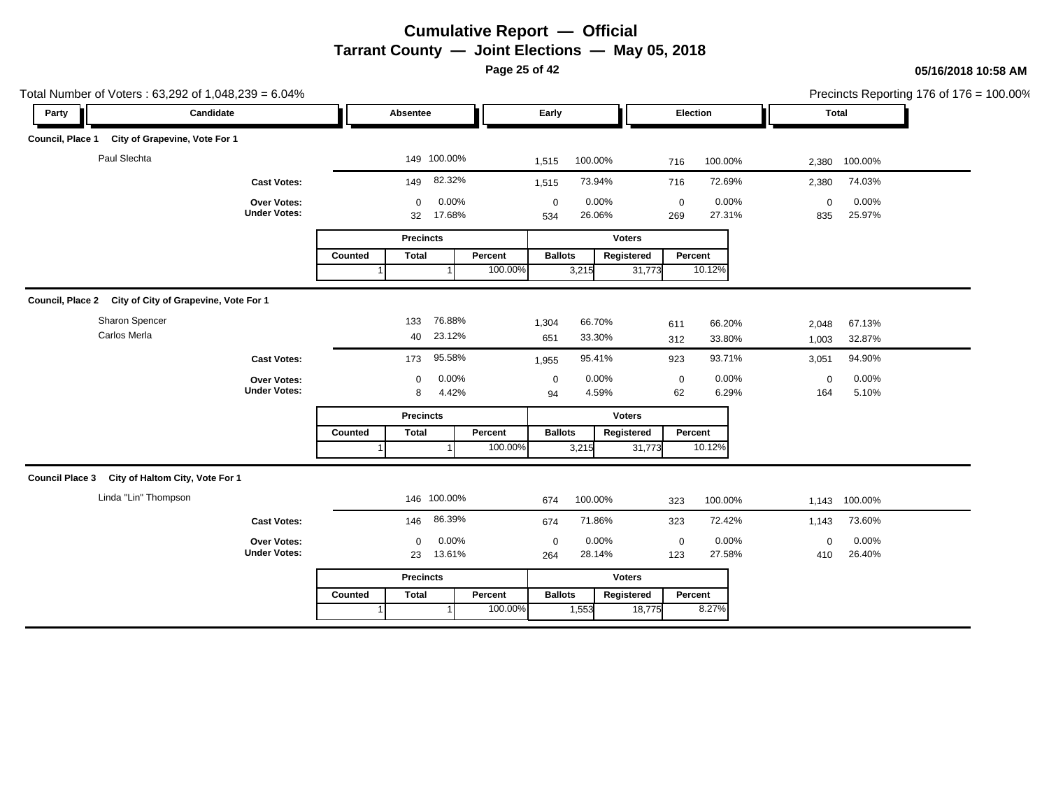**Page 25 of 42**

|                         | Total Number of Voters: 63,292 of 1,048,239 = 6.04%    |                                    |         |                                      |         |                         |                 |               |                    |                 |                    | Precincts Reporting 176 of 176 = 100.00% |  |
|-------------------------|--------------------------------------------------------|------------------------------------|---------|--------------------------------------|---------|-------------------------|-----------------|---------------|--------------------|-----------------|--------------------|------------------------------------------|--|
| Party                   | Candidate                                              |                                    |         | Absentee                             |         | Early                   |                 |               | Election           |                 |                    | Total                                    |  |
| <b>Council, Place 1</b> | City of Grapevine, Vote For 1                          |                                    |         |                                      |         |                         |                 |               |                    |                 |                    |                                          |  |
|                         | Paul Slechta                                           |                                    |         | 149 100.00%                          |         | 1,515                   | 100.00%         |               | 716                | 100.00%         | 2,380              | 100.00%                                  |  |
|                         |                                                        | <b>Cast Votes:</b>                 |         | 82.32%<br>149                        |         | 1,515                   | 73.94%          |               | 716                | 72.69%          | 2,380              | 74.03%                                   |  |
|                         |                                                        | Over Votes:<br><b>Under Votes:</b> |         | 0.00%<br>$\mathbf 0$<br>17.68%<br>32 |         | $\boldsymbol{0}$<br>534 | 0.00%<br>26.06% |               | $\mathbf 0$<br>269 | 0.00%<br>27.31% | $\mathsf 0$<br>835 | 0.00%<br>25.97%                          |  |
|                         |                                                        |                                    |         | <b>Precincts</b>                     |         |                         |                 | <b>Voters</b> |                    |                 |                    |                                          |  |
|                         |                                                        |                                    | Counted | <b>Total</b>                         | Percent | <b>Ballots</b>          |                 | Registered    | Percent            |                 |                    |                                          |  |
|                         |                                                        |                                    |         |                                      | 100.00% |                         | 3,215           | 31,773        |                    | 10.12%          |                    |                                          |  |
|                         | Council, Place 2 City of City of Grapevine, Vote For 1 |                                    |         |                                      |         |                         |                 |               |                    |                 |                    |                                          |  |
|                         | Sharon Spencer                                         |                                    |         | 76.88%<br>133                        |         | 1,304                   | 66.70%          |               | 611                | 66.20%          | 2,048              | 67.13%                                   |  |
|                         | Carlos Merla                                           |                                    |         | 23.12%<br>40                         |         | 651                     | 33.30%          |               | 312                | 33.80%          | 1,003              | 32.87%                                   |  |
|                         |                                                        | <b>Cast Votes:</b>                 |         | 95.58%<br>173                        |         | 1,955                   | 95.41%          |               | 923                | 93.71%          | 3,051              | 94.90%                                   |  |
|                         |                                                        | Over Votes:                        |         | 0.00%<br>0                           |         | $\mathbf 0$             | 0.00%           |               | $\mathbf 0$        | 0.00%           | 0                  | 0.00%                                    |  |
|                         |                                                        | <b>Under Votes:</b>                |         | 4.42%<br>8                           |         | 94                      | 4.59%           |               | 62                 | 6.29%           | 164                | 5.10%                                    |  |
|                         |                                                        |                                    |         | <b>Precincts</b>                     |         |                         |                 | <b>Voters</b> |                    |                 |                    |                                          |  |
|                         |                                                        |                                    | Counted | <b>Total</b>                         | Percent | <b>Ballots</b>          |                 | Registered    | Percent            |                 |                    |                                          |  |
|                         |                                                        |                                    |         |                                      | 100.00% |                         | 3,215           | 31,773        |                    | 10.12%          |                    |                                          |  |
|                         | Council Place 3 City of Haltom City, Vote For 1        |                                    |         |                                      |         |                         |                 |               |                    |                 |                    |                                          |  |
|                         | Linda "Lin" Thompson                                   |                                    |         | 146 100.00%                          |         | 674                     | 100.00%         |               | 323                | 100.00%         | 1,143              | 100.00%                                  |  |
|                         |                                                        | <b>Cast Votes:</b>                 |         | 86.39%<br>146                        |         | 674                     | 71.86%          |               | 323                | 72.42%          | 1,143              | 73.60%                                   |  |
|                         |                                                        | Over Votes:                        |         | 0.00%<br>$\mathbf 0$                 |         | $\mathbf 0$             | 0.00%           |               | $\pmb{0}$          | 0.00%           | $\mathbf 0$        | 0.00%                                    |  |
|                         |                                                        | <b>Under Votes:</b>                |         | 13.61%<br>23                         |         | 264                     | 28.14%          |               | 123                | 27.58%          | 410                | 26.40%                                   |  |
|                         |                                                        |                                    |         | <b>Precincts</b>                     |         |                         |                 | <b>Voters</b> |                    |                 |                    |                                          |  |
|                         |                                                        |                                    | Counted | <b>Total</b>                         | Percent | <b>Ballots</b>          |                 | Registered    | Percent            |                 |                    |                                          |  |
|                         |                                                        |                                    |         |                                      | 100.00% |                         | 1,553           | 18,775        |                    | 8.27%           |                    |                                          |  |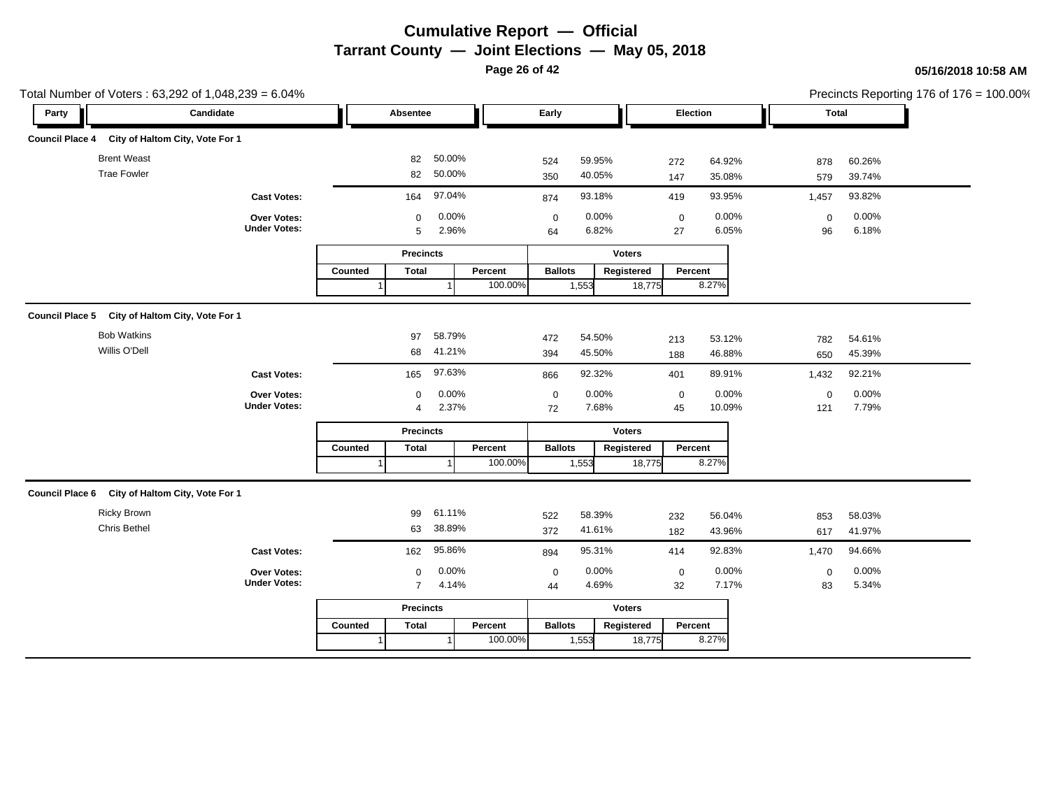**Page 26 of 42**

| Total Number of Voters: 63,292 of 1,048,239 = 6.04% |                                    |                         |                  |                                     |                 |                  |                   |                  | Precincts Reporting 176 of 176 = 100.00% |
|-----------------------------------------------------|------------------------------------|-------------------------|------------------|-------------------------------------|-----------------|------------------|-------------------|------------------|------------------------------------------|
| Party                                               | Candidate                          | Absentee                |                  | Early                               |                 | Election         | <b>Total</b>      |                  |                                          |
| Council Place 4 City of Haltom City, Vote For 1     |                                    |                         |                  |                                     |                 |                  |                   |                  |                                          |
| <b>Brent Weast</b><br><b>Trae Fowler</b>            |                                    | 82<br>82                | 50.00%<br>50.00% | 524<br>59.95%<br>40.05%<br>350      | 272<br>147      | 64.92%<br>35.08% | 878<br>579        | 60.26%<br>39.74% |                                          |
|                                                     | <b>Cast Votes:</b>                 | 164                     | 97.04%           | 93.18%<br>874                       | 419             | 93.95%           | 1,457             | 93.82%           |                                          |
|                                                     | Over Votes:<br><b>Under Votes:</b> | $\mathbf 0$<br>5        | 0.00%<br>2.96%   | 0.00%<br>$\mathbf 0$<br>6.82%<br>64 | $\pmb{0}$<br>27 | 0.00%<br>6.05%   | $\mathbf 0$<br>96 | 0.00%<br>6.18%   |                                          |
|                                                     |                                    | <b>Precincts</b>        |                  |                                     | <b>Voters</b>   |                  |                   |                  |                                          |
|                                                     |                                    | Counted<br><b>Total</b> | Percent          | <b>Ballots</b>                      | Registered      | Percent          |                   |                  |                                          |
|                                                     |                                    |                         | 100.00%          | 1,553                               | 18,775          | 8.27%            |                   |                  |                                          |
| Council Place 5 City of Haltom City, Vote For 1     |                                    |                         |                  |                                     |                 |                  |                   |                  |                                          |
| <b>Bob Watkins</b>                                  |                                    | 97                      | 58.79%           | 54.50%<br>472                       | 213             | 53.12%           | 782               | 54.61%           |                                          |
| Willis O'Dell                                       |                                    |                         | 68 41.21%        | 45.50%<br>394                       | 188             | 46.88%           | 650               | 45.39%           |                                          |
|                                                     | <b>Cast Votes:</b>                 | 165                     | 97.63%           | 92.32%<br>866                       | 401             | 89.91%           | 1,432             | 92.21%           |                                          |
|                                                     | Over Votes:                        | $\mathbf 0$             | 0.00%            | 0.00%<br>$\mathbf 0$                | $\mathbf 0$     | 0.00%            | $\mathbf 0$       | 0.00%            |                                          |
|                                                     | <b>Under Votes:</b>                | 4                       | 2.37%            | 7.68%<br>72                         | 45              | 10.09%           | 121               | 7.79%            |                                          |
|                                                     |                                    | <b>Precincts</b>        |                  |                                     | <b>Voters</b>   |                  |                   |                  |                                          |
|                                                     |                                    | <b>Total</b><br>Counted | Percent          | <b>Ballots</b>                      | Registered      | Percent          |                   |                  |                                          |
|                                                     |                                    |                         | 100.00%          | 1,553                               | 18,775          | 8.27%            |                   |                  |                                          |
| Council Place 6 City of Haltom City, Vote For 1     |                                    |                         |                  |                                     |                 |                  |                   |                  |                                          |
| Ricky Brown                                         |                                    | 99                      | 61.11%           | 58.39%<br>522                       | 232             | 56.04%           | 853               | 58.03%           |                                          |
| Chris Bethel                                        |                                    | 63                      | 38.89%           | 41.61%<br>372                       | 182             | 43.96%           | 617               | 41.97%           |                                          |
|                                                     | <b>Cast Votes:</b>                 | 162                     | 95.86%           | 95.31%<br>894                       | 414             | 92.83%           | 1,470             | 94.66%           |                                          |
|                                                     | Over Votes:                        | $\mathbf 0$             | 0.00%            | 0.00%<br>$\boldsymbol{0}$           | $\pmb{0}$       | 0.00%            | $\mathbf 0$       | 0.00%            |                                          |
|                                                     | <b>Under Votes:</b>                | $\overline{7}$          | 4.14%            | 4.69%<br>44                         | 32              | 7.17%            | 83                | 5.34%            |                                          |
|                                                     |                                    | <b>Precincts</b>        |                  |                                     | <b>Voters</b>   |                  |                   |                  |                                          |
|                                                     |                                    | <b>Total</b><br>Counted | Percent          | <b>Ballots</b>                      | Registered      | Percent          |                   |                  |                                          |
|                                                     |                                    |                         | 100.00%          | 1,553                               | 18,775          | 8.27%            |                   |                  |                                          |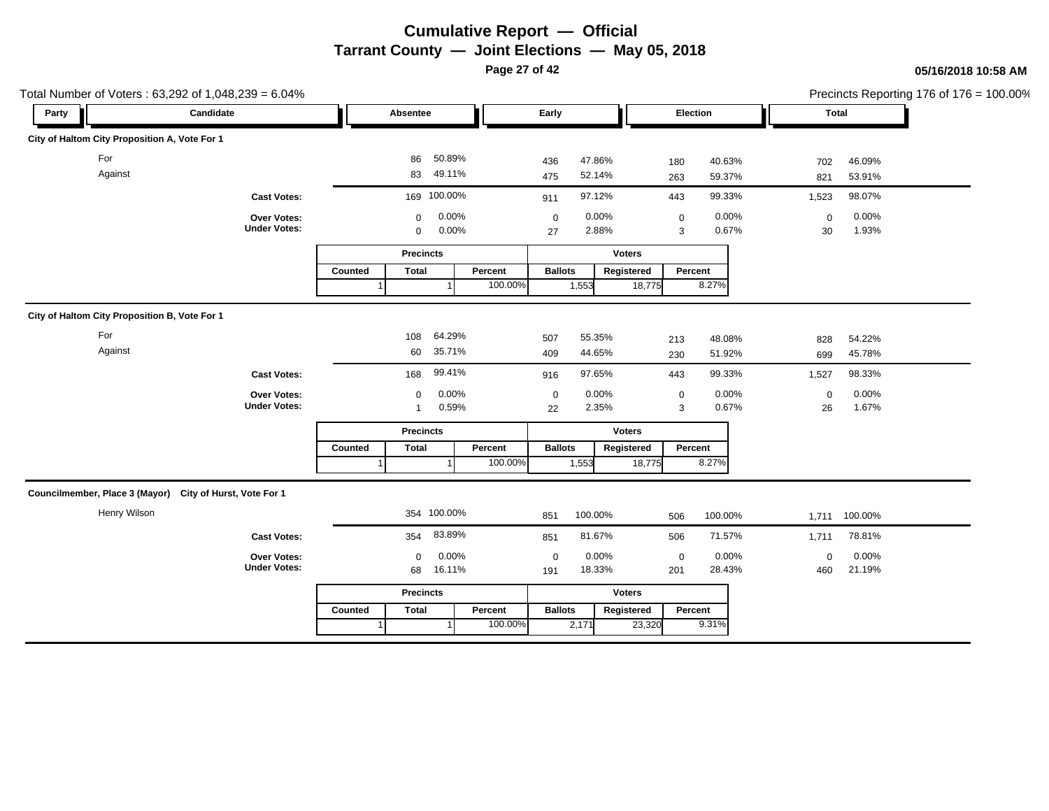**Page 27 of 42**

| Total Number of Voters: 63,292 of 1,048,239 = 6.04%      |                                    |         |                            |                  |         |                   |                  |               |                  |                  |                   |                  | Precincts Reporting 176 of 176 = 100.00% |
|----------------------------------------------------------|------------------------------------|---------|----------------------------|------------------|---------|-------------------|------------------|---------------|------------------|------------------|-------------------|------------------|------------------------------------------|
| Candidate<br>Party                                       |                                    |         | Absentee                   |                  |         | Early             |                  |               |                  | Election         | Total             |                  |                                          |
| City of Haltom City Proposition A, Vote For 1            |                                    |         |                            |                  |         |                   |                  |               |                  |                  |                   |                  |                                          |
| For<br>Against                                           |                                    |         | 86<br>83                   | 50.89%<br>49.11% |         | 436<br>475        | 47.86%<br>52.14% |               | 180<br>263       | 40.63%<br>59.37% | 702<br>821        | 46.09%<br>53.91% |                                          |
|                                                          | <b>Cast Votes:</b>                 |         | 169 100.00%                |                  |         | 911               | 97.12%           |               | 443              | 99.33%           | 1,523             | 98.07%           |                                          |
|                                                          | Over Votes:<br><b>Under Votes:</b> |         | $\mathbf 0$<br>$\mathbf 0$ | 0.00%<br>0.00%   |         | $\mathbf 0$<br>27 | 0.00%<br>2.88%   |               | $\mathbf 0$<br>3 | 0.00%<br>0.67%   | $\mathbf 0$<br>30 | 0.00%<br>1.93%   |                                          |
|                                                          |                                    |         | <b>Precincts</b>           |                  |         |                   |                  | <b>Voters</b> |                  |                  |                   |                  |                                          |
|                                                          |                                    | Counted | <b>Total</b>               |                  | Percent | <b>Ballots</b>    |                  | Registered    |                  | Percent          |                   |                  |                                          |
|                                                          |                                    |         |                            |                  | 100.00% |                   | 1,553            | 18,775        |                  | 8.27%            |                   |                  |                                          |
| City of Haltom City Proposition B, Vote For 1            |                                    |         |                            |                  |         |                   |                  |               |                  |                  |                   |                  |                                          |
| For                                                      |                                    |         | 108                        | 64.29%           |         | 507               | 55.35%           |               | 213              | 48.08%           | 828               | 54.22%           |                                          |
| Against                                                  |                                    |         | 60                         | 35.71%           |         | 409               | 44.65%           |               | 230              | 51.92%           | 699               | 45.78%           |                                          |
|                                                          | <b>Cast Votes:</b>                 |         | 168                        | 99.41%           |         | 916               | 97.65%           |               | 443              | 99.33%           | 1,527             | 98.33%           |                                          |
|                                                          | Over Votes:                        |         | $\mathbf 0$                | 0.00%            |         | $\mathbf 0$       | 0.00%            |               | $\mathbf 0$      | 0.00%            | $\mathsf 0$       | 0.00%            |                                          |
|                                                          | <b>Under Votes:</b>                |         | $\mathbf{1}$               | 0.59%            |         | 22                | 2.35%            |               | 3                | 0.67%            | 26                | 1.67%            |                                          |
|                                                          |                                    |         | <b>Precincts</b>           |                  |         |                   |                  | <b>Voters</b> |                  |                  |                   |                  |                                          |
|                                                          |                                    | Counted | <b>Total</b>               |                  | Percent | <b>Ballots</b>    |                  | Registered    |                  | Percent<br>8.27% |                   |                  |                                          |
|                                                          |                                    |         |                            |                  | 100.00% |                   | 1,553            | 18,775        |                  |                  |                   |                  |                                          |
| Councilmember, Place 3 (Mayor) City of Hurst, Vote For 1 |                                    |         |                            |                  |         |                   |                  |               |                  |                  |                   |                  |                                          |
| Henry Wilson                                             |                                    |         | 354 100.00%                |                  |         | 851               | 100.00%          |               | 506              | 100.00%          |                   | 1,711 100.00%    |                                          |
|                                                          | <b>Cast Votes:</b>                 |         | 354                        | 83.89%           |         | 851               | 81.67%           |               | 506              | 71.57%           | 1,711             | 78.81%           |                                          |
|                                                          | Over Votes:                        |         | $\mathbf 0$                | 0.00%            |         | $\mathbf 0$       | 0.00%            |               | $\mathbf 0$      | 0.00%            | $\mathbf 0$       | 0.00%            |                                          |
|                                                          | <b>Under Votes:</b>                |         | 68                         | 16.11%           |         | 191               | 18.33%           |               | 201              | 28.43%           | 460               | 21.19%           |                                          |
|                                                          |                                    |         | <b>Precincts</b>           |                  |         |                   |                  | <b>Voters</b> |                  |                  |                   |                  |                                          |
|                                                          |                                    | Counted | <b>Total</b>               |                  | Percent | <b>Ballots</b>    |                  | Registered    |                  | Percent          |                   |                  |                                          |
|                                                          |                                    |         |                            |                  | 100.00% |                   | 2,171            | 23,320        |                  | 9.31%            |                   |                  |                                          |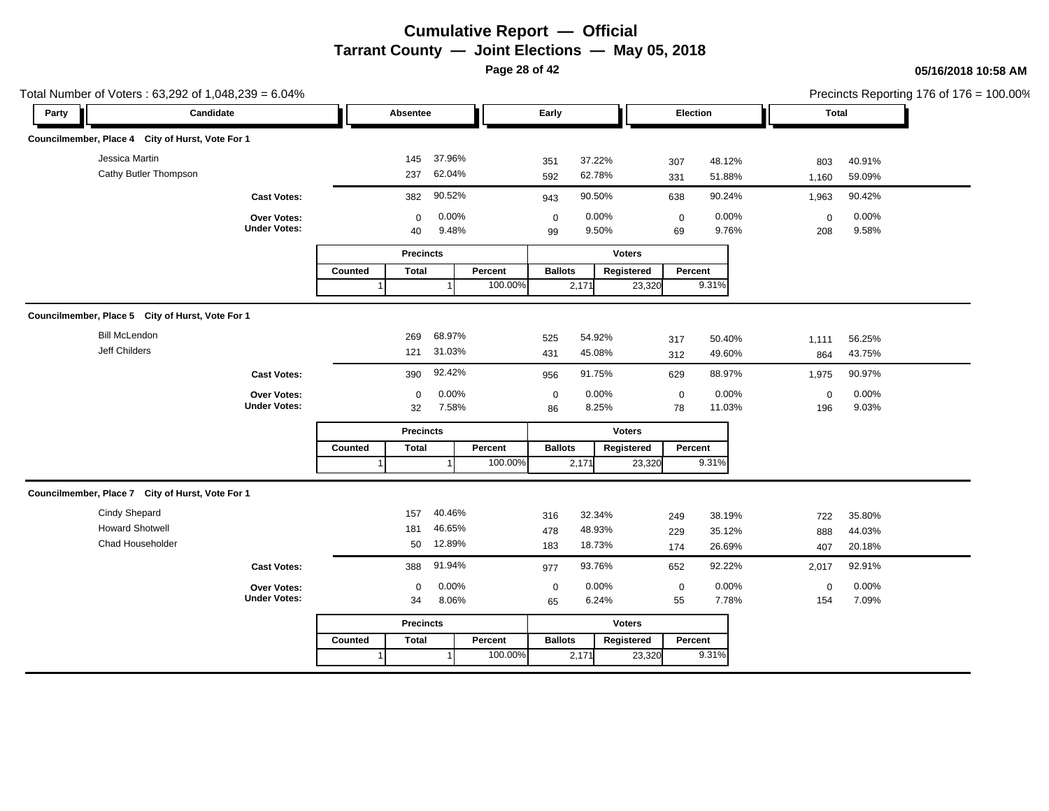**Page 28 of 42**

| Total Number of Voters: 63,292 of 1,048,239 = 6.04% |                                    |         |                   |                  |         |                   |                  |               |                 |                  |                    |                  | Precincts Reporting 176 of 176 = 100.00% |
|-----------------------------------------------------|------------------------------------|---------|-------------------|------------------|---------|-------------------|------------------|---------------|-----------------|------------------|--------------------|------------------|------------------------------------------|
| Candidate<br>Party                                  |                                    |         | Absentee          |                  |         | Early             |                  |               | Election        |                  |                    | <b>Total</b>     |                                          |
| Councilmember, Place 4 City of Hurst, Vote For 1    |                                    |         |                   |                  |         |                   |                  |               |                 |                  |                    |                  |                                          |
| Jessica Martin<br>Cathy Butler Thompson             |                                    |         | 145<br>237        | 37.96%<br>62.04% |         | 351<br>592        | 37.22%<br>62.78% |               | 307<br>331      | 48.12%<br>51.88% | 803<br>1,160       | 40.91%<br>59.09% |                                          |
|                                                     | <b>Cast Votes:</b>                 |         | 382               | 90.52%           |         | 943               | 90.50%           |               | 638             | 90.24%           | 1,963              | 90.42%           |                                          |
|                                                     | Over Votes:<br><b>Under Votes:</b> |         | $\mathbf 0$<br>40 | 0.00%<br>9.48%   |         | $\mathbf 0$<br>99 | 0.00%<br>9.50%   |               | $\pmb{0}$<br>69 | 0.00%<br>9.76%   | $\mathbf 0$<br>208 | 0.00%<br>9.58%   |                                          |
|                                                     |                                    |         | <b>Precincts</b>  |                  |         |                   |                  | <b>Voters</b> |                 |                  |                    |                  |                                          |
|                                                     |                                    | Counted | <b>Total</b>      |                  | Percent | <b>Ballots</b>    |                  | Registered    | Percent         |                  |                    |                  |                                          |
|                                                     |                                    |         |                   |                  | 100.00% |                   | 2,171            | 23,320        |                 | 9.31%            |                    |                  |                                          |
| Councilmember, Place 5 City of Hurst, Vote For 1    |                                    |         |                   |                  |         |                   |                  |               |                 |                  |                    |                  |                                          |
| <b>Bill McLendon</b><br>Jeff Childers               |                                    |         | 269<br>121        | 68.97%<br>31.03% |         | 525<br>431        | 54.92%<br>45.08% |               | 317<br>312      | 50.40%<br>49.60% | 1,111<br>864       | 56.25%<br>43.75% |                                          |
|                                                     | <b>Cast Votes:</b>                 |         | 390               | 92.42%           |         | 956               | 91.75%           |               | 629             | 88.97%           | 1,975              | 90.97%           |                                          |
|                                                     | Over Votes:                        |         | $\mathbf 0$       | 0.00%            |         | $\mathbf 0$       | 0.00%            |               | $\mathbf 0$     | 0.00%            | $\mathbf 0$        | 0.00%            |                                          |
|                                                     | <b>Under Votes:</b>                |         | 32                | 7.58%            |         | 86                | 8.25%            |               | 78              | 11.03%           | 196                | 9.03%            |                                          |
|                                                     |                                    |         | <b>Precincts</b>  |                  |         |                   |                  | <b>Voters</b> |                 |                  |                    |                  |                                          |
|                                                     |                                    | Counted | Total             |                  | Percent | <b>Ballots</b>    |                  | Registered    | Percent         |                  |                    |                  |                                          |
|                                                     |                                    |         |                   |                  | 100.00% |                   | 2,171            | 23,320        |                 | 9.31%            |                    |                  |                                          |
| Councilmember, Place 7 City of Hurst, Vote For 1    |                                    |         |                   |                  |         |                   |                  |               |                 |                  |                    |                  |                                          |
| Cindy Shepard                                       |                                    |         | 157               | 40.46%           |         | 316               | 32.34%           |               | 249             | 38.19%           | 722                | 35.80%           |                                          |
| <b>Howard Shotwell</b>                              |                                    |         | 181               | 46.65%           |         | 478               | 48.93%           |               | 229             | 35.12%           | 888                | 44.03%           |                                          |
| Chad Householder                                    |                                    |         | 50                | 12.89%           |         | 183               | 18.73%           |               | 174             | 26.69%           | 407                | 20.18%           |                                          |
|                                                     | <b>Cast Votes:</b>                 |         | 388               | 91.94%           |         | 977               | 93.76%           |               | 652             | 92.22%           | 2,017              | 92.91%           |                                          |
|                                                     | Over Votes:                        |         | $\mathbf 0$       | 0.00%            |         | $\boldsymbol{0}$  | 0.00%            |               | $\pmb{0}$       | 0.00%            | $\mathsf 0$        | 0.00%            |                                          |
|                                                     | <b>Under Votes:</b>                |         | 34                | 8.06%            |         | 65                | 6.24%            |               | 55              | 7.78%            | 154                | 7.09%            |                                          |
|                                                     |                                    |         | <b>Precincts</b>  |                  |         |                   |                  | <b>Voters</b> |                 |                  |                    |                  |                                          |
|                                                     |                                    | Counted | <b>Total</b>      |                  | Percent | <b>Ballots</b>    |                  | Registered    | Percent         |                  |                    |                  |                                          |
|                                                     |                                    |         |                   |                  | 100.00% |                   | 2,171            | 23,320        |                 | 9.31%            |                    |                  |                                          |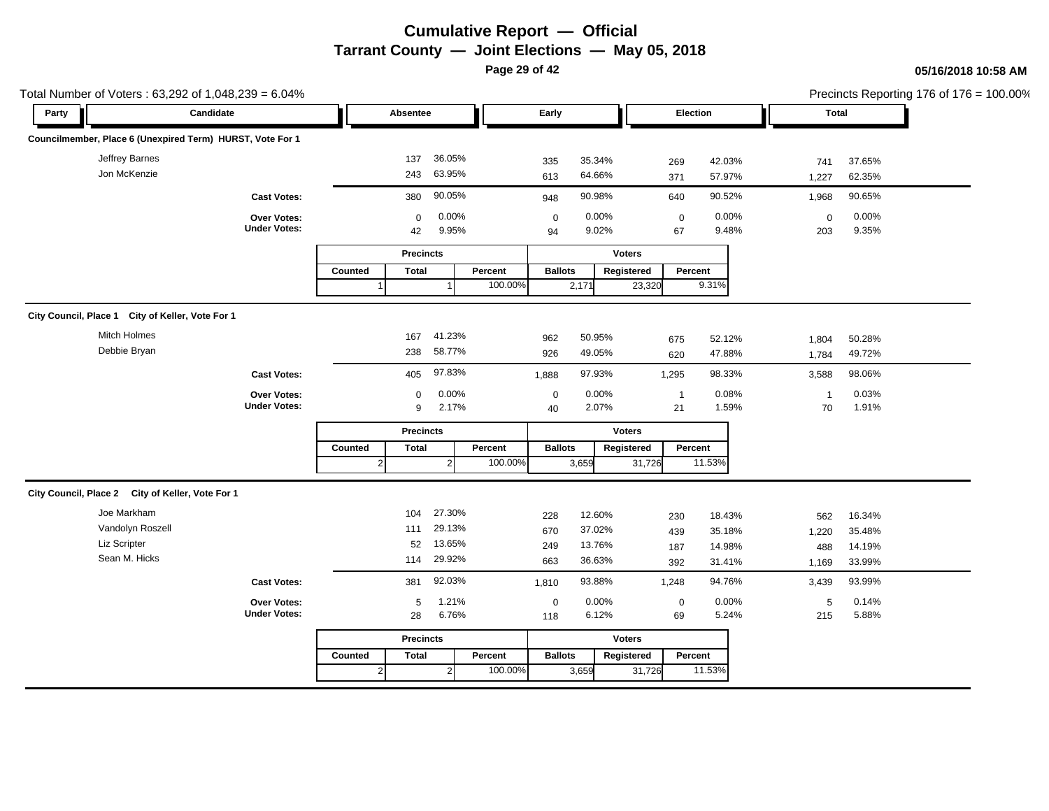**Page 29 of 42**

|                                                  | Total Number of Voters: 63,292 of 1,048,239 = 6.04%       |                |                   |                |         |                        |                |               |                 |                |                    |                | Precincts Reporting 176 of 176 = 100.00% |
|--------------------------------------------------|-----------------------------------------------------------|----------------|-------------------|----------------|---------|------------------------|----------------|---------------|-----------------|----------------|--------------------|----------------|------------------------------------------|
| Party                                            | Candidate                                                 |                | Absentee          |                |         | Early                  |                |               | Election        |                |                    | Total          |                                          |
|                                                  | Councilmember, Place 6 (Unexpired Term) HURST, Vote For 1 |                |                   |                |         |                        |                |               |                 |                |                    |                |                                          |
| Jeffrey Barnes                                   |                                                           |                | 137               | 36.05%         |         | 335                    | 35.34%         |               | 269             | 42.03%         | 741                | 37.65%         |                                          |
| Jon McKenzie                                     |                                                           |                | 243               | 63.95%         |         | 613                    | 64.66%         |               | 371             | 57.97%         | 1,227              | 62.35%         |                                          |
|                                                  | <b>Cast Votes:</b>                                        |                | 380               | 90.05%         |         | 948                    | 90.98%         |               | 640             | 90.52%         | 1,968              | 90.65%         |                                          |
|                                                  | Over Votes:<br><b>Under Votes:</b>                        |                | $\mathbf 0$<br>42 | 0.00%<br>9.95% |         | $\boldsymbol{0}$<br>94 | 0.00%<br>9.02% |               | $\pmb{0}$<br>67 | 0.00%<br>9.48% | $\mathbf 0$<br>203 | 0.00%<br>9.35% |                                          |
|                                                  |                                                           |                | <b>Precincts</b>  |                |         |                        |                | <b>Voters</b> |                 |                |                    |                |                                          |
|                                                  |                                                           | Counted        | <b>Total</b>      |                | Percent | <b>Ballots</b>         |                | Registered    | Percent         |                |                    |                |                                          |
|                                                  |                                                           |                |                   |                | 100.00% |                        | 2,171          | 23,320        |                 | 9.31%          |                    |                |                                          |
| City Council, Place 1 City of Keller, Vote For 1 |                                                           |                |                   |                |         |                        |                |               |                 |                |                    |                |                                          |
| Mitch Holmes                                     |                                                           |                | 167               | 41.23%         |         | 962                    | 50.95%         |               | 675             | 52.12%         | 1,804              | 50.28%         |                                          |
| Debbie Bryan                                     |                                                           |                | 238               | 58.77%         |         | 926                    | 49.05%         |               | 620             | 47.88%         | 1,784              | 49.72%         |                                          |
|                                                  | <b>Cast Votes:</b>                                        |                | 405               | 97.83%         |         | 1,888                  | 97.93%         |               | 1,295           | 98.33%         | 3,588              | 98.06%         |                                          |
|                                                  | Over Votes:                                               |                | $\mathbf 0$       | 0.00%          |         | $\mathbf 0$            | 0.00%          |               | $\overline{1}$  | 0.08%          | $\mathbf{1}$       | 0.03%          |                                          |
|                                                  | <b>Under Votes:</b>                                       |                | 9                 | 2.17%          |         | 40                     | 2.07%          |               | 21              | 1.59%          | 70                 | 1.91%          |                                          |
|                                                  |                                                           |                | <b>Precincts</b>  |                |         |                        |                | <b>Voters</b> |                 |                |                    |                |                                          |
|                                                  |                                                           | Counted        | <b>Total</b>      |                | Percent | <b>Ballots</b>         |                | Registered    | Percent         |                |                    |                |                                          |
|                                                  |                                                           | $\overline{2}$ |                   |                | 100.00% |                        | 3,659          | 31,726        |                 | 11.53%         |                    |                |                                          |
| City Council, Place 2 City of Keller, Vote For 1 |                                                           |                |                   |                |         |                        |                |               |                 |                |                    |                |                                          |
| Joe Markham                                      |                                                           |                | 104               | 27.30%         |         | 228                    | 12.60%         |               | 230             | 18.43%         | 562                | 16.34%         |                                          |
| Vandolyn Roszell                                 |                                                           |                | 111               | 29.13%         |         | 670                    | 37.02%         |               | 439             | 35.18%         | 1,220              | 35.48%         |                                          |
| Liz Scripter                                     |                                                           |                | 52                | 13.65%         |         | 249                    | 13.76%         |               | 187             | 14.98%         | 488                | 14.19%         |                                          |
| Sean M. Hicks                                    |                                                           |                | 114               | 29.92%         |         | 663                    | 36.63%         |               | 392             | 31.41%         | 1,169              | 33.99%         |                                          |
|                                                  | <b>Cast Votes:</b>                                        |                | 381               | 92.03%         |         | 1,810                  | 93.88%         |               | 1,248           | 94.76%         | 3,439              | 93.99%         |                                          |
|                                                  | Over Votes:                                               |                | 5                 | 1.21%          |         | $\mathbf 0$            | 0.00%          |               | $\mathbf 0$     | 0.00%          | 5                  | 0.14%          |                                          |
|                                                  | <b>Under Votes:</b>                                       |                | 28                | 6.76%          |         | 118                    | 6.12%          |               | 69              | 5.24%          | 215                | 5.88%          |                                          |
|                                                  |                                                           |                | <b>Precincts</b>  |                |         |                        |                | <b>Voters</b> |                 |                |                    |                |                                          |
|                                                  |                                                           | Counted        | <b>Total</b>      |                | Percent | <b>Ballots</b>         |                | Registered    | Percent         |                |                    |                |                                          |
|                                                  |                                                           | $2\vert$       |                   | $\overline{2}$ | 100.00% |                        | 3,659          | 31,726        |                 | 11.53%         |                    |                |                                          |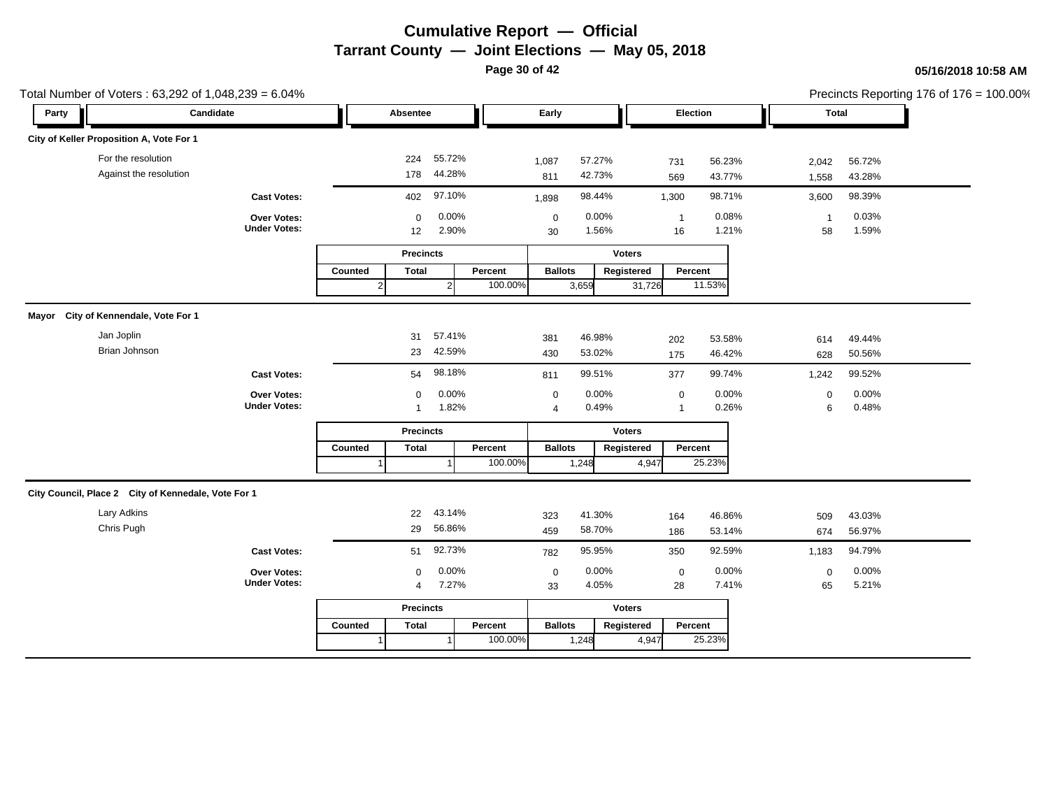**Page 30 of 42**

|       | Total Number of Voters: 63,292 of 1,048,239 = 6.04% |                                    |                |                   |                  |         |                   |                  |               |                      |                  |                    |                  | Precincts Reporting 176 of 176 = 100.00% |
|-------|-----------------------------------------------------|------------------------------------|----------------|-------------------|------------------|---------|-------------------|------------------|---------------|----------------------|------------------|--------------------|------------------|------------------------------------------|
| Party | Candidate                                           |                                    |                | Absentee          |                  |         | Early             |                  |               | Election             |                  | Total              |                  |                                          |
|       | City of Keller Proposition A, Vote For 1            |                                    |                |                   |                  |         |                   |                  |               |                      |                  |                    |                  |                                          |
|       | For the resolution<br>Against the resolution        |                                    |                | 224<br>178        | 55.72%<br>44.28% |         | 1,087<br>811      | 57.27%<br>42.73% |               | 731<br>569           | 56.23%<br>43.77% | 2,042<br>1,558     | 56.72%<br>43.28% |                                          |
|       |                                                     | <b>Cast Votes:</b>                 |                | 402               | 97.10%           |         | 1,898             | 98.44%           |               | 1,300                | 98.71%           | 3,600              | 98.39%           |                                          |
|       |                                                     | Over Votes:<br><b>Under Votes:</b> |                | $\mathbf 0$<br>12 | 0.00%<br>2.90%   |         | $\mathbf 0$<br>30 | 0.00%<br>1.56%   |               | $\overline{1}$<br>16 | 0.08%<br>1.21%   | $\mathbf{1}$<br>58 | 0.03%<br>1.59%   |                                          |
|       |                                                     |                                    |                | <b>Precincts</b>  |                  |         |                   |                  | <b>Voters</b> |                      |                  |                    |                  |                                          |
|       |                                                     |                                    | Counted        | <b>Total</b>      |                  | Percent | <b>Ballots</b>    |                  | Registered    | Percent              |                  |                    |                  |                                          |
|       |                                                     |                                    | $\overline{2}$ |                   | $\overline{2}$   | 100.00% |                   | 3,659            | 31,726        |                      | 11.53%           |                    |                  |                                          |
|       | Mayor City of Kennendale, Vote For 1                |                                    |                |                   |                  |         |                   |                  |               |                      |                  |                    |                  |                                          |
|       | Jan Joplin                                          |                                    |                | 31                | 57.41%           |         | 381               | 46.98%           |               | 202                  | 53.58%           | 614                | 49.44%           |                                          |
|       | Brian Johnson                                       |                                    |                | 23                | 42.59%           |         | 430               | 53.02%           |               | 175                  | 46.42%           | 628                | 50.56%           |                                          |
|       |                                                     | <b>Cast Votes:</b>                 |                | 54                | 98.18%           |         | 811               | 99.51%           |               | 377                  | 99.74%           | 1,242              | 99.52%           |                                          |
|       |                                                     | Over Votes:                        |                | $\mathbf 0$       | 0.00%            |         | $\mathbf 0$       | 0.00%            |               | $\mathbf 0$          | 0.00%            | $\mathbf 0$        | 0.00%            |                                          |
|       |                                                     | <b>Under Votes:</b>                |                | $\mathbf{1}$      | 1.82%            |         | $\overline{4}$    | 0.49%            |               | $\overline{1}$       | 0.26%            | 6                  | 0.48%            |                                          |
|       |                                                     |                                    |                | <b>Precincts</b>  |                  |         |                   |                  | <b>Voters</b> |                      |                  |                    |                  |                                          |
|       |                                                     |                                    | Counted        | <b>Total</b>      |                  | Percent | <b>Ballots</b>    |                  | Registered    | Percent              |                  |                    |                  |                                          |
|       |                                                     |                                    |                |                   |                  | 100.00% |                   | 1,248            | 4,947         |                      | 25.23%           |                    |                  |                                          |
|       | City Council, Place 2 City of Kennedale, Vote For 1 |                                    |                |                   |                  |         |                   |                  |               |                      |                  |                    |                  |                                          |
|       | <b>Lary Adkins</b>                                  |                                    |                | 22                | 43.14%           |         | 323               | 41.30%           |               | 164                  | 46.86%           | 509                | 43.03%           |                                          |
|       | Chris Pugh                                          |                                    |                | 29                | 56.86%           |         | 459               | 58.70%           |               | 186                  | 53.14%           | 674                | 56.97%           |                                          |
|       |                                                     | <b>Cast Votes:</b>                 |                | 51                | 92.73%           |         | 782               | 95.95%           |               | 350                  | 92.59%           | 1,183              | 94.79%           |                                          |
|       |                                                     | Over Votes:                        |                | $\Omega$          | 0.00%            |         | $\mathbf 0$       | 0.00%            |               | $\mathbf 0$          | 0.00%            | $\mathbf 0$        | 0.00%            |                                          |
|       |                                                     | <b>Under Votes:</b>                |                | 4                 | 7.27%            |         | 33                | 4.05%            |               | 28                   | 7.41%            | 65                 | 5.21%            |                                          |
|       |                                                     |                                    |                | <b>Precincts</b>  |                  |         |                   |                  | <b>Voters</b> |                      |                  |                    |                  |                                          |
|       |                                                     |                                    | Counted        | <b>Total</b>      |                  | Percent | <b>Ballots</b>    |                  | Registered    | Percent              |                  |                    |                  |                                          |
|       |                                                     |                                    |                |                   |                  | 100.00% |                   | 1,248            | 4,947         |                      | 25.23%           |                    |                  |                                          |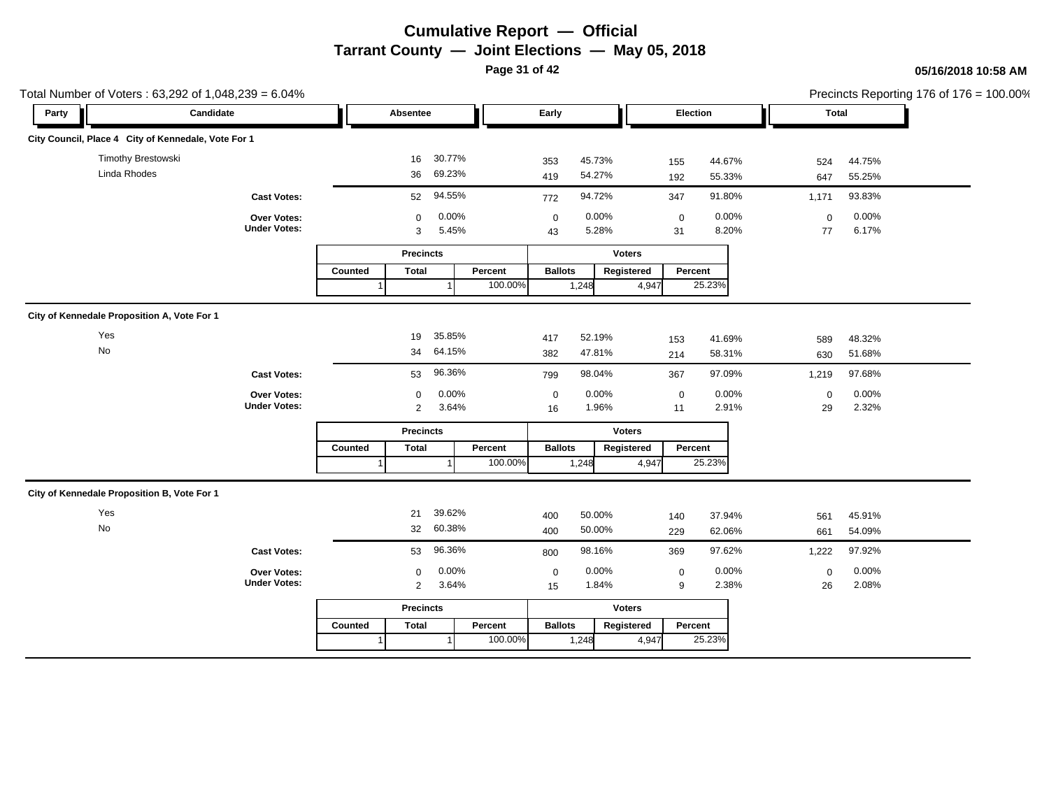**Page 31 of 42**

|       | Total Number of Voters: 63,292 of 1,048,239 = 6.04% |                     |         |                  |        |         |                |        |               |             |                  |              |                  | Precincts Reporting 176 of 176 = 100.00% |
|-------|-----------------------------------------------------|---------------------|---------|------------------|--------|---------|----------------|--------|---------------|-------------|------------------|--------------|------------------|------------------------------------------|
| Party | Candidate                                           |                     |         | Absentee         |        |         | Early          |        |               | Election    |                  | <b>Total</b> |                  |                                          |
|       | City Council, Place 4 City of Kennedale, Vote For 1 |                     |         |                  |        |         |                |        |               |             |                  |              |                  |                                          |
|       | Timothy Brestowski                                  |                     |         | 16               | 30.77% |         | 353            | 45.73% |               | 155         | 44.67%           | 524          | 44.75%           |                                          |
|       | Linda Rhodes                                        |                     |         | 36               | 69.23% |         | 419            | 54.27% |               | 192         | 55.33%           | 647          | 55.25%           |                                          |
|       |                                                     | <b>Cast Votes:</b>  |         | 52               | 94.55% |         | 772            | 94.72% |               | 347         | 91.80%           | 1,171        | 93.83%           |                                          |
|       |                                                     | Over Votes:         |         | $\mathbf 0$      | 0.00%  |         | $\mathbf 0$    | 0.00%  |               | $\mathbf 0$ | 0.00%            | $\mathbf 0$  | 0.00%            |                                          |
|       |                                                     | <b>Under Votes:</b> |         | 3                | 5.45%  |         | 43             | 5.28%  |               | 31          | 8.20%            | 77           | 6.17%            |                                          |
|       |                                                     |                     |         | <b>Precincts</b> |        |         |                |        | <b>Voters</b> |             |                  |              |                  |                                          |
|       |                                                     |                     | Counted | <b>Total</b>     |        | Percent | <b>Ballots</b> |        | Registered    | Percent     |                  |              |                  |                                          |
|       |                                                     |                     |         |                  |        | 100.00% |                | 1,248  | 4,947         |             | 25.23%           |              |                  |                                          |
|       | City of Kennedale Proposition A, Vote For 1         |                     |         |                  |        |         |                |        |               |             |                  |              |                  |                                          |
|       | Yes                                                 |                     |         | 19               | 35.85% |         | 417            | 52.19% |               | 153         | 41.69%           | 589          | 48.32%           |                                          |
|       | $\mathsf{No}$                                       |                     |         | 34               | 64.15% |         | 382            | 47.81% |               | 214         | 58.31%           | 630          | 51.68%           |                                          |
|       |                                                     | <b>Cast Votes:</b>  |         | 53               | 96.36% |         | 799            | 98.04% |               | 367         | 97.09%           | 1,219        | 97.68%           |                                          |
|       |                                                     | Over Votes:         |         | $\mathbf 0$      | 0.00%  |         | $\mathbf 0$    | 0.00%  |               | $\mathbf 0$ | 0.00%            | 0            | 0.00%            |                                          |
|       |                                                     | <b>Under Votes:</b> |         | 2                | 3.64%  |         | 16             | 1.96%  |               | 11          | 2.91%            | 29           | 2.32%            |                                          |
|       |                                                     |                     |         | <b>Precincts</b> |        |         |                |        | <b>Voters</b> |             |                  |              |                  |                                          |
|       |                                                     |                     | Counted | <b>Total</b>     |        | Percent | <b>Ballots</b> |        | Registered    | Percent     |                  |              |                  |                                          |
|       |                                                     |                     |         |                  |        | 100.00% |                | 1,248  | 4,947         |             | 25.23%           |              |                  |                                          |
|       | City of Kennedale Proposition B, Vote For 1         |                     |         |                  |        |         |                |        |               |             |                  |              |                  |                                          |
|       | Yes                                                 |                     |         | 21               | 39.62% |         | 400            | 50.00% |               |             |                  |              |                  |                                          |
|       | No                                                  |                     |         | 32               | 60.38% |         | 400            | 50.00% |               | 140<br>229  | 37.94%<br>62.06% | 561<br>661   | 45.91%<br>54.09% |                                          |
|       |                                                     | <b>Cast Votes:</b>  |         | 53               | 96.36% |         | 800            | 98.16% |               | 369         | 97.62%           | 1,222        | 97.92%           |                                          |
|       |                                                     | Over Votes:         |         | 0                | 0.00%  |         | $\pmb{0}$      | 0.00%  |               | $\mathbf 0$ | 0.00%            | $\mathsf 0$  | 0.00%            |                                          |
|       |                                                     | <b>Under Votes:</b> |         | $\overline{2}$   | 3.64%  |         | 15             | 1.84%  |               | 9           | 2.38%            | 26           | 2.08%            |                                          |
|       |                                                     |                     |         | <b>Precincts</b> |        |         |                |        | <b>Voters</b> |             |                  |              |                  |                                          |
|       |                                                     |                     | Counted | Total            |        | Percent | <b>Ballots</b> |        | Registered    | Percent     |                  |              |                  |                                          |
|       |                                                     |                     |         |                  |        | 100.00% |                | 1,248  | 4,947         |             | 25.23%           |              |                  |                                          |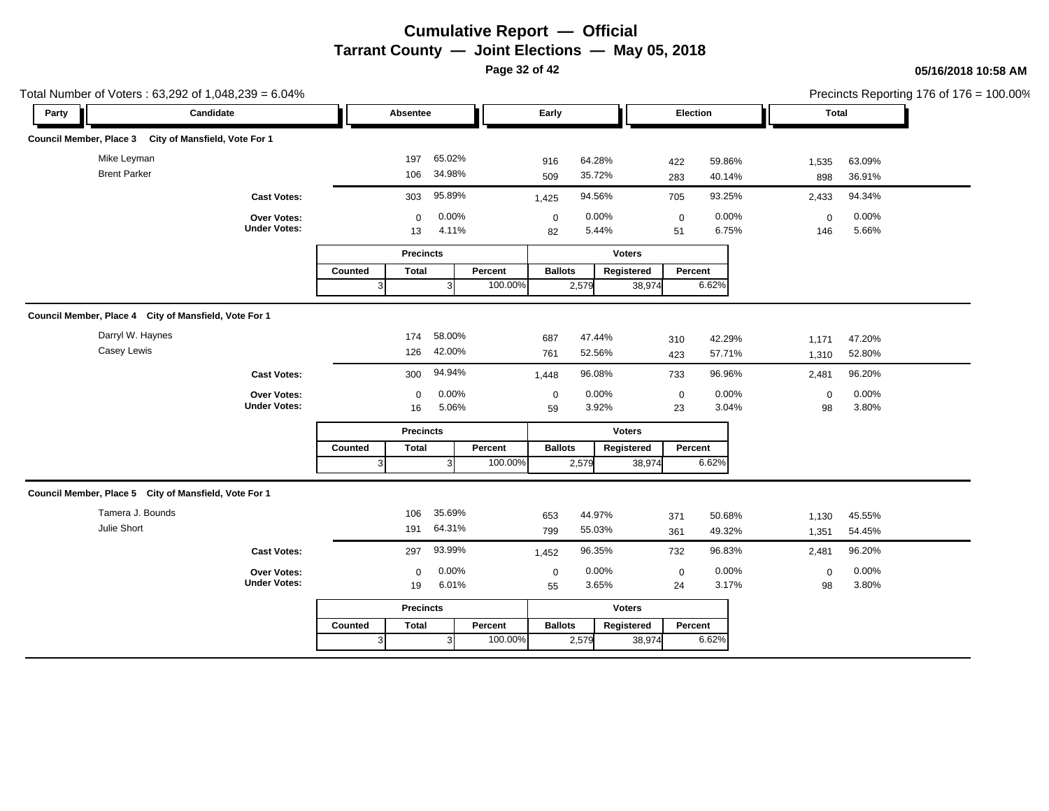**Page 32 of 42**

|       | Total Number of Voters: 63,292 of 1,048,239 = 6.04%   |                                    |         |                   |                  |         |                   |                  |               |                   |                  |                    |                  | Precincts Reporting 176 of 176 = 100.00% |
|-------|-------------------------------------------------------|------------------------------------|---------|-------------------|------------------|---------|-------------------|------------------|---------------|-------------------|------------------|--------------------|------------------|------------------------------------------|
| Party | Candidate                                             |                                    |         | Absentee          |                  |         | Early             |                  |               | Election          |                  |                    | <b>Total</b>     |                                          |
|       | Council Member, Place 3 City of Mansfield, Vote For 1 |                                    |         |                   |                  |         |                   |                  |               |                   |                  |                    |                  |                                          |
|       | Mike Leyman<br><b>Brent Parker</b>                    |                                    |         | 197<br>106        | 65.02%<br>34.98% |         | 916<br>509        | 64.28%<br>35.72% |               | 422<br>283        | 59.86%<br>40.14% | 1,535<br>898       | 63.09%<br>36.91% |                                          |
|       |                                                       | <b>Cast Votes:</b>                 |         | 303               | 95.89%           |         | 1,425             | 94.56%           |               | 705               | 93.25%           | 2,433              | 94.34%           |                                          |
|       |                                                       | Over Votes:<br><b>Under Votes:</b> |         | $\mathbf 0$<br>13 | 0.00%<br>4.11%   |         | $\mathbf 0$<br>82 | 0.00%<br>5.44%   |               | $\mathbf 0$<br>51 | 0.00%<br>6.75%   | $\mathbf 0$<br>146 | 0.00%<br>5.66%   |                                          |
|       |                                                       |                                    |         | <b>Precincts</b>  |                  |         |                   |                  | <b>Voters</b> |                   |                  |                    |                  |                                          |
|       |                                                       |                                    | Counted | <b>Total</b>      |                  | Percent | <b>Ballots</b>    |                  | Registered    | Percent           |                  |                    |                  |                                          |
|       |                                                       |                                    | 3       |                   | 3                | 100.00% |                   | 2,579            | 38,974        |                   | 6.62%            |                    |                  |                                          |
|       | Council Member, Place 4 City of Mansfield, Vote For 1 |                                    |         |                   |                  |         |                   |                  |               |                   |                  |                    |                  |                                          |
|       | Darryl W. Haynes<br>Casey Lewis                       |                                    |         | 174<br>126        | 58.00%<br>42.00% |         | 687<br>761        | 47.44%<br>52.56% |               | 310<br>423        | 42.29%<br>57.71% | 1,171<br>1,310     | 47.20%<br>52.80% |                                          |
|       |                                                       |                                    |         |                   | 94.94%           |         |                   | 96.08%           |               |                   | 96.96%           |                    | 96.20%           |                                          |
|       |                                                       | <b>Cast Votes:</b>                 |         | 300               |                  |         | 1,448             |                  |               | 733               |                  | 2,481              |                  |                                          |
|       |                                                       | Over Votes:<br><b>Under Votes:</b> |         | $\mathbf 0$<br>16 | 0.00%<br>5.06%   |         | $\mathbf 0$<br>59 | 0.00%<br>3.92%   |               | $\pmb{0}$<br>23   | 0.00%<br>3.04%   | $\mathsf 0$<br>98  | 0.00%<br>3.80%   |                                          |
|       |                                                       |                                    |         | <b>Precincts</b>  |                  |         |                   |                  | <b>Voters</b> |                   |                  |                    |                  |                                          |
|       |                                                       |                                    | Counted | <b>Total</b>      |                  | Percent | <b>Ballots</b>    |                  | Registered    | Percent           |                  |                    |                  |                                          |
|       |                                                       |                                    | 3       |                   | 3                | 100.00% |                   | 2,579            | 38,974        |                   | 6.62%            |                    |                  |                                          |
|       | Council Member, Place 5 City of Mansfield, Vote For 1 |                                    |         |                   |                  |         |                   |                  |               |                   |                  |                    |                  |                                          |
|       | Tamera J. Bounds                                      |                                    |         | 106               | 35.69%           |         | 653               | 44.97%           |               | 371               | 50.68%           | 1,130              | 45.55%           |                                          |
|       | Julie Short                                           |                                    |         | 191               | 64.31%           |         | 799               | 55.03%           |               | 361               | 49.32%           | 1,351              | 54.45%           |                                          |
|       |                                                       | <b>Cast Votes:</b>                 |         | 297               | 93.99%           |         | 1,452             | 96.35%           |               | 732               | 96.83%           | 2,481              | 96.20%           |                                          |
|       |                                                       | Over Votes:<br><b>Under Votes:</b> |         | $\mathbf 0$<br>19 | 0.00%<br>6.01%   |         | $\mathbf 0$<br>55 | 0.00%<br>3.65%   |               | $\mathbf 0$<br>24 | 0.00%<br>3.17%   | $\mathbf 0$<br>98  | 0.00%<br>3.80%   |                                          |
|       |                                                       |                                    |         | <b>Precincts</b>  |                  |         |                   |                  | <b>Voters</b> |                   |                  |                    |                  |                                          |
|       |                                                       |                                    | Counted | <b>Total</b>      |                  | Percent | <b>Ballots</b>    |                  | Registered    | Percent           |                  |                    |                  |                                          |
|       |                                                       |                                    | 3       |                   | 31               | 100.00% |                   | 2,579            | 38,974        |                   | 6.62%            |                    |                  |                                          |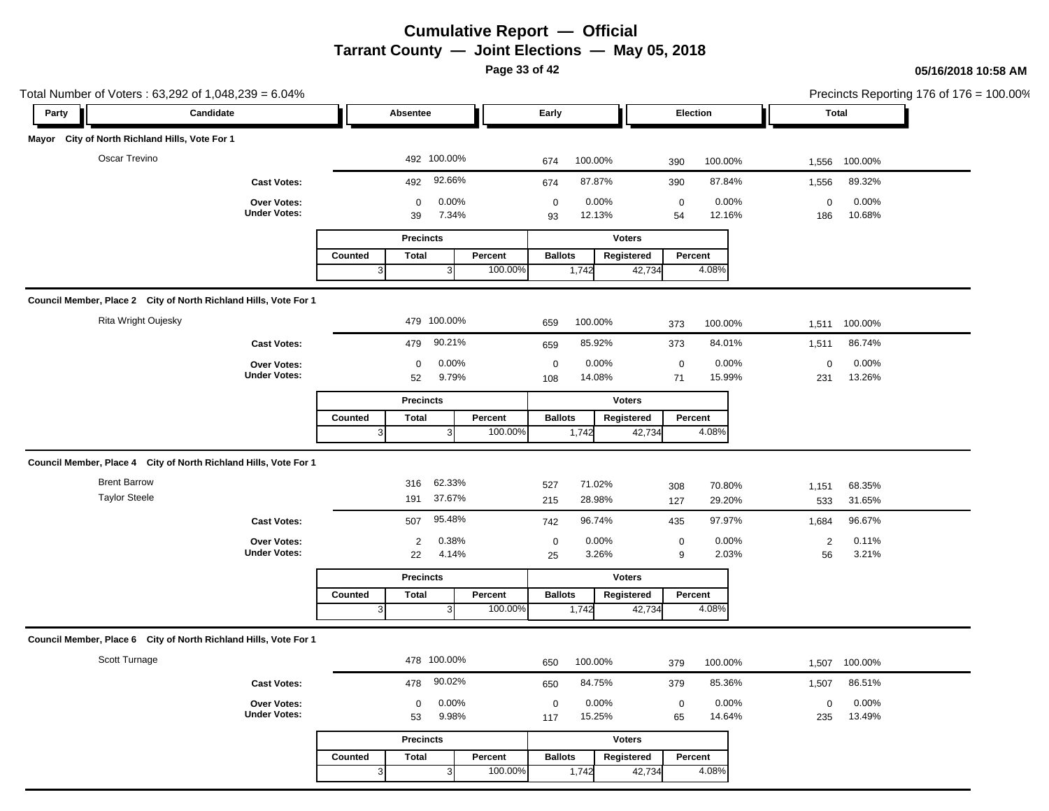**Page 33 of 42**

### **05/16/2018 10:58 AM**

| Total Number of Voters: 63,292 of 1,048,239 = 6.04%              |                                    |                                                         |                                                                            | Precincts Reporting 176 of 176 = 100.00%      |
|------------------------------------------------------------------|------------------------------------|---------------------------------------------------------|----------------------------------------------------------------------------|-----------------------------------------------|
| Party                                                            | Candidate                          | Absentee                                                | Early<br>Election                                                          | <b>Total</b>                                  |
| Mayor City of North Richland Hills, Vote For 1                   |                                    |                                                         |                                                                            |                                               |
| Oscar Trevino                                                    |                                    | 492 100.00%                                             | 100.00%<br>674<br>100.00%<br>390                                           | 100.00%<br>1,556                              |
|                                                                  | <b>Cast Votes:</b>                 | 92.66%<br>492                                           | 87.87%<br>390<br>87.84%<br>674                                             | 89.32%<br>1,556                               |
|                                                                  | Over Votes:<br><b>Under Votes:</b> | 0.00%<br>0<br>39<br>7.34%                               | $\pmb{0}$<br>0.00%<br>$\mathsf 0$<br>0.00%<br>12.13%<br>12.16%<br>93<br>54 | 0.00%<br>$\mathsf{O}\xspace$<br>186<br>10.68% |
|                                                                  |                                    | <b>Precincts</b>                                        | <b>Voters</b>                                                              |                                               |
|                                                                  |                                    | <b>Total</b><br>Percent<br>Counted                      | <b>Ballots</b><br>Registered<br>Percent                                    |                                               |
|                                                                  |                                    | 100.00%<br>3<br>$\mathbf{3}$                            | 4.08%<br>1,742<br>42,734                                                   |                                               |
| Council Member, Place 2 City of North Richland Hills, Vote For 1 |                                    |                                                         |                                                                            |                                               |
| Rita Wright Oujesky                                              |                                    | 479 100.00%                                             | 100.00%<br>659<br>100.00%<br>373                                           | 100.00%<br>1,511                              |
|                                                                  | <b>Cast Votes:</b>                 | 90.21%<br>479                                           | 85.92%<br>84.01%<br>373<br>659                                             | 86.74%<br>1,511                               |
|                                                                  | Over Votes:                        | 0.00%<br>$\mathbf 0$                                    | 0.00%<br>0.00%<br>$\mathbf 0$<br>$\mathbf 0$                               | 0.00%<br>$\mathbf 0$                          |
|                                                                  | <b>Under Votes:</b>                | 52<br>9.79%                                             | 14.08%<br>71<br>15.99%<br>108                                              | 231<br>13.26%                                 |
|                                                                  |                                    | <b>Precincts</b>                                        | <b>Voters</b>                                                              |                                               |
|                                                                  |                                    | <b>Total</b><br>Percent<br>Counted<br>100.00%<br>3<br>3 | <b>Ballots</b><br>Registered<br>Percent<br>4.08%<br>1,742<br>42,734        |                                               |
|                                                                  |                                    |                                                         |                                                                            |                                               |
| Council Member, Place 4 City of North Richland Hills, Vote For 1 |                                    |                                                         |                                                                            |                                               |
| <b>Brent Barrow</b>                                              |                                    | 62.33%<br>316                                           | 71.02%<br>527<br>70.80%<br>308                                             | 68.35%<br>1,151                               |
| <b>Taylor Steele</b>                                             |                                    | 37.67%<br>191                                           | 28.98%<br>215<br>29.20%<br>127                                             | 31.65%<br>533                                 |
|                                                                  | <b>Cast Votes:</b>                 | 95.48%<br>507                                           | 96.74%<br>97.97%<br>742<br>435                                             | 96.67%<br>1,684                               |
|                                                                  | Over Votes:<br><b>Under Votes:</b> | 0.38%<br>$\overline{2}$<br>22<br>4.14%                  | $\pmb{0}$<br>0.00%<br>0.00%<br>$\mathbf 0$<br>2.03%<br>3.26%<br>9<br>25    | 0.11%<br>$\overline{2}$<br>3.21%<br>56        |
|                                                                  |                                    |                                                         |                                                                            |                                               |
|                                                                  |                                    | <b>Precincts</b><br>Counted<br><b>Total</b><br>Percent  | <b>Voters</b><br><b>Ballots</b><br>Registered<br>Percent                   |                                               |
|                                                                  |                                    | 100.00%<br>$\mathbf{3}$<br>3                            | 4.08%<br>1,742<br>42,734                                                   |                                               |
|                                                                  |                                    |                                                         |                                                                            |                                               |
| Council Member, Place 6 City of North Richland Hills, Vote For 1 |                                    |                                                         |                                                                            |                                               |
| Scott Turnage                                                    |                                    | 478 100.00%                                             | 100.00%<br>650<br>100.00%<br>379                                           | 100.00%<br>1,507                              |
|                                                                  | <b>Cast Votes:</b>                 | 90.02%<br>478                                           | 84.75%<br>85.36%<br>379<br>650                                             | 86.51%<br>1,507                               |
|                                                                  | Over Votes:<br><b>Under Votes:</b> | 0.00%<br>0                                              | 0.00%<br>0.00%<br>$\mathbf 0$<br>$\mathbf 0$                               | 0.00%<br>$\mathbf 0$                          |
|                                                                  |                                    | 9.98%<br>53                                             | 15.25%<br>14.64%<br>117<br>65                                              | 13.49%<br>235                                 |
|                                                                  |                                    | <b>Precincts</b>                                        | <b>Voters</b>                                                              |                                               |
|                                                                  |                                    | Counted<br><b>Total</b><br>Percent                      | <b>Ballots</b><br>Registered<br>Percent                                    |                                               |

3 100.00%

1,742

42,734 4.08%

3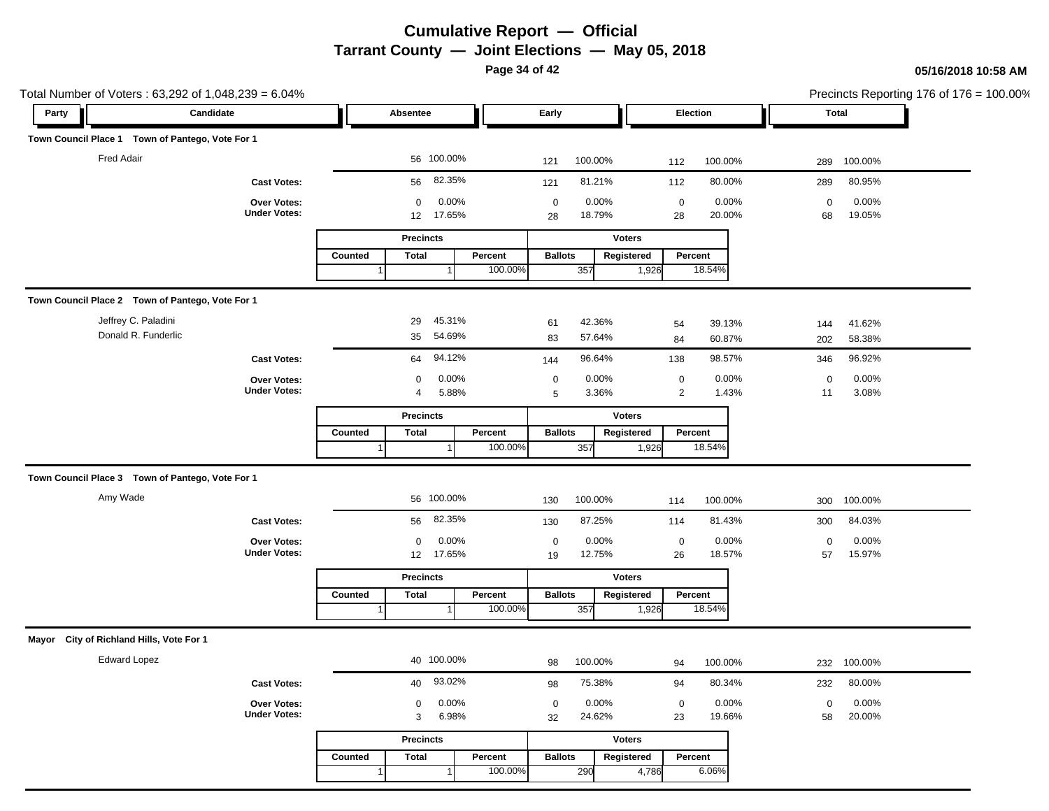**Page 34 of 42**

| Total Number of Voters: 63,292 of 1,048,239 = 6.04% |                                    |                           |                    |                                     |                            | Precincts Reporting 176 of 176 = 100.00% |  |
|-----------------------------------------------------|------------------------------------|---------------------------|--------------------|-------------------------------------|----------------------------|------------------------------------------|--|
| Party                                               | Candidate                          | Absentee                  |                    | Early                               | Election                   | <b>Total</b>                             |  |
| Town Council Place 1 Town of Pantego, Vote For 1    |                                    |                           |                    |                                     |                            |                                          |  |
| <b>Fred Adair</b>                                   |                                    | 56 100.00%                |                    | 100.00%<br>121                      | 100.00%<br>112             | 100.00%<br>289                           |  |
|                                                     | <b>Cast Votes:</b>                 | 82.35%<br>56              |                    | 81.21%<br>121                       | 112<br>80.00%              | 289<br>80.95%                            |  |
|                                                     | Over Votes:                        | 0                         | 0.00%              | $\mathbf 0$<br>0.00%                | $\pmb{0}$<br>0.00%         | $\mathsf 0$<br>0.00%                     |  |
|                                                     | <b>Under Votes:</b>                | 17.65%<br>12              |                    | 18.79%<br>28                        | 20.00%<br>28               | 19.05%<br>68                             |  |
|                                                     |                                    | <b>Precincts</b>          |                    | <b>Voters</b>                       |                            |                                          |  |
|                                                     |                                    | Counted<br><b>Total</b>   | Percent<br>100.00% | <b>Ballots</b><br>Registered<br>357 | Percent<br>18.54%<br>1,926 |                                          |  |
|                                                     |                                    |                           |                    |                                     |                            |                                          |  |
| Town Council Place 2 Town of Pantego, Vote For 1    |                                    |                           |                    |                                     |                            |                                          |  |
| Jeffrey C. Paladini                                 |                                    | 45.31%<br>29              |                    | 42.36%<br>61                        | 39.13%<br>54               | 41.62%<br>144                            |  |
| Donald R. Funderlic                                 |                                    | 54.69%<br>35              |                    | 83<br>57.64%                        | 84<br>60.87%               | 202<br>58.38%                            |  |
|                                                     | <b>Cast Votes:</b>                 | 94.12%<br>64              |                    | 96.64%<br>144                       | 98.57%<br>138              | 96.92%<br>346                            |  |
|                                                     | Over Votes:<br><b>Under Votes:</b> | 0                         | 0.00%              | 0.00%<br>$\pmb{0}$                  | $\pmb{0}$<br>0.00%         | 0.00%<br>$\mathbf 0$                     |  |
|                                                     |                                    | 4                         | 5.88%              | 3.36%<br>$\overline{5}$             | $\overline{c}$<br>1.43%    | 3.08%<br>11                              |  |
|                                                     |                                    | <b>Precincts</b>          |                    | <b>Voters</b>                       |                            |                                          |  |
|                                                     |                                    | Counted<br><b>Total</b>   | Percent<br>100.00% | <b>Ballots</b><br>Registered<br>357 | Percent<br>18.54%<br>1,926 |                                          |  |
|                                                     |                                    |                           |                    |                                     |                            |                                          |  |
| Town Council Place 3 Town of Pantego, Vote For 1    |                                    |                           |                    |                                     |                            |                                          |  |
| Amy Wade                                            |                                    | 56 100.00%                |                    | 100.00%<br>130                      | 100.00%<br>114             | 100.00%<br>300                           |  |
|                                                     | <b>Cast Votes:</b>                 | 82.35%<br>56              |                    | 87.25%<br>130                       | 81.43%<br>114              | 84.03%<br>300                            |  |
|                                                     | Over Votes:                        | 0                         | 0.00%              | 0.00%<br>$\pmb{0}$                  | 0.00%<br>$\pmb{0}$         | 0.00%<br>$\mathbf 0$                     |  |
|                                                     | <b>Under Votes:</b>                | 17.65%<br>12 <sup>2</sup> |                    | 12.75%<br>19                        | 26<br>18.57%               | 15.97%<br>57                             |  |
|                                                     |                                    | <b>Precincts</b>          |                    | <b>Voters</b>                       |                            |                                          |  |
|                                                     |                                    | Counted<br><b>Total</b>   | Percent            | <b>Ballots</b><br>Registered        | Percent                    |                                          |  |
|                                                     |                                    | $\overline{1}$            | 100.00%            | 357                                 | 18.54%<br>1,926            |                                          |  |
| Mayor City of Richland Hills, Vote For 1            |                                    |                           |                    |                                     |                            |                                          |  |
| <b>Edward Lopez</b>                                 |                                    | 40 100.00%                |                    | 100.00%<br>98                       | 100.00%<br>94              | 100.00%<br>232                           |  |
|                                                     | <b>Cast Votes:</b>                 | 93.02%<br>40              |                    | 75.38%<br>98                        | 80.34%<br>94               | 80.00%<br>232                            |  |
|                                                     | Over Votes:                        | 0                         | 0.00%              | 0.00%<br>$\pmb{0}$                  | 0.00%<br>$\pmb{0}$         | 0.00%<br>$\mathbf 0$                     |  |
|                                                     | <b>Under Votes:</b>                | $\ensuremath{\mathsf{3}}$ | 6.98%              | 24.62%<br>32                        | 23<br>19.66%               | 20.00%<br>58                             |  |
|                                                     |                                    | <b>Precincts</b>          |                    | <b>Voters</b>                       |                            |                                          |  |
|                                                     |                                    | Counted<br><b>Total</b>   | Percent            | <b>Ballots</b><br>Registered        | Percent                    |                                          |  |
|                                                     |                                    | 1                         | 100.00%<br>1       | 290                                 | 6.06%<br>4,786             |                                          |  |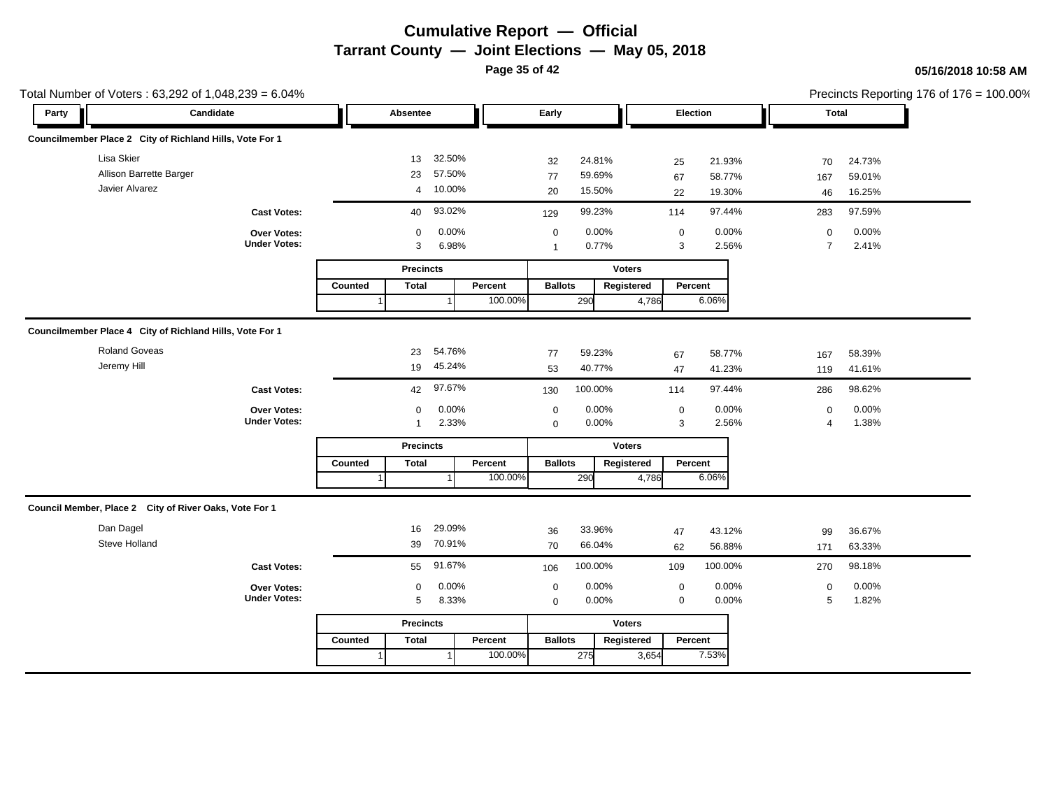**Page 35 of 42**

|                                                          | Total Number of Voters: 63,292 of 1,048,239 = 6.04%      |         |                  |           |         |                |                  |                             |             |                  |                          |                  | Precincts Reporting 176 of $176 = 100.00\%$ |
|----------------------------------------------------------|----------------------------------------------------------|---------|------------------|-----------|---------|----------------|------------------|-----------------------------|-------------|------------------|--------------------------|------------------|---------------------------------------------|
| Party                                                    | Candidate                                                |         | Absentee         |           |         | Early          |                  |                             | Election    |                  | <b>Total</b>             |                  |                                             |
| Councilmember Place 2 City of Richland Hills, Vote For 1 |                                                          |         |                  |           |         |                |                  |                             |             |                  |                          |                  |                                             |
| Lisa Skier                                               |                                                          |         | 13               | 32.50%    |         | 32             | 24.81%           |                             | 25          | 21.93%           | 70                       | 24.73%           |                                             |
| Allison Barrette Barger                                  |                                                          |         | 23               | 57.50%    |         | 77             | 59.69%           |                             | 67          | 58.77%           | 167                      | 59.01%           |                                             |
| Javier Alvarez                                           |                                                          |         |                  | 4 10.00%  |         | 20             | 15.50%           |                             | 22          | 19.30%           | 46                       | 16.25%           |                                             |
|                                                          | <b>Cast Votes:</b>                                       |         | 40               | 93.02%    |         | 129            | 99.23%           |                             | 114         | 97.44%           | 283                      | 97.59%           |                                             |
|                                                          | Over Votes:                                              |         | $\mathbf 0$      | 0.00%     |         | $\mathbf 0$    | 0.00%            |                             | $\mathbf 0$ | 0.00%            | $\mathbf 0$              | 0.00%            |                                             |
|                                                          | <b>Under Votes:</b>                                      |         | 3                | 6.98%     |         | $\mathbf{1}$   | 0.77%            |                             | 3           | 2.56%            | $\overline{7}$           | 2.41%            |                                             |
|                                                          |                                                          |         | <b>Precincts</b> |           |         |                |                  | <b>Voters</b>               |             |                  |                          |                  |                                             |
|                                                          |                                                          | Counted | <b>Total</b>     |           | Percent | <b>Ballots</b> |                  | Registered                  | Percent     |                  |                          |                  |                                             |
|                                                          |                                                          |         |                  |           | 100.00% |                | 290              | 4,786                       |             | 6.06%            |                          |                  |                                             |
|                                                          | Councilmember Place 4 City of Richland Hills, Vote For 1 |         |                  |           |         |                |                  |                             |             |                  |                          |                  |                                             |
|                                                          |                                                          |         |                  |           |         |                |                  |                             |             |                  |                          |                  |                                             |
| <b>Roland Goveas</b><br>Jeremy Hill                      |                                                          |         | 23               | 54.76%    |         | 77             | 59.23%           |                             | 67          | 58.77%           | 167                      | 58.39%           |                                             |
|                                                          |                                                          |         |                  | 19 45.24% |         | 53             | 40.77%           |                             | 47          | 41.23%           | 119                      | 41.61%           |                                             |
|                                                          | <b>Cast Votes:</b>                                       |         | 42               | 97.67%    |         | 130            | 100.00%          |                             | 114         | 97.44%           | 286                      | 98.62%           |                                             |
|                                                          | Over Votes:                                              |         | 0                | 0.00%     |         | $\mathbf 0$    | 0.00%            |                             | $\mathbf 0$ | 0.00%            | 0                        | 0.00%            |                                             |
|                                                          | <b>Under Votes:</b>                                      |         | $\mathbf 1$      | 2.33%     |         | $\mathbf 0$    | 0.00%            |                             | 3           | 2.56%            | $\overline{\mathcal{A}}$ | 1.38%            |                                             |
|                                                          |                                                          |         | <b>Precincts</b> |           |         |                |                  | <b>Voters</b>               |             |                  |                          |                  |                                             |
|                                                          |                                                          | Counted | <b>Total</b>     |           | Percent | <b>Ballots</b> |                  | Registered                  | Percent     |                  |                          |                  |                                             |
|                                                          |                                                          |         |                  |           | 100.00% |                | 290              | 4,786                       |             | 6.06%            |                          |                  |                                             |
| Council Member, Place 2 City of River Oaks, Vote For 1   |                                                          |         |                  |           |         |                |                  |                             |             |                  |                          |                  |                                             |
| Dan Dagel                                                |                                                          |         | 16               | 29.09%    |         |                |                  |                             |             |                  |                          |                  |                                             |
| Steve Holland                                            |                                                          |         |                  | 39 70.91% |         | 36<br>70       | 33.96%<br>66.04% |                             | 47          | 43.12%<br>56.88% | 99                       | 36.67%<br>63.33% |                                             |
|                                                          |                                                          |         |                  |           |         |                |                  |                             | 62          |                  | 171                      |                  |                                             |
|                                                          | <b>Cast Votes:</b>                                       |         | 55               | 91.67%    |         | 106            | 100.00%          |                             | 109         | 100.00%          | 270                      | 98.18%           |                                             |
|                                                          | Over Votes:<br><b>Under Votes:</b>                       |         | 0                | 0.00%     |         | $\mathbf 0$    | 0.00%            |                             | $\mathbf 0$ | 0.00%            | $\mathbf 0$              | 0.00%            |                                             |
|                                                          |                                                          |         | 5                | 8.33%     |         | $\mathbf 0$    | 0.00%            |                             | $\mathbf 0$ | 0.00%            | 5                        | 1.82%            |                                             |
|                                                          |                                                          |         |                  |           |         |                |                  |                             |             |                  |                          |                  |                                             |
|                                                          |                                                          |         | <b>Precincts</b> |           |         |                |                  | <b>Voters</b><br>Registered |             |                  |                          |                  |                                             |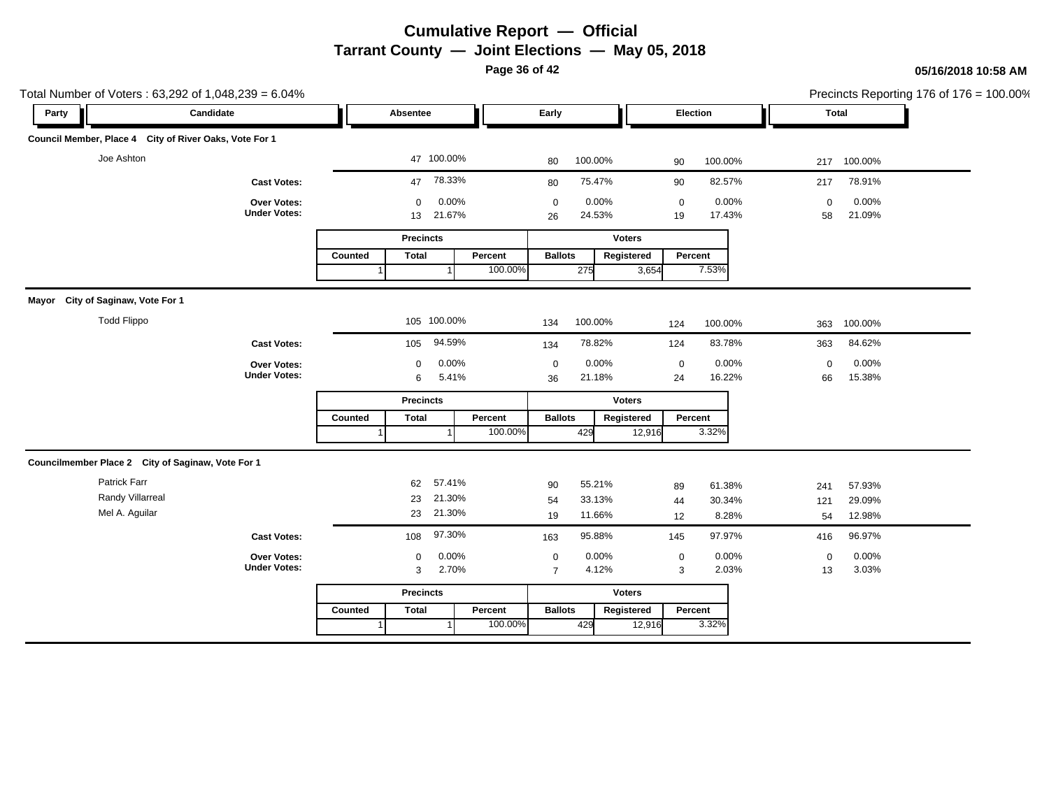**Page 36 of 42**

| Party                                                  | Candidate                          |         | Absentee          |                 |         | Early             |                 |               | Election          |                 | Precincts Reporting 176 of 176 = 100.00%<br>Total |                 |  |
|--------------------------------------------------------|------------------------------------|---------|-------------------|-----------------|---------|-------------------|-----------------|---------------|-------------------|-----------------|---------------------------------------------------|-----------------|--|
|                                                        |                                    |         |                   |                 |         |                   |                 |               |                   |                 |                                                   |                 |  |
| Council Member, Place 4 City of River Oaks, Vote For 1 |                                    |         |                   |                 |         |                   |                 |               |                   |                 |                                                   |                 |  |
| Joe Ashton                                             |                                    |         |                   | 47 100.00%      |         | 80                | 100.00%         |               | 90                | 100.00%         |                                                   | 217 100.00%     |  |
|                                                        | <b>Cast Votes:</b>                 |         | 47                | 78.33%          |         | 80                | 75.47%          |               | 90                | 82.57%          | 217                                               | 78.91%          |  |
|                                                        | Over Votes:<br><b>Under Votes:</b> |         | $\mathbf 0$<br>13 | 0.00%<br>21.67% |         | $\mathbf 0$<br>26 | 0.00%<br>24.53% |               | $\mathbf 0$<br>19 | 0.00%<br>17.43% | $\mathbf 0$<br>58                                 | 0.00%<br>21.09% |  |
|                                                        |                                    |         | <b>Precincts</b>  |                 |         |                   |                 | <b>Voters</b> |                   |                 |                                                   |                 |  |
|                                                        |                                    | Counted | <b>Total</b>      |                 | Percent | <b>Ballots</b>    |                 | Registered    | Percent           |                 |                                                   |                 |  |
|                                                        |                                    |         |                   |                 | 100.00% |                   | 275             | 3,654         |                   | 7.53%           |                                                   |                 |  |
| Mayor City of Saginaw, Vote For 1                      |                                    |         |                   |                 |         |                   |                 |               |                   |                 |                                                   |                 |  |
| <b>Todd Flippo</b>                                     |                                    |         | 105 100.00%       |                 |         | 134               | 100.00%         |               | 124               | 100.00%         | 363                                               | 100.00%         |  |
|                                                        | <b>Cast Votes:</b>                 |         | 105               | 94.59%          |         | 134               | 78.82%          |               | 124               | 83.78%          | 363                                               | 84.62%          |  |
|                                                        | <b>Over Votes:</b>                 |         | $\mathbf 0$       | 0.00%           |         | $\mathbf 0$       | 0.00%           |               | $\mathbf 0$       | 0.00%           | $\mathbf 0$                                       | 0.00%           |  |
|                                                        | <b>Under Votes:</b>                |         | 6                 | 5.41%           |         | 36                | 21.18%          |               | 24                | 16.22%          | 66                                                | 15.38%          |  |
|                                                        |                                    |         | <b>Precincts</b>  |                 |         |                   |                 | <b>Voters</b> |                   |                 |                                                   |                 |  |
|                                                        |                                    | Counted | <b>Total</b>      |                 | Percent | <b>Ballots</b>    |                 | Registered    | Percent           |                 |                                                   |                 |  |
|                                                        |                                    |         |                   |                 | 100.00% |                   | 429             | 12,916        |                   | 3.32%           |                                                   |                 |  |
| Councilmember Place 2 City of Saginaw, Vote For 1      |                                    |         |                   |                 |         |                   |                 |               |                   |                 |                                                   |                 |  |
|                                                        |                                    |         | 62                | 57.41%          |         | 90                | 55.21%          |               | 89                | 61.38%          | 241                                               | 57.93%          |  |
| Patrick Farr                                           |                                    |         |                   |                 |         |                   |                 |               |                   |                 |                                                   |                 |  |
| Randy Villarreal                                       |                                    |         | 23                | 21.30%          |         | 54                | 33.13%          |               | 44                | 30.34%          | 121                                               | 29.09%          |  |
| Mel A. Aguilar                                         |                                    |         | 23                | 21.30%          |         | 19                | 11.66%          |               | 12                | 8.28%           | 54                                                | 12.98%          |  |
|                                                        | <b>Cast Votes:</b>                 |         | 108               | 97.30%          |         | 163               | 95.88%          |               | 145               | 97.97%          | 416                                               | 96.97%          |  |
|                                                        | Over Votes:                        |         | $\mathbf 0$       | 0.00%           |         | $\mathbf 0$       | 0.00%           |               | $\mathbf 0$       | 0.00%           | $\mathbf 0$                                       | 0.00%           |  |
|                                                        | <b>Under Votes:</b>                |         | 3                 | 2.70%           |         | $\overline{7}$    | 4.12%           |               | 3                 | 2.03%           | 13                                                | 3.03%           |  |
|                                                        |                                    |         | <b>Precincts</b>  |                 |         |                   |                 | <b>Voters</b> |                   |                 |                                                   |                 |  |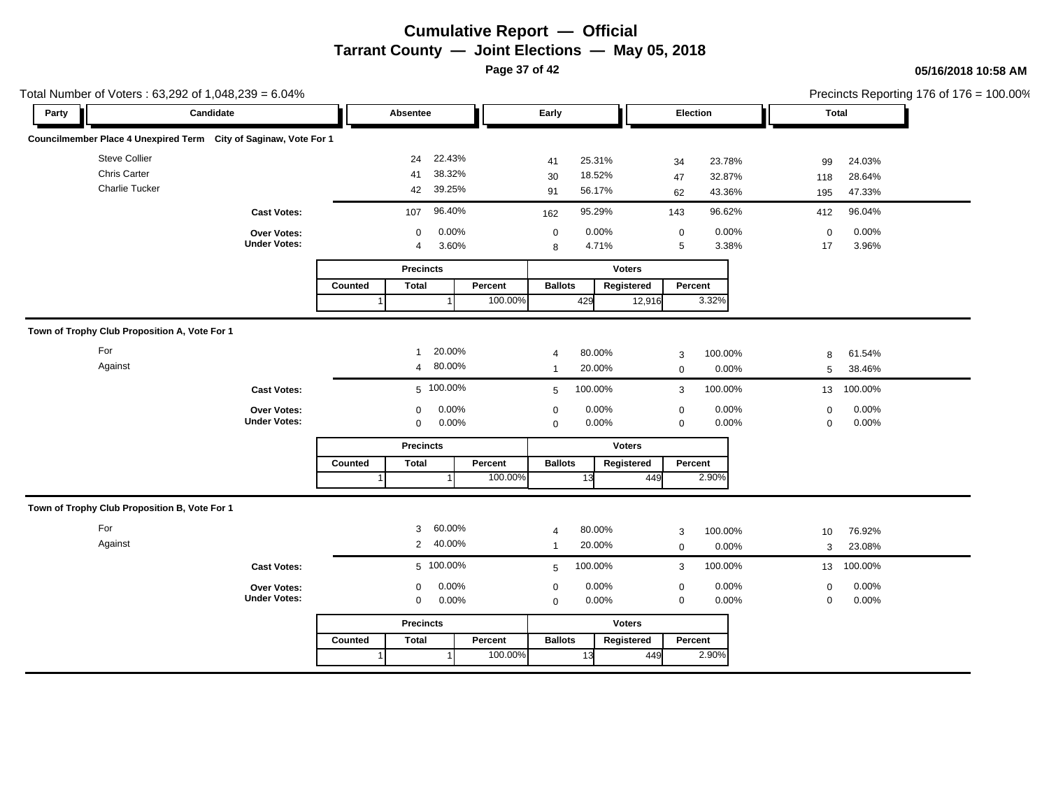**Page 37 of 42**

| Total Number of Voters: 63,292 of 1,048,239 = 6.04%              |                                    |                                                    | Precincts Reporting 176 of 176 = 100.00%           |                                              |                                                |  |
|------------------------------------------------------------------|------------------------------------|----------------------------------------------------|----------------------------------------------------|----------------------------------------------|------------------------------------------------|--|
| Party                                                            | Candidate                          | Absentee                                           | Early                                              | Election                                     | <b>Total</b>                                   |  |
| Councilmember Place 4 Unexpired Term City of Saginaw, Vote For 1 |                                    |                                                    |                                                    |                                              |                                                |  |
| Steve Collier<br><b>Chris Carter</b><br><b>Charlie Tucker</b>    |                                    | 22.43%<br>24<br>38.32%<br>41<br>39.25%<br>42       | 25.31%<br>41<br>18.52%<br>30<br>56.17%<br>91       | 23.78%<br>34<br>32.87%<br>47<br>43.36%<br>62 | 24.03%<br>99<br>28.64%<br>118<br>47.33%<br>195 |  |
|                                                                  | <b>Cast Votes:</b>                 | 96.40%<br>107                                      | 95.29%<br>162                                      | 96.62%<br>143                                | 96.04%<br>412                                  |  |
|                                                                  | Over Votes:<br><b>Under Votes:</b> | 0.00%<br>$\mathbf 0$<br>3.60%<br>$\overline{4}$    | 0.00%<br>$\mathbf 0$<br>4.71%<br>8                 | 0.00%<br>$\pmb{0}$<br>3.38%<br>5             | 0.00%<br>$\mathbf 0$<br>3.96%<br>17            |  |
|                                                                  |                                    | <b>Precincts</b>                                   |                                                    | <b>Voters</b>                                |                                                |  |
|                                                                  |                                    | <b>Total</b><br>Counted                            | Percent<br><b>Ballots</b><br>100.00%<br>429        | Registered<br>Percent<br>3.32%<br>12,916     |                                                |  |
| Town of Trophy Club Proposition A, Vote For 1                    |                                    |                                                    |                                                    |                                              |                                                |  |
| For<br>Against                                                   |                                    | 20.00%<br>$\mathbf{1}$<br>80.00%<br>$\overline{4}$ | 80.00%<br>$\overline{4}$<br>20.00%<br>$\mathbf{1}$ | 100.00%<br>3<br>0.00%<br>$\mathbf 0$         | 61.54%<br>8<br>38.46%<br>5                     |  |
|                                                                  | <b>Cast Votes:</b>                 | 5 100.00%                                          | 100.00%<br>5                                       | 100.00%<br>3                                 | 100.00%<br>13                                  |  |
|                                                                  | Over Votes:<br><b>Under Votes:</b> | 0.00%<br>$\mathbf 0$<br>0.00%<br>$\mathbf 0$       | 0.00%<br>$\mathbf 0$<br>0.00%<br>$\mathbf 0$       | 0.00%<br>$\mathbf 0$<br>$\mathbf 0$<br>0.00% | 0.00%<br>$\mathbf 0$<br>0.00%<br>$\mathbf 0$   |  |
|                                                                  |                                    | <b>Precincts</b>                                   |                                                    | <b>Voters</b>                                |                                                |  |
|                                                                  |                                    | Counted<br><b>Total</b>                            | Percent<br><b>Ballots</b><br>100.00%<br>13         | Percent<br>Registered<br>2.90%<br>449        |                                                |  |
| Town of Trophy Club Proposition B, Vote For 1                    |                                    |                                                    |                                                    |                                              |                                                |  |
| For<br>Against                                                   |                                    | 60.00%<br>3<br>40.00%<br>$\overline{2}$            | 80.00%<br>$\overline{4}$<br>20.00%<br>$\mathbf{1}$ | 100.00%<br>3<br>0.00%<br>$\mathbf 0$         | 76.92%<br>10<br>23.08%<br>3                    |  |
|                                                                  | <b>Cast Votes:</b>                 | 5 100.00%                                          | 100.00%<br>5                                       | 100.00%<br>3                                 | 100.00%<br>13                                  |  |
|                                                                  | Over Votes:<br><b>Under Votes:</b> | 0.00%<br>0<br>0.00%<br>$\mathbf 0$                 | 0.00%<br>$\mathbf 0$<br>0.00%<br>$\mathbf 0$       | 0.00%<br>$\mathbf 0$<br>0.00%<br>$\mathbf 0$ | 0.00%<br>$\mathbf 0$<br>0.00%<br>$\mathbf 0$   |  |
|                                                                  |                                    | <b>Precincts</b>                                   |                                                    | <b>Voters</b>                                |                                                |  |
|                                                                  |                                    | Counted<br><b>Total</b>                            | <b>Ballots</b><br>Percent<br>100.00%<br>13         | Percent<br>Registered<br>2.90%<br>449        |                                                |  |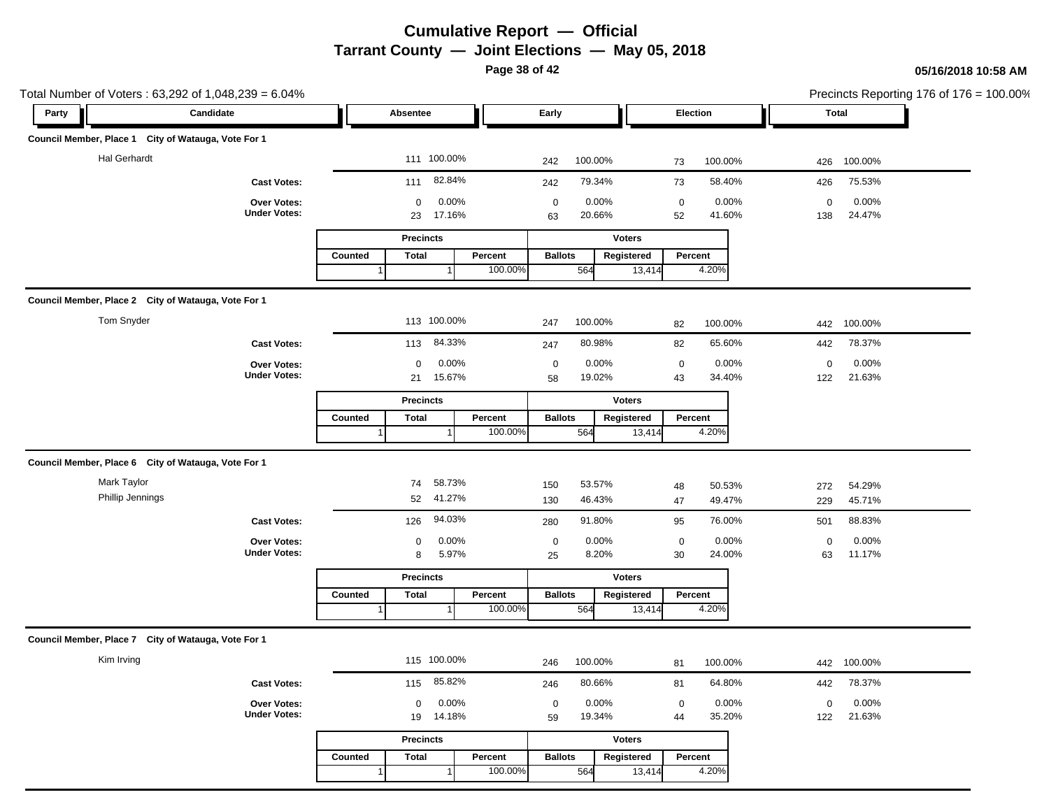**Page 38 of 42**

|                                                     | Total Number of Voters: 63,292 of 1,048,239 = 6.04%<br>Candidate |                            |                    |                                               | Precincts Reporting 176 of 176 = 100.00% |                                       |  |  |
|-----------------------------------------------------|------------------------------------------------------------------|----------------------------|--------------------|-----------------------------------------------|------------------------------------------|---------------------------------------|--|--|
| Party                                               |                                                                  |                            |                    | Early                                         | Election                                 | Total                                 |  |  |
| Council Member, Place 1 City of Watauga, Vote For 1 |                                                                  |                            |                    |                                               |                                          |                                       |  |  |
| <b>Hal Gerhardt</b>                                 |                                                                  | 111 100.00%                |                    | 100.00%<br>242                                | 100.00%<br>73                            | 426 100.00%                           |  |  |
|                                                     | <b>Cast Votes:</b>                                               | 82.84%<br>111              |                    | 79.34%<br>242                                 | 58.40%<br>73                             | 75.53%<br>426                         |  |  |
|                                                     | Over Votes:                                                      | 0.00%<br>0                 |                    | 0.00%<br>$\mathbf 0$                          | 0.00%<br>$\mathbf 0$                     | 0.00%<br>$\mathbf 0$                  |  |  |
|                                                     | <b>Under Votes:</b>                                              | 17.16%<br>23               |                    | 20.66%<br>63                                  | 41.60%<br>52                             | 24.47%<br>138                         |  |  |
|                                                     |                                                                  | <b>Precincts</b>           |                    | <b>Voters</b>                                 |                                          |                                       |  |  |
|                                                     |                                                                  | Counted<br><b>Total</b>    | Percent<br>100.00% | <b>Ballots</b><br>Registered<br>564<br>13,414 | Percent<br>4.20%                         |                                       |  |  |
|                                                     |                                                                  |                            |                    |                                               |                                          |                                       |  |  |
| Council Member, Place 2 City of Watauga, Vote For 1 |                                                                  |                            |                    |                                               |                                          |                                       |  |  |
| Tom Snyder                                          |                                                                  | 113 100.00%                |                    | 100.00%<br>247                                | 100.00%<br>82                            | 100.00%<br>442                        |  |  |
|                                                     | <b>Cast Votes:</b>                                               | 84.33%<br>113              |                    | 80.98%<br>247                                 | 65.60%<br>82                             | 78.37%<br>442                         |  |  |
|                                                     | Over Votes:<br><b>Under Votes:</b>                               | 0.00%<br>0<br>15.67%<br>21 |                    | 0.00%<br>$\mathbf 0$<br>19.02%<br>58          | 0.00%<br>$\mathbf 0$<br>43<br>34.40%     | 0.00%<br>$\mathbf 0$<br>21.63%<br>122 |  |  |
|                                                     |                                                                  | <b>Precincts</b>           |                    | <b>Voters</b>                                 |                                          |                                       |  |  |
|                                                     |                                                                  | Counted<br><b>Total</b>    | Percent            | <b>Ballots</b><br>Registered                  | Percent                                  |                                       |  |  |
|                                                     |                                                                  |                            | 100.00%            | 564<br>13,414                                 | 4.20%                                    |                                       |  |  |
| Council Member, Place 6 City of Watauga, Vote For 1 |                                                                  |                            |                    |                                               |                                          |                                       |  |  |
| Mark Taylor                                         |                                                                  | 58.73%<br>74               |                    | 53.57%<br>150                                 | 50.53%<br>48                             | 54.29%<br>272                         |  |  |
| Phillip Jennings                                    |                                                                  | 41.27%<br>52               |                    | 130<br>46.43%                                 | 49.47%<br>47                             | 45.71%<br>229                         |  |  |
|                                                     | <b>Cast Votes:</b>                                               | 94.03%<br>126              |                    | 91.80%<br>280                                 | 76.00%<br>95                             | 88.83%<br>501                         |  |  |
|                                                     | Over Votes:                                                      | 0.00%<br>0                 |                    | 0.00%<br>$\mathbf 0$                          | 0.00%<br>$\mathbf 0$                     | 0.00%<br>$\mathbf 0$                  |  |  |
|                                                     | <b>Under Votes:</b>                                              | 5.97%<br>8                 |                    | 8.20%<br>25                                   | 24.00%<br>30                             | 11.17%<br>63                          |  |  |
|                                                     |                                                                  | <b>Precincts</b>           |                    | <b>Voters</b>                                 |                                          |                                       |  |  |
|                                                     |                                                                  | Counted<br><b>Total</b>    | Percent<br>100.00% | <b>Ballots</b><br>Registered                  | Percent<br>4.20%                         |                                       |  |  |
|                                                     |                                                                  |                            |                    | 564<br>13,414                                 |                                          |                                       |  |  |
| Council Member, Place 7 City of Watauga, Vote For 1 |                                                                  |                            |                    |                                               |                                          |                                       |  |  |
| Kim Irving                                          |                                                                  | 115 100.00%                |                    | 100.00%<br>246                                | 100.00%<br>81                            | 442 100.00%                           |  |  |
|                                                     | <b>Cast Votes:</b>                                               | 85.82%<br>115              |                    | 80.66%<br>246                                 | 64.80%<br>81                             | 78.37%<br>442                         |  |  |
|                                                     | Over Votes:                                                      | 0.00%<br>$\mathbf 0$       |                    | 0.00%<br>$\mathbf 0$                          | 0.00%<br>$\mathbf 0$                     | 0.00%<br>$\mathbf 0$                  |  |  |
|                                                     | <b>Under Votes:</b>                                              | 19 14.18%                  |                    | 19.34%<br>59                                  | 35.20%<br>44                             | 21.63%<br>122                         |  |  |
|                                                     |                                                                  | <b>Precincts</b>           |                    | Voters                                        |                                          |                                       |  |  |
|                                                     |                                                                  | Counted<br>Total           | Percent            | <b>Ballots</b><br>Registered                  | Percent                                  |                                       |  |  |
|                                                     |                                                                  | $\overline{1}$             | 100.00%            | 564<br>13,414                                 | 4.20%                                    |                                       |  |  |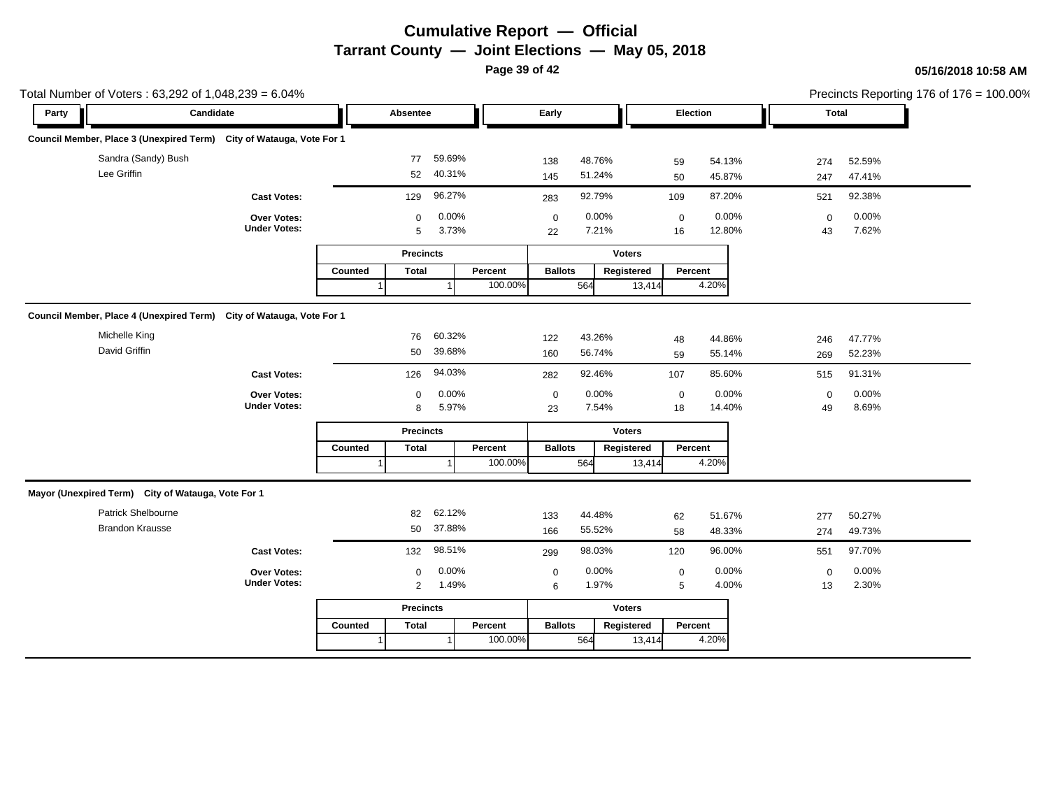**Page 39 of 42**

### **05/16/2018 10:58 AM**

|       | Total Number of Voters: 63,292 of 1,048,239 = 6.04%                  |                                    |         |                  |                |                    |                   |                |                      |                   |                 |                   | Precincts Reporting 176 of $176 = 100.00\%$ |  |  |
|-------|----------------------------------------------------------------------|------------------------------------|---------|------------------|----------------|--------------------|-------------------|----------------|----------------------|-------------------|-----------------|-------------------|---------------------------------------------|--|--|
| Party | Candidate                                                            |                                    |         | Absentee         |                |                    | Early             |                |                      | Election          |                 |                   | Total                                       |  |  |
|       | Council Member, Place 3 (Unexpired Term) City of Watauga, Vote For 1 |                                    |         |                  |                |                    |                   |                |                      |                   |                 |                   |                                             |  |  |
|       | Sandra (Sandy) Bush                                                  |                                    |         | 77               | 59.69%         |                    | 138               | 48.76%         |                      | 59                | 54.13%          | 274               | 52.59%                                      |  |  |
|       | Lee Griffin                                                          |                                    |         | 52               | 40.31%         |                    | 145               | 51.24%         |                      | 50                | 45.87%          | 247               | 47.41%                                      |  |  |
|       |                                                                      | <b>Cast Votes:</b>                 |         | 129              | 96.27%         |                    | 283               | 92.79%         |                      | 109               | 87.20%          | 521               | 92.38%                                      |  |  |
|       |                                                                      | Over Votes:<br><b>Under Votes:</b> |         | $\mathbf 0$<br>5 | 0.00%<br>3.73% |                    | $\mathbf 0$<br>22 | 0.00%<br>7.21% |                      | $\mathbf 0$<br>16 | 0.00%<br>12.80% | $\mathbf 0$<br>43 | 0.00%<br>7.62%                              |  |  |
|       |                                                                      |                                    |         |                  |                |                    |                   |                |                      |                   |                 |                   |                                             |  |  |
|       |                                                                      |                                    |         | <b>Precincts</b> |                |                    |                   |                | <b>Voters</b>        |                   |                 |                   |                                             |  |  |
|       |                                                                      |                                    | Counted | <b>Total</b>     |                | Percent<br>100.00% | <b>Ballots</b>    | 564            | Registered<br>13,414 | Percent           | 4.20%           |                   |                                             |  |  |
|       |                                                                      |                                    |         |                  |                |                    |                   |                |                      |                   |                 |                   |                                             |  |  |
|       | Council Member, Place 4 (Unexpired Term) City of Watauga, Vote For 1 |                                    |         |                  |                |                    |                   |                |                      |                   |                 |                   |                                             |  |  |
|       | Michelle King                                                        |                                    |         | 76               | 60.32%         |                    | 122               | 43.26%         |                      | 48                | 44.86%          | 246               | 47.77%                                      |  |  |
|       | David Griffin                                                        |                                    |         | 50               | 39.68%         |                    | 160               | 56.74%         |                      | 59                | 55.14%          | 269               | 52.23%                                      |  |  |
|       |                                                                      | <b>Cast Votes:</b>                 |         | 126              | 94.03%         |                    | 282               | 92.46%         |                      | 107               | 85.60%          | 515               | 91.31%                                      |  |  |
|       |                                                                      | Over Votes:                        |         | $\mathbf 0$      | 0.00%          |                    | $\mathbf 0$       | 0.00%          |                      | $\mathbf 0$       | 0.00%           | $\mathbf 0$       | 0.00%                                       |  |  |
|       |                                                                      | <b>Under Votes:</b>                |         | 8                | 5.97%          |                    | 23                | 7.54%          |                      | 18                | 14.40%          | 49                | 8.69%                                       |  |  |
|       |                                                                      |                                    |         | <b>Precincts</b> |                |                    |                   |                | <b>Voters</b>        |                   |                 |                   |                                             |  |  |
|       |                                                                      |                                    | Counted | Total            |                | Percent            | <b>Ballots</b>    |                | Registered           | Percent           |                 |                   |                                             |  |  |
|       |                                                                      |                                    |         |                  |                | 100.00%            |                   | 564            | 13,414               |                   | 4.20%           |                   |                                             |  |  |
|       |                                                                      |                                    |         |                  |                |                    |                   |                |                      |                   |                 |                   |                                             |  |  |
|       | Mayor (Unexpired Term) City of Watauga, Vote For 1                   |                                    |         |                  |                |                    |                   |                |                      |                   |                 |                   |                                             |  |  |
|       | Patrick Shelbourne                                                   |                                    |         | 82               | 62.12%         |                    | 133               | 44.48%         |                      | 62                | 51.67%          | 277               | 50.27%                                      |  |  |
|       | <b>Brandon Krausse</b>                                               |                                    |         | 50               | 37.88%         |                    | 166               | 55.52%         |                      | 58                | 48.33%          | 274               | 49.73%                                      |  |  |
|       |                                                                      | <b>Cast Votes:</b>                 |         | 132              | 98.51%         |                    | 299               | 98.03%         |                      | 120               | 96.00%          | 551               | 97.70%                                      |  |  |
|       |                                                                      | Over Votes:                        |         | $\Omega$         | 0.00%          |                    | $\mathbf 0$       | 0.00%          |                      | $\mathbf 0$       | 0.00%           | $\mathbf 0$       | 0.00%                                       |  |  |
|       |                                                                      | <b>Under Votes:</b>                |         | $\overline{2}$   | 1.49%          |                    | 6                 | 1.97%          |                      | 5                 | 4.00%           | 13                | 2.30%                                       |  |  |
|       |                                                                      |                                    |         | <b>Precincts</b> |                |                    | <b>Voters</b>     |                |                      |                   |                 |                   |                                             |  |  |
|       |                                                                      |                                    | Counted | <b>Total</b>     |                | Percent            | <b>Ballots</b>    |                | Registered           | Percent           |                 |                   |                                             |  |  |
|       |                                                                      |                                    |         |                  |                | 100.00%            |                   | 564            | 13,414               |                   | 4.20%           |                   |                                             |  |  |

 $= 100.00\%$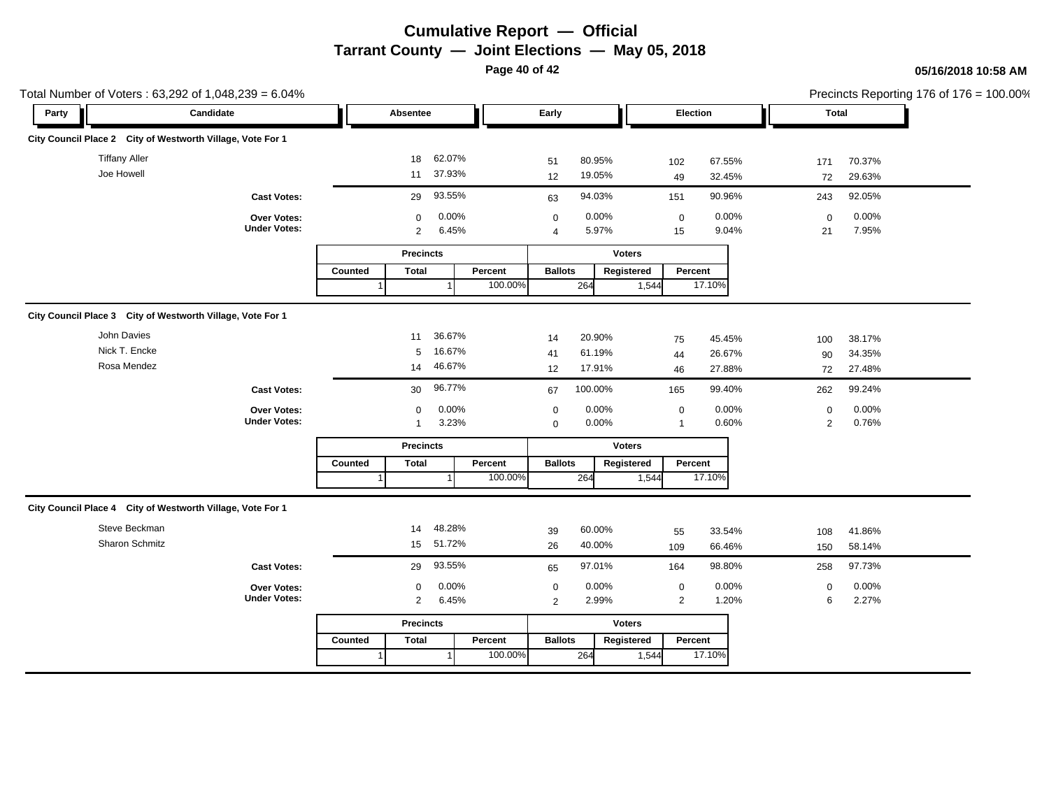**Page 40 of 42**

|       | Total Number of Voters: 63,292 of 1,048,239 = 6.04%        |                                    |         |                               |                  |         |                               |                  |                   |                               |                  | Precincts Reporting 176 of 176 = 100.00% |                  |  |       |  |  |
|-------|------------------------------------------------------------|------------------------------------|---------|-------------------------------|------------------|---------|-------------------------------|------------------|-------------------|-------------------------------|------------------|------------------------------------------|------------------|--|-------|--|--|
| Party |                                                            | Candidate                          |         | Absentee                      |                  |         |                               |                  | Early<br>Election |                               |                  |                                          |                  |  | Total |  |  |
|       | City Council Place 2 City of Westworth Village, Vote For 1 |                                    |         |                               |                  |         |                               |                  |                   |                               |                  |                                          |                  |  |       |  |  |
|       | <b>Tiffany Aller</b><br>Joe Howell                         |                                    |         | 18<br>11                      | 62.07%<br>37.93% |         | 51<br>12                      | 80.95%<br>19.05% |                   | 102<br>49                     | 67.55%<br>32.45% | 171<br>72                                | 70.37%<br>29.63% |  |       |  |  |
|       |                                                            | <b>Cast Votes:</b>                 |         | 29                            | 93.55%           |         | 63                            | 94.03%           |                   | 151                           | 90.96%           | 243                                      | 92.05%           |  |       |  |  |
|       |                                                            | Over Votes:<br><b>Under Votes:</b> |         | $\mathbf 0$<br>$\overline{2}$ | 0.00%<br>6.45%   |         | $\mathbf 0$<br>$\overline{4}$ | 0.00%<br>5.97%   |                   | $\pmb{0}$<br>15               | 0.00%<br>9.04%   | $\mathbf 0$<br>21                        | 0.00%<br>7.95%   |  |       |  |  |
|       |                                                            |                                    |         | <b>Precincts</b>              |                  |         |                               |                  | <b>Voters</b>     |                               |                  |                                          |                  |  |       |  |  |
|       |                                                            |                                    | Counted | <b>Total</b>                  |                  | Percent | <b>Ballots</b>                |                  | Registered        | Percent                       |                  |                                          |                  |  |       |  |  |
|       |                                                            |                                    |         |                               |                  | 100.00% |                               | 264              | 1,544             |                               | 17.10%           |                                          |                  |  |       |  |  |
|       | City Council Place 3 City of Westworth Village, Vote For 1 |                                    |         |                               |                  |         |                               |                  |                   |                               |                  |                                          |                  |  |       |  |  |
|       | John Davies                                                |                                    |         | 11                            | 36.67%           |         | 14                            | 20.90%           |                   | 75                            | 45.45%           | 100                                      | 38.17%           |  |       |  |  |
|       | Nick T. Encke                                              |                                    |         | 5                             | 16.67%           |         | 41                            | 61.19%           |                   | 44                            | 26.67%           | 90                                       | 34.35%           |  |       |  |  |
|       | Rosa Mendez                                                |                                    |         | 14                            | 46.67%           |         | 12                            | 17.91%           |                   | 46                            | 27.88%           | 72                                       | 27.48%           |  |       |  |  |
|       |                                                            | <b>Cast Votes:</b>                 |         | 30                            | 96.77%           |         | 67                            | 100.00%          |                   | 165                           | 99.40%           | 262                                      | 99.24%           |  |       |  |  |
|       |                                                            | Over Votes:<br><b>Under Votes:</b> |         | 0<br>$\mathbf{1}$             | 0.00%<br>3.23%   |         | $\pmb{0}$<br>$\mathbf 0$      | 0.00%<br>0.00%   |                   | $\mathbf 0$<br>$\overline{1}$ | 0.00%<br>0.60%   | $\mathbf 0$<br>$\overline{2}$            | 0.00%<br>0.76%   |  |       |  |  |
|       |                                                            |                                    |         | <b>Precincts</b>              |                  |         |                               |                  | <b>Voters</b>     |                               |                  |                                          |                  |  |       |  |  |
|       |                                                            |                                    | Counted | <b>Total</b>                  |                  | Percent | <b>Ballots</b>                |                  | Registered        | Percent                       |                  |                                          |                  |  |       |  |  |
|       |                                                            |                                    |         |                               |                  | 100.00% |                               | 264              | 1,544             |                               | 17.10%           |                                          |                  |  |       |  |  |
|       | City Council Place 4 City of Westworth Village, Vote For 1 |                                    |         |                               |                  |         |                               |                  |                   |                               |                  |                                          |                  |  |       |  |  |
|       | Steve Beckman                                              |                                    |         | 14                            | 48.28%           |         | 39                            | 60.00%           |                   | 55                            | 33.54%           | 108                                      | 41.86%           |  |       |  |  |
|       | Sharon Schmitz                                             |                                    |         | 15                            | 51.72%           |         | 26                            | 40.00%           |                   | 109                           | 66.46%           | 150                                      | 58.14%           |  |       |  |  |
|       |                                                            | <b>Cast Votes:</b>                 |         | 29                            | 93.55%           |         | 65                            | 97.01%           |                   | 164                           | 98.80%           | 258                                      | 97.73%           |  |       |  |  |
|       |                                                            | Over Votes:                        |         | 0                             | 0.00%            |         | $\mathbf 0$                   | 0.00%            |                   | $\pmb{0}$                     | 0.00%            | $\mathbf 0$                              | 0.00%            |  |       |  |  |
|       |                                                            | <b>Under Votes:</b>                |         | $\overline{2}$                | 6.45%            |         | $\overline{2}$                | 2.99%            |                   | $\overline{2}$                | 1.20%            | 6                                        | 2.27%            |  |       |  |  |
|       |                                                            |                                    |         | <b>Precincts</b>              |                  |         |                               |                  | <b>Voters</b>     |                               |                  |                                          |                  |  |       |  |  |
|       |                                                            |                                    | Counted | <b>Total</b>                  |                  | Percent | <b>Ballots</b>                |                  | Registered        | Percent                       |                  |                                          |                  |  |       |  |  |
|       |                                                            |                                    |         |                               |                  | 100.00% |                               | 264              | 1,544             |                               | 17.10%           |                                          |                  |  |       |  |  |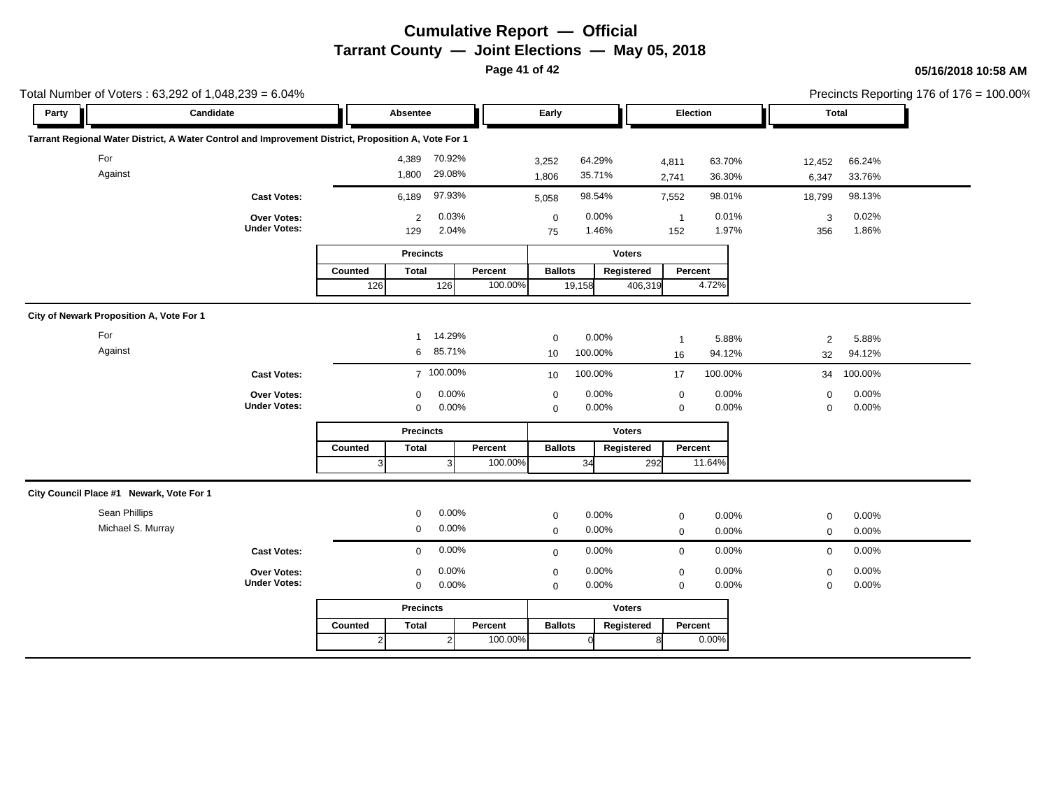**Page 41 of 42**

| Total Number of Voters: 63,292 of 1,048,239 = 6.04%                                                  |                                    |         |                       |                |         |                   |                  |               | Precincts Reporting 176 of 176 = 100.00% |                  |                 |                  |  |
|------------------------------------------------------------------------------------------------------|------------------------------------|---------|-----------------------|----------------|---------|-------------------|------------------|---------------|------------------------------------------|------------------|-----------------|------------------|--|
| Party                                                                                                | Candidate                          |         | Absentee              |                |         | Early             |                  |               | Election                                 |                  | <b>Total</b>    |                  |  |
| Tarrant Regional Water District, A Water Control and Improvement District, Proposition A, Vote For 1 |                                    |         |                       |                |         |                   |                  |               |                                          |                  |                 |                  |  |
| For<br>Against                                                                                       |                                    |         | 4,389 70.92%<br>1,800 | 29.08%         |         | 3,252<br>1,806    | 64.29%<br>35.71% |               | 4,811<br>2,741                           | 63.70%<br>36.30% | 12,452<br>6,347 | 66.24%<br>33.76% |  |
|                                                                                                      | <b>Cast Votes:</b>                 |         | 6,189                 | 97.93%         |         | 5,058             | 98.54%           |               | 7,552                                    | 98.01%           | 18,799          | 98.13%           |  |
|                                                                                                      | Over Votes:<br><b>Under Votes:</b> |         | 2<br>129              | 0.03%<br>2.04% |         | $\mathbf 0$<br>75 | 0.00%<br>1.46%   |               | $\overline{1}$<br>152                    | 0.01%<br>1.97%   | 3<br>356        | 0.02%<br>1.86%   |  |
|                                                                                                      |                                    |         | <b>Precincts</b>      |                |         |                   |                  | <b>Voters</b> |                                          |                  |                 |                  |  |
|                                                                                                      |                                    | Counted | <b>Total</b>          |                | Percent | <b>Ballots</b>    |                  | Registered    | Percent                                  |                  |                 |                  |  |
|                                                                                                      |                                    | 126     |                       | 126            | 100.00% |                   | 19,158           | 406,319       |                                          | 4.72%            |                 |                  |  |
| City of Newark Proposition A, Vote For 1                                                             |                                    |         |                       |                |         |                   |                  |               |                                          |                  |                 |                  |  |
| For                                                                                                  |                                    |         | $\mathbf{1}$          | 14.29%         |         | $\mathbf 0$       | 0.00%            |               | $\overline{1}$                           | 5.88%            | $\overline{2}$  | 5.88%            |  |
| Against                                                                                              |                                    |         |                       | 6 85.71%       |         | 10                | 100.00%          |               | 16                                       | 94.12%           | 32              | 94.12%           |  |
|                                                                                                      | <b>Cast Votes:</b>                 |         |                       | 7 100.00%      |         | 10                | 100.00%          |               | 17                                       | 100.00%          | 34              | 100.00%          |  |
|                                                                                                      | Over Votes:                        |         | $\mathbf 0$           | 0.00%          |         | $\mathbf 0$       | 0.00%            |               | $\mathbf 0$                              | 0.00%            | $\mathbf 0$     | 0.00%            |  |
|                                                                                                      | <b>Under Votes:</b>                |         | $\mathbf 0$           | 0.00%          |         | $\mathbf 0$       | 0.00%            |               | $\mathbf 0$                              | 0.00%            | $\mathbf 0$     | 0.00%            |  |
|                                                                                                      |                                    |         | <b>Precincts</b>      |                |         |                   |                  | <b>Voters</b> |                                          |                  |                 |                  |  |
|                                                                                                      |                                    | Counted | <b>Total</b>          |                | Percent | <b>Ballots</b>    |                  | Registered    | Percent                                  |                  |                 |                  |  |
|                                                                                                      |                                    | 3       |                       | 3              | 100.00% |                   | 34               | 292           | 11.64%                                   |                  |                 |                  |  |
| City Council Place #1 Newark, Vote For 1                                                             |                                    |         |                       |                |         |                   |                  |               |                                          |                  |                 |                  |  |
| Sean Phillips                                                                                        |                                    |         | $\mathbf 0$           | 0.00%          |         | $\mathbf 0$       | 0.00%            |               | $\mathbf 0$                              | 0.00%            | $\mathbf 0$     | 0.00%            |  |
| Michael S. Murray                                                                                    |                                    |         | $\mathbf 0$           | 0.00%          |         | $\mathbf 0$       | 0.00%            |               | $\mathbf 0$                              | 0.00%            | $\mathbf 0$     | 0.00%            |  |
|                                                                                                      | <b>Cast Votes:</b>                 |         | $\mathbf 0$           | 0.00%          |         | $\mathbf 0$       | 0.00%            |               | $\mathbf 0$                              | 0.00%            | $\mathbf{0}$    | 0.00%            |  |
|                                                                                                      | Over Votes:                        |         | $\mathbf 0$           | 0.00%          |         | $\pmb{0}$         | 0.00%            |               | $\mathbf 0$                              | 0.00%            | $\mathbf 0$     | 0.00%            |  |
|                                                                                                      | <b>Under Votes:</b>                |         | $\mathbf 0$           | 0.00%          |         | $\mathbf 0$       | 0.00%            |               | $\mathbf 0$                              | 0.00%            | $\mathbf 0$     | 0.00%            |  |
|                                                                                                      |                                    |         | <b>Precincts</b>      |                |         |                   |                  | <b>Voters</b> |                                          |                  |                 |                  |  |
|                                                                                                      |                                    | Counted | <b>Total</b>          |                | Percent | <b>Ballots</b>    |                  | Registered    | Percent                                  |                  |                 |                  |  |
|                                                                                                      |                                    |         |                       | $\mathcal{P}$  | 100.00% |                   |                  |               |                                          | 0.00%            |                 |                  |  |